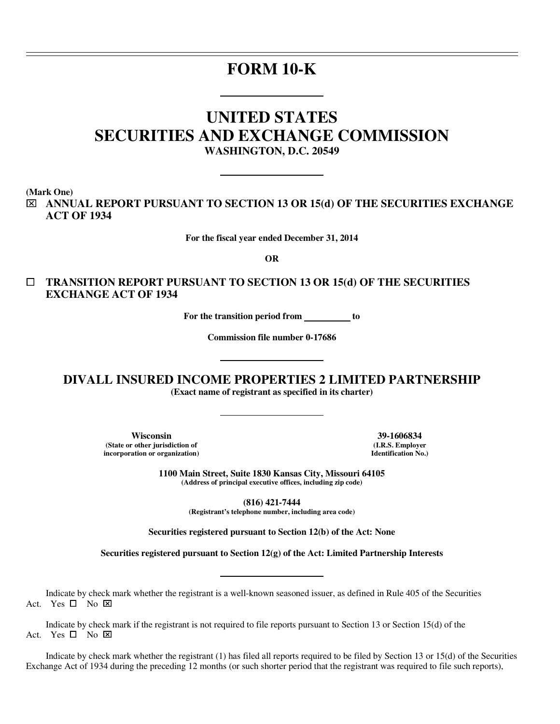# **FORM 10-K**

# **UNITED STATES SECURITIES AND EXCHANGE COMMISSION**

**WASHINGTON, D.C. 20549** 

**(Mark One)** 

 $\overline{a}$  $\overline{a}$ 

⌧ **ANNUAL REPORT PURSUANT TO SECTION 13 OR 15(d) OF THE SECURITIES EXCHANGE ACT OF 1934** 

**For the fiscal year ended December 31, 2014** 

**OR** 

 **TRANSITION REPORT PURSUANT TO SECTION 13 OR 15(d) OF THE SECURITIES EXCHANGE ACT OF 1934** 

For the transition period from \_\_\_\_\_\_\_\_\_ to

**Commission file number 0-17686** 

**DIVALL INSURED INCOME PROPERTIES 2 LIMITED PARTNERSHIP (Exact name of registrant as specified in its charter)** 

**Wisconsin 39-1606834 (State or other jurisdiction of incorporation or organization)**

**(I.R.S. Employer Identification No.)**

**1100 Main Street, Suite 1830 Kansas City, Missouri 64105 (Address of principal executive offices, including zip code)** 

> **(816) 421-7444 (Registrant's telephone number, including area code)**

**Securities registered pursuant to Section 12(b) of the Act: None** 

**Securities registered pursuant to Section 12(g) of the Act: Limited Partnership Interests** 

Indicate by check mark whether the registrant is a well-known seasoned issuer, as defined in Rule 405 of the Securities Act. Yes  $\square$  No  $\square$ 

Indicate by check mark if the registrant is not required to file reports pursuant to Section 13 or Section 15(d) of the Act. Yes  $\square$  No  $\square$ 

Indicate by check mark whether the registrant (1) has filed all reports required to be filed by Section 13 or 15(d) of the Securities Exchange Act of 1934 during the preceding 12 months (or such shorter period that the registrant was required to file such reports),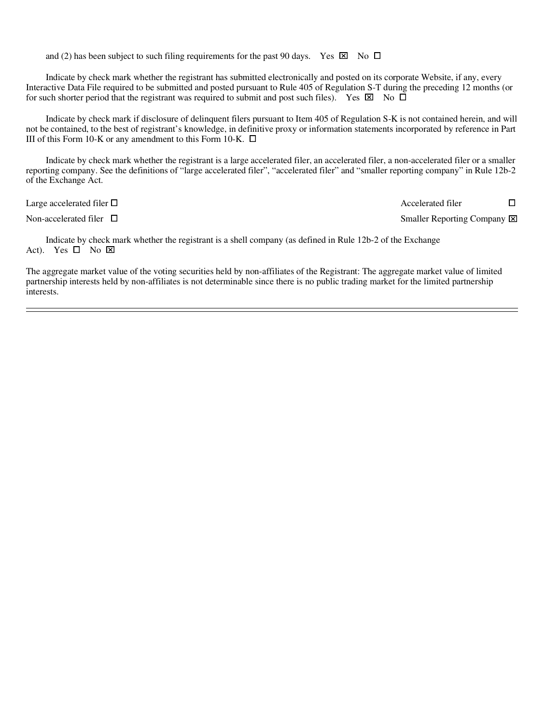and (2) has been subject to such filing requirements for the past 90 days. Yes  $\boxtimes$  No  $\square$ 

Indicate by check mark whether the registrant has submitted electronically and posted on its corporate Website, if any, every Interactive Data File required to be submitted and posted pursuant to Rule 405 of Regulation S-T during the preceding 12 months (or for such shorter period that the registrant was required to submit and post such files). Yes  $\boxtimes$  No  $\square$ 

Indicate by check mark if disclosure of delinquent filers pursuant to Item 405 of Regulation S-K is not contained herein, and will not be contained, to the best of registrant's knowledge, in definitive proxy or information statements incorporated by reference in Part III of this Form 10-K or any amendment to this Form 10-K.  $\Box$ 

Indicate by check mark whether the registrant is a large accelerated filer, an accelerated filer, a non-accelerated filer or a smaller reporting company. See the definitions of "large accelerated filer", "accelerated filer" and "smaller reporting company" in Rule 12b-2 of the Exchange Act.

Large accelerated filer  $\Box$ 

Non-accelerated filer  $\Box$ 

 $\overline{a}$ 

Indicate by check mark whether the registrant is a shell company (as defined in Rule 12b-2 of the Exchange Act). Yes  $\Box$  No  $\boxtimes$ 

The aggregate market value of the voting securities held by non-affiliates of the Registrant: The aggregate market value of limited partnership interests held by non-affiliates is not determinable since there is no public trading market for the limited partnership interests.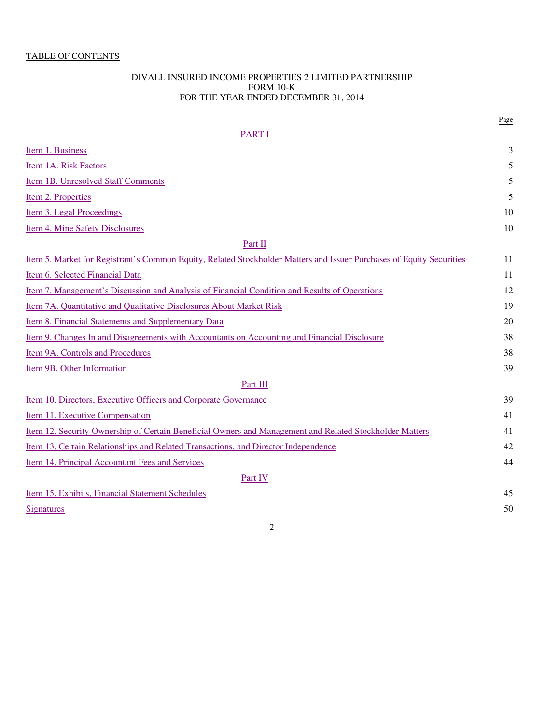# TABLE OF CONTENTS

# DIVALL INSURED INCOME PROPERTIES 2 LIMITED PARTNERSHIP FORM 10-K FOR THE YEAR ENDED DECEMBER 31, 2014

|                                                                                                                      | Page           |
|----------------------------------------------------------------------------------------------------------------------|----------------|
| <b>PARTI</b>                                                                                                         |                |
| Item 1. Business                                                                                                     | 3              |
| Item 1A. Risk Factors                                                                                                | $\mathfrak{S}$ |
| <b>Item 1B. Unresolved Staff Comments</b>                                                                            | 5              |
| Item 2. Properties                                                                                                   | 5              |
| Item 3. Legal Proceedings                                                                                            | 10             |
| <b>Item 4. Mine Safety Disclosures</b>                                                                               | 10             |
| Part II                                                                                                              |                |
| Item 5. Market for Registrant's Common Equity, Related Stockholder Matters and Issuer Purchases of Equity Securities | 11             |
| Item 6. Selected Financial Data                                                                                      | 11             |
| Item 7. Management's Discussion and Analysis of Financial Condition and Results of Operations                        | 12             |
| Item 7A. Quantitative and Qualitative Disclosures About Market Risk                                                  | 19             |
| Item 8. Financial Statements and Supplementary Data                                                                  | 20             |
| Item 9. Changes In and Disagreements with Accountants on Accounting and Financial Disclosure                         | 38             |
| Item 9A. Controls and Procedures                                                                                     | 38             |
| Item 9B. Other Information                                                                                           | 39             |
| Part III                                                                                                             |                |
| Item 10. Directors, Executive Officers and Corporate Governance                                                      | 39             |
| Item 11. Executive Compensation                                                                                      | 41             |
| Item 12. Security Ownership of Certain Beneficial Owners and Management and Related Stockholder Matters              | 41             |
| Item 13. Certain Relationships and Related Transactions, and Director Independence                                   | 42             |
| Item 14. Principal Accountant Fees and Services                                                                      | 44             |
| Part IV                                                                                                              |                |
| Item 15. Exhibits, Financial Statement Schedules                                                                     | 45             |
| <b>Signatures</b>                                                                                                    | 50             |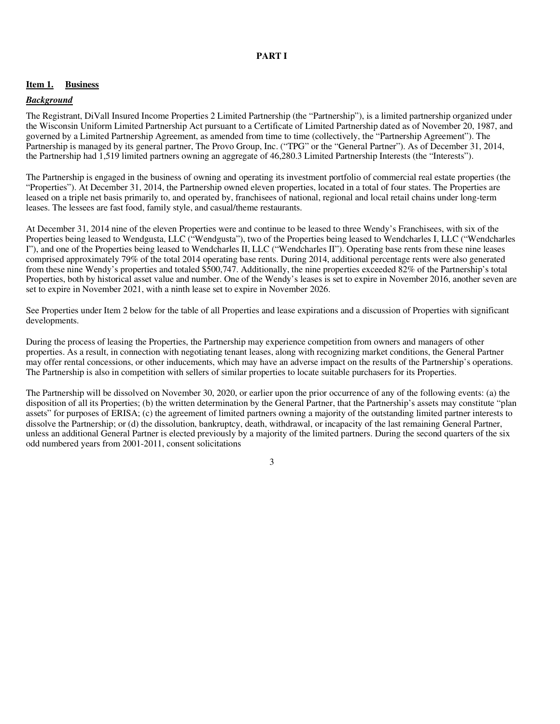# **PART I**

# **Item 1. Business**

#### *Background*

The Registrant, DiVall Insured Income Properties 2 Limited Partnership (the "Partnership"), is a limited partnership organized under the Wisconsin Uniform Limited Partnership Act pursuant to a Certificate of Limited Partnership dated as of November 20, 1987, and governed by a Limited Partnership Agreement, as amended from time to time (collectively, the "Partnership Agreement"). The Partnership is managed by its general partner, The Provo Group, Inc. ("TPG" or the "General Partner"). As of December 31, 2014, the Partnership had 1,519 limited partners owning an aggregate of 46,280.3 Limited Partnership Interests (the "Interests").

The Partnership is engaged in the business of owning and operating its investment portfolio of commercial real estate properties (the "Properties"). At December 31, 2014, the Partnership owned eleven properties, located in a total of four states. The Properties are leased on a triple net basis primarily to, and operated by, franchisees of national, regional and local retail chains under long-term leases. The lessees are fast food, family style, and casual/theme restaurants.

At December 31, 2014 nine of the eleven Properties were and continue to be leased to three Wendy's Franchisees, with six of the Properties being leased to Wendgusta, LLC ("Wendgusta"), two of the Properties being leased to Wendcharles I, LLC ("Wendcharles I"), and one of the Properties being leased to Wendcharles II, LLC ("Wendcharles II"). Operating base rents from these nine leases comprised approximately 79% of the total 2014 operating base rents. During 2014, additional percentage rents were also generated from these nine Wendy's properties and totaled \$500,747. Additionally, the nine properties exceeded 82% of the Partnership's total Properties, both by historical asset value and number. One of the Wendy's leases is set to expire in November 2016, another seven are set to expire in November 2021, with a ninth lease set to expire in November 2026.

See Properties under Item 2 below for the table of all Properties and lease expirations and a discussion of Properties with significant developments.

During the process of leasing the Properties, the Partnership may experience competition from owners and managers of other properties. As a result, in connection with negotiating tenant leases, along with recognizing market conditions, the General Partner may offer rental concessions, or other inducements, which may have an adverse impact on the results of the Partnership's operations. The Partnership is also in competition with sellers of similar properties to locate suitable purchasers for its Properties.

The Partnership will be dissolved on November 30, 2020, or earlier upon the prior occurrence of any of the following events: (a) the disposition of all its Properties; (b) the written determination by the General Partner, that the Partnership's assets may constitute "plan assets" for purposes of ERISA; (c) the agreement of limited partners owning a majority of the outstanding limited partner interests to dissolve the Partnership; or (d) the dissolution, bankruptcy, death, withdrawal, or incapacity of the last remaining General Partner, unless an additional General Partner is elected previously by a majority of the limited partners. During the second quarters of the six odd numbered years from 2001-2011, consent solicitations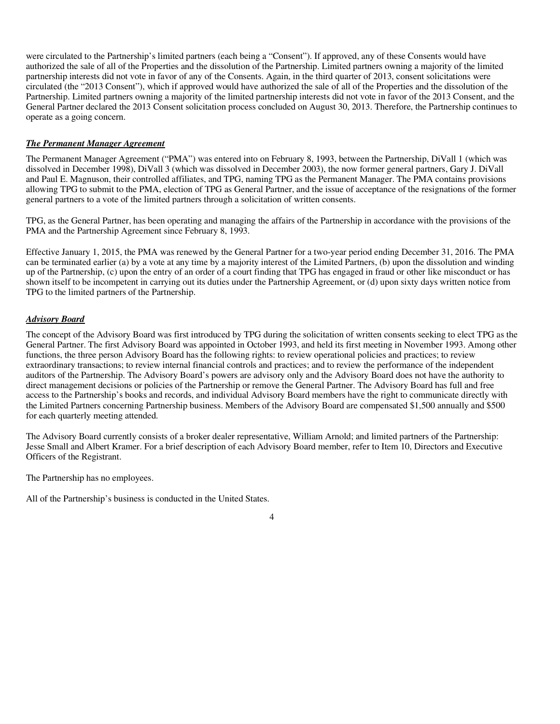were circulated to the Partnership's limited partners (each being a "Consent"). If approved, any of these Consents would have authorized the sale of all of the Properties and the dissolution of the Partnership. Limited partners owning a majority of the limited partnership interests did not vote in favor of any of the Consents. Again, in the third quarter of 2013, consent solicitations were circulated (the "2013 Consent"), which if approved would have authorized the sale of all of the Properties and the dissolution of the Partnership. Limited partners owning a majority of the limited partnership interests did not vote in favor of the 2013 Consent, and the General Partner declared the 2013 Consent solicitation process concluded on August 30, 2013. Therefore, the Partnership continues to operate as a going concern.

#### *The Permanent Manager Agreement*

The Permanent Manager Agreement ("PMA") was entered into on February 8, 1993, between the Partnership, DiVall 1 (which was dissolved in December 1998), DiVall 3 (which was dissolved in December 2003), the now former general partners, Gary J. DiVall and Paul E. Magnuson, their controlled affiliates, and TPG, naming TPG as the Permanent Manager. The PMA contains provisions allowing TPG to submit to the PMA, election of TPG as General Partner, and the issue of acceptance of the resignations of the former general partners to a vote of the limited partners through a solicitation of written consents.

TPG, as the General Partner, has been operating and managing the affairs of the Partnership in accordance with the provisions of the PMA and the Partnership Agreement since February 8, 1993.

Effective January 1, 2015, the PMA was renewed by the General Partner for a two-year period ending December 31, 2016. The PMA can be terminated earlier (a) by a vote at any time by a majority interest of the Limited Partners, (b) upon the dissolution and winding up of the Partnership, (c) upon the entry of an order of a court finding that TPG has engaged in fraud or other like misconduct or has shown itself to be incompetent in carrying out its duties under the Partnership Agreement, or (d) upon sixty days written notice from TPG to the limited partners of the Partnership.

# *Advisory Board*

The concept of the Advisory Board was first introduced by TPG during the solicitation of written consents seeking to elect TPG as the General Partner. The first Advisory Board was appointed in October 1993, and held its first meeting in November 1993. Among other functions, the three person Advisory Board has the following rights: to review operational policies and practices; to review extraordinary transactions; to review internal financial controls and practices; and to review the performance of the independent auditors of the Partnership. The Advisory Board's powers are advisory only and the Advisory Board does not have the authority to direct management decisions or policies of the Partnership or remove the General Partner. The Advisory Board has full and free access to the Partnership's books and records, and individual Advisory Board members have the right to communicate directly with the Limited Partners concerning Partnership business. Members of the Advisory Board are compensated \$1,500 annually and \$500 for each quarterly meeting attended.

The Advisory Board currently consists of a broker dealer representative, William Arnold; and limited partners of the Partnership: Jesse Small and Albert Kramer. For a brief description of each Advisory Board member, refer to Item 10, Directors and Executive Officers of the Registrant.

The Partnership has no employees.

All of the Partnership's business is conducted in the United States.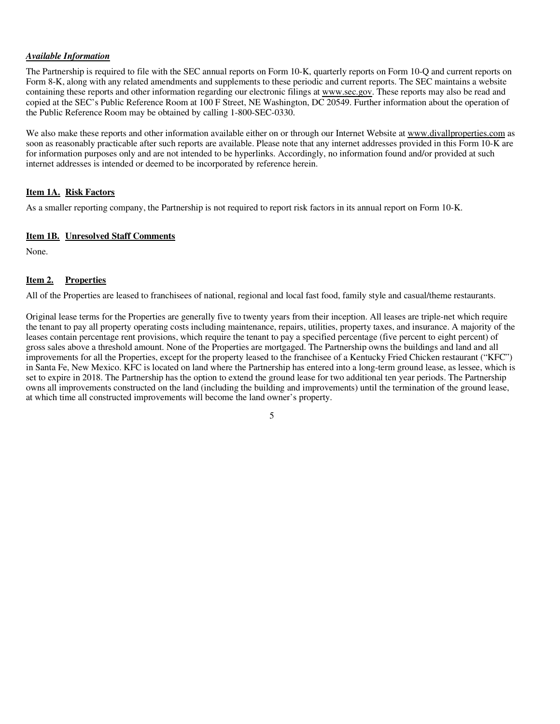# *Available Information*

The Partnership is required to file with the SEC annual reports on Form 10-K, quarterly reports on Form 10-Q and current reports on Form 8-K, along with any related amendments and supplements to these periodic and current reports. The SEC maintains a website containing these reports and other information regarding our electronic filings at www.sec.gov. These reports may also be read and copied at the SEC's Public Reference Room at 100 F Street, NE Washington, DC 20549. Further information about the operation of the Public Reference Room may be obtained by calling 1-800-SEC-0330.

We also make these reports and other information available either on or through our Internet Website at www.divallproperties.com as soon as reasonably practicable after such reports are available. Please note that any internet addresses provided in this Form 10-K are for information purposes only and are not intended to be hyperlinks. Accordingly, no information found and/or provided at such internet addresses is intended or deemed to be incorporated by reference herein.

# **Item 1A. Risk Factors**

As a smaller reporting company, the Partnership is not required to report risk factors in its annual report on Form 10-K.

# **Item 1B. Unresolved Staff Comments**

None.

# **Item 2. Properties**

All of the Properties are leased to franchisees of national, regional and local fast food, family style and casual/theme restaurants.

Original lease terms for the Properties are generally five to twenty years from their inception. All leases are triple-net which require the tenant to pay all property operating costs including maintenance, repairs, utilities, property taxes, and insurance. A majority of the leases contain percentage rent provisions, which require the tenant to pay a specified percentage (five percent to eight percent) of gross sales above a threshold amount. None of the Properties are mortgaged. The Partnership owns the buildings and land and all improvements for all the Properties, except for the property leased to the franchisee of a Kentucky Fried Chicken restaurant ("KFC") in Santa Fe, New Mexico. KFC is located on land where the Partnership has entered into a long-term ground lease, as lessee, which is set to expire in 2018. The Partnership has the option to extend the ground lease for two additional ten year periods. The Partnership owns all improvements constructed on the land (including the building and improvements) until the termination of the ground lease, at which time all constructed improvements will become the land owner's property.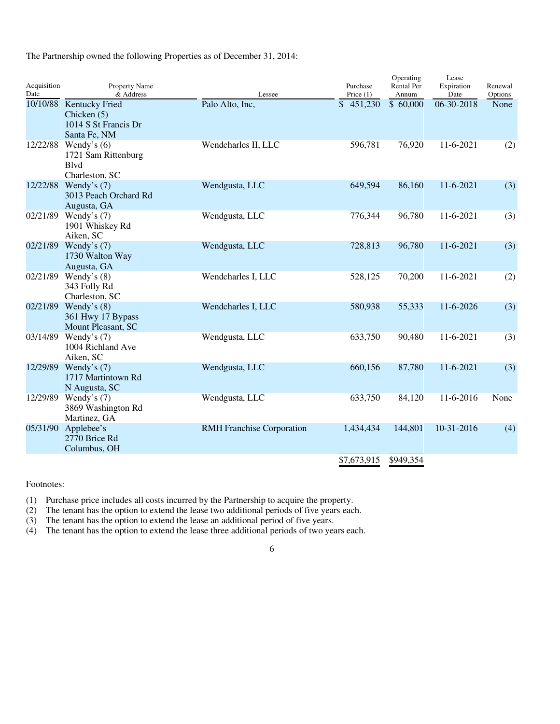| Acquisition<br>Date | Property Name<br>& Address                                                     | Lessee                           | Purchase<br>Price $(1)$ | Operating<br><b>Rental Per</b><br>Annum | Lease<br>Expiration<br>Date | Renewal<br>Options |
|---------------------|--------------------------------------------------------------------------------|----------------------------------|-------------------------|-----------------------------------------|-----------------------------|--------------------|
|                     | 10/10/88 Kentucky Fried<br>Chicken (5)<br>1014 S St Francis Dr<br>Santa Fe, NM | Palo Alto, Inc,                  | \$451,230               | \$60,000                                | 06-30-2018                  | None               |
|                     | 12/22/88 Wendy's (6)<br>1721 Sam Rittenburg<br><b>B</b> lvd<br>Charleston, SC  | Wendcharles II, LLC              | 596,781                 | 76,920                                  | 11-6-2021                   | (2)                |
|                     | 12/22/88 Wendy's (7)<br>3013 Peach Orchard Rd<br>Augusta, GA                   | Wendgusta, LLC                   | 649,594                 | 86,160                                  | 11-6-2021                   | (3)                |
|                     | 02/21/89 Wendy's (7)<br>1901 Whiskey Rd<br>Aiken, SC                           | Wendgusta, LLC                   | 776,344                 | 96,780                                  | 11-6-2021                   | (3)                |
|                     | 02/21/89 Wendy's (7)<br>1730 Walton Way<br>Augusta, GA                         | Wendgusta, LLC                   | 728,813                 | 96,780                                  | $11-6-2021$                 | (3)                |
|                     | 02/21/89 Wendy's (8)<br>343 Folly Rd<br>Charleston, SC                         | Wendcharles I, LLC               | 528,125                 | 70,200                                  | 11-6-2021                   | (2)                |
|                     | 02/21/89 Wendy's (8)<br>361 Hwy 17 Bypass<br>Mount Pleasant, SC                | Wendcharles I, LLC               | 580,938                 | 55,333                                  | 11-6-2026                   | (3)                |
|                     | 03/14/89 Wendy's (7)<br>1004 Richland Ave<br>Aiken, SC                         | Wendgusta, LLC                   | 633,750                 | 90,480                                  | 11-6-2021                   | (3)                |
| 12/29/89            | Wendy's $(7)$<br>1717 Martintown Rd<br>N Augusta, SC                           | Wendgusta, LLC                   | 660,156                 | 87,780                                  | 11-6-2021                   | (3)                |
|                     | 12/29/89 Wendy's (7)<br>3869 Washington Rd<br>Martinez, GA                     | Wendgusta, LLC                   | 633,750                 | 84,120                                  | 11-6-2016                   | None               |
|                     | 05/31/90 Applebee's<br>2770 Brice Rd<br>Columbus, OH                           | <b>RMH</b> Franchise Corporation | 1,434,434               | 144,801                                 | 10-31-2016                  | (4)                |
|                     |                                                                                |                                  | \$7,673,915             | \$949,354                               |                             |                    |

The Partnership owned the following Properties as of December 31, 2014:

Footnotes:

(1) Purchase price includes all costs incurred by the Partnership to acquire the property.

(2) The tenant has the option to extend the lease two additional periods of five years each.

(3) The tenant has the option to extend the lease an additional period of five years.

(4) The tenant has the option to extend the lease three additional periods of two years each.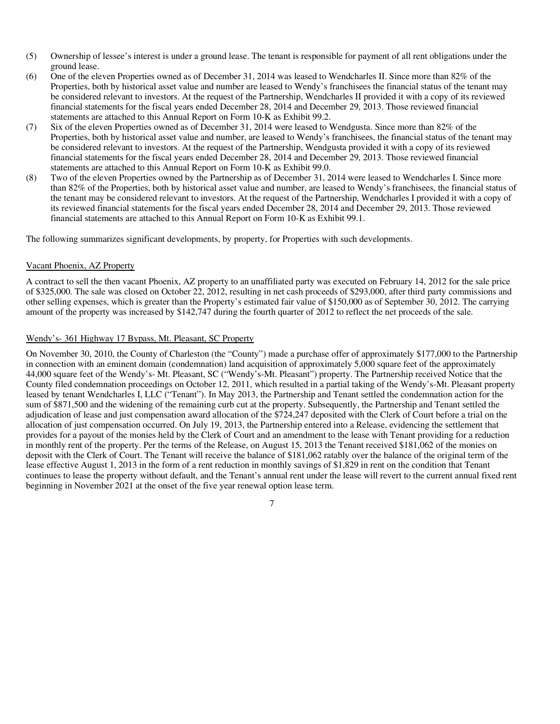- (5) Ownership of lessee's interest is under a ground lease. The tenant is responsible for payment of all rent obligations under the ground lease.
- (6) One of the eleven Properties owned as of December 31, 2014 was leased to Wendcharles II. Since more than 82% of the Properties, both by historical asset value and number are leased to Wendy's franchisees the financial status of the tenant may be considered relevant to investors. At the request of the Partnership, Wendcharles II provided it with a copy of its reviewed financial statements for the fiscal years ended December 28, 2014 and December 29, 2013. Those reviewed financial statements are attached to this Annual Report on Form 10-K as Exhibit 99.2.
- (7) Six of the eleven Properties owned as of December 31, 2014 were leased to Wendgusta. Since more than 82% of the Properties, both by historical asset value and number, are leased to Wendy's franchisees, the financial status of the tenant may be considered relevant to investors. At the request of the Partnership, Wendgusta provided it with a copy of its reviewed financial statements for the fiscal years ended December 28, 2014 and December 29, 2013. Those reviewed financial statements are attached to this Annual Report on Form 10-K as Exhibit 99.0.
- (8) Two of the eleven Properties owned by the Partnership as of December 31, 2014 were leased to Wendcharles I. Since more than 82% of the Properties, both by historical asset value and number, are leased to Wendy's franchisees, the financial status of the tenant may be considered relevant to investors. At the request of the Partnership, Wendcharles I provided it with a copy of its reviewed financial statements for the fiscal years ended December 28, 2014 and December 29, 2013. Those reviewed financial statements are attached to this Annual Report on Form 10-K as Exhibit 99.1.

The following summarizes significant developments, by property, for Properties with such developments.

#### Vacant Phoenix, AZ Property

A contract to sell the then vacant Phoenix, AZ property to an unaffiliated party was executed on February 14, 2012 for the sale price of \$325,000. The sale was closed on October 22, 2012, resulting in net cash proceeds of \$293,000, after third party commissions and other selling expenses, which is greater than the Property's estimated fair value of \$150,000 as of September 30, 2012. The carrying amount of the property was increased by \$142,747 during the fourth quarter of 2012 to reflect the net proceeds of the sale.

#### Wendy's- 361 Highway 17 Bypass, Mt. Pleasant, SC Property

On November 30, 2010, the County of Charleston (the "County") made a purchase offer of approximately \$177,000 to the Partnership in connection with an eminent domain (condemnation) land acquisition of approximately 5,000 square feet of the approximately 44,000 square feet of the Wendy's- Mt. Pleasant, SC ("Wendy's-Mt. Pleasant") property. The Partnership received Notice that the County filed condemnation proceedings on October 12, 2011, which resulted in a partial taking of the Wendy's-Mt. Pleasant property leased by tenant Wendcharles I, LLC ("Tenant"). In May 2013, the Partnership and Tenant settled the condemnation action for the sum of \$871,500 and the widening of the remaining curb cut at the property. Subsequently, the Partnership and Tenant settled the adjudication of lease and just compensation award allocation of the \$724,247 deposited with the Clerk of Court before a trial on the allocation of just compensation occurred. On July 19, 2013, the Partnership entered into a Release, evidencing the settlement that provides for a payout of the monies held by the Clerk of Court and an amendment to the lease with Tenant providing for a reduction in monthly rent of the property. Per the terms of the Release, on August 15, 2013 the Tenant received \$181,062 of the monies on deposit with the Clerk of Court. The Tenant will receive the balance of \$181,062 ratably over the balance of the original term of the lease effective August 1, 2013 in the form of a rent reduction in monthly savings of \$1,829 in rent on the condition that Tenant continues to lease the property without default, and the Tenant's annual rent under the lease will revert to the current annual fixed rent beginning in November 2021 at the onset of the five year renewal option lease term.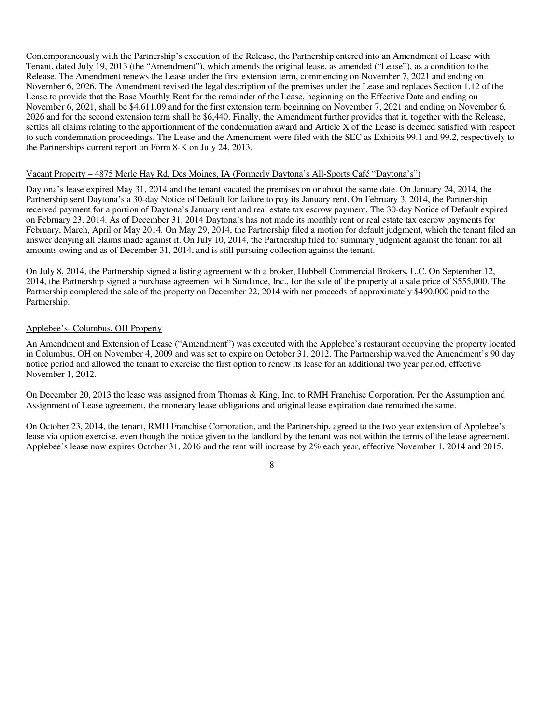Contemporaneously with the Partnership's execution of the Release, the Partnership entered into an Amendment of Lease with Tenant, dated July 19, 2013 (the "Amendment"), which amends the original lease, as amended ("Lease"), as a condition to the Release. The Amendment renews the Lease under the first extension term, commencing on November 7, 2021 and ending on November 6, 2026. The Amendment revised the legal description of the premises under the Lease and replaces Section 1.12 of the Lease to provide that the Base Monthly Rent for the remainder of the Lease, beginning on the Effective Date and ending on November 6, 2021, shall be \$4,611.09 and for the first extension term beginning on November 7, 2021 and ending on November 6, 2026 and for the second extension term shall be \$6,440. Finally, the Amendment further provides that it, together with the Release, settles all claims relating to the apportionment of the condemnation award and Article X of the Lease is deemed satisfied with respect to such condemnation proceedings. The Lease and the Amendment were filed with the SEC as Exhibits 99.1 and 99.2, respectively to the Partnerships current report on Form 8-K on July 24, 2013.

#### Vacant Property – 4875 Merle Hay Rd, Des Moines, IA (Formerly Daytona's All-Sports Café "Daytona's")

Daytona's lease expired May 31, 2014 and the tenant vacated the premises on or about the same date. On January 24, 2014, the Partnership sent Daytona's a 30-day Notice of Default for failure to pay its January rent. On February 3, 2014, the Partnership received payment for a portion of Daytona's January rent and real estate tax escrow payment. The 30-day Notice of Default expired on February 23, 2014. As of December 31, 2014 Daytona's has not made its monthly rent or real estate tax escrow payments for February, March, April or May 2014. On May 29, 2014, the Partnership filed a motion for default judgment, which the tenant filed an answer denying all claims made against it. On July 10, 2014, the Partnership filed for summary judgment against the tenant for all amounts owing and as of December 31, 2014, and is still pursuing collection against the tenant.

On July 8, 2014, the Partnership signed a listing agreement with a broker, Hubbell Commercial Brokers, L.C. On September 12, 2014, the Partnership signed a purchase agreement with Sundance, Inc., for the sale of the property at a sale price of \$555,000. The Partnership completed the sale of the property on December 22, 2014 with net proceeds of approximately \$490,000 paid to the Partnership.

#### Applebee's- Columbus, OH Property

An Amendment and Extension of Lease ("Amendment") was executed with the Applebee's restaurant occupying the property located in Columbus, OH on November 4, 2009 and was set to expire on October 31, 2012. The Partnership waived the Amendment's 90 day notice period and allowed the tenant to exercise the first option to renew its lease for an additional two year period, effective November 1, 2012.

On December 20, 2013 the lease was assigned from Thomas & King, Inc. to RMH Franchise Corporation. Per the Assumption and Assignment of Lease agreement, the monetary lease obligations and original lease expiration date remained the same.

On October 23, 2014, the tenant, RMH Franchise Corporation, and the Partnership, agreed to the two year extension of Applebee's lease via option exercise, even though the notice given to the landlord by the tenant was not within the terms of the lease agreement. Applebee's lease now expires October 31, 2016 and the rent will increase by 2% each year, effective November 1, 2014 and 2015.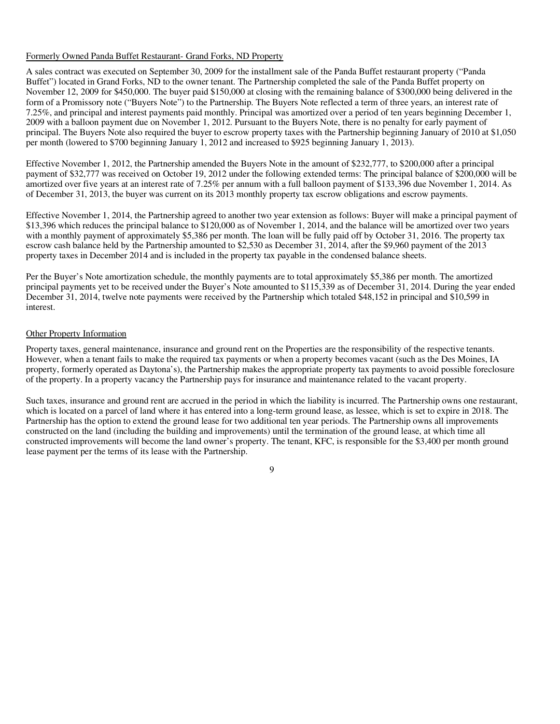# Formerly Owned Panda Buffet Restaurant- Grand Forks, ND Property

A sales contract was executed on September 30, 2009 for the installment sale of the Panda Buffet restaurant property ("Panda Buffet") located in Grand Forks, ND to the owner tenant. The Partnership completed the sale of the Panda Buffet property on November 12, 2009 for \$450,000. The buyer paid \$150,000 at closing with the remaining balance of \$300,000 being delivered in the form of a Promissory note ("Buyers Note") to the Partnership. The Buyers Note reflected a term of three years, an interest rate of 7.25%, and principal and interest payments paid monthly. Principal was amortized over a period of ten years beginning December 1, 2009 with a balloon payment due on November 1, 2012. Pursuant to the Buyers Note, there is no penalty for early payment of principal. The Buyers Note also required the buyer to escrow property taxes with the Partnership beginning January of 2010 at \$1,050 per month (lowered to \$700 beginning January 1, 2012 and increased to \$925 beginning January 1, 2013).

Effective November 1, 2012, the Partnership amended the Buyers Note in the amount of \$232,777, to \$200,000 after a principal payment of \$32,777 was received on October 19, 2012 under the following extended terms: The principal balance of \$200,000 will be amortized over five years at an interest rate of 7.25% per annum with a full balloon payment of \$133,396 due November 1, 2014. As of December 31, 2013, the buyer was current on its 2013 monthly property tax escrow obligations and escrow payments.

Effective November 1, 2014, the Partnership agreed to another two year extension as follows: Buyer will make a principal payment of \$13,396 which reduces the principal balance to \$120,000 as of November 1, 2014, and the balance will be amortized over two years with a monthly payment of approximately \$5,386 per month. The loan will be fully paid off by October 31, 2016. The property tax escrow cash balance held by the Partnership amounted to \$2,530 as December 31, 2014, after the \$9,960 payment of the 2013 property taxes in December 2014 and is included in the property tax payable in the condensed balance sheets.

Per the Buyer's Note amortization schedule, the monthly payments are to total approximately \$5,386 per month. The amortized principal payments yet to be received under the Buyer's Note amounted to \$115,339 as of December 31, 2014. During the year ended December 31, 2014, twelve note payments were received by the Partnership which totaled \$48,152 in principal and \$10,599 in interest.

#### Other Property Information

Property taxes, general maintenance, insurance and ground rent on the Properties are the responsibility of the respective tenants. However, when a tenant fails to make the required tax payments or when a property becomes vacant (such as the Des Moines, IA property, formerly operated as Daytona's), the Partnership makes the appropriate property tax payments to avoid possible foreclosure of the property. In a property vacancy the Partnership pays for insurance and maintenance related to the vacant property.

Such taxes, insurance and ground rent are accrued in the period in which the liability is incurred. The Partnership owns one restaurant, which is located on a parcel of land where it has entered into a long-term ground lease, as lessee, which is set to expire in 2018. The Partnership has the option to extend the ground lease for two additional ten year periods. The Partnership owns all improvements constructed on the land (including the building and improvements) until the termination of the ground lease, at which time all constructed improvements will become the land owner's property. The tenant, KFC, is responsible for the \$3,400 per month ground lease payment per the terms of its lease with the Partnership.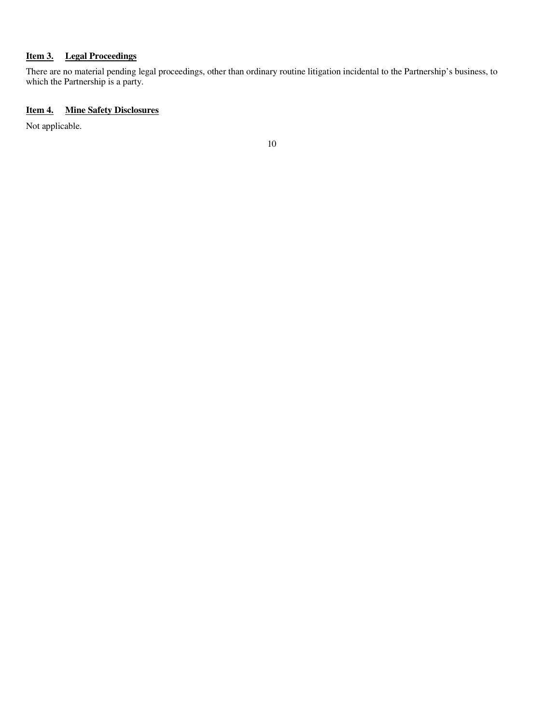# **Item 3. Legal Proceedings**

There are no material pending legal proceedings, other than ordinary routine litigation incidental to the Partnership's business, to which the Partnership is a party.

#### **Item 4. Mine Safety Disclosures**

Not applicable.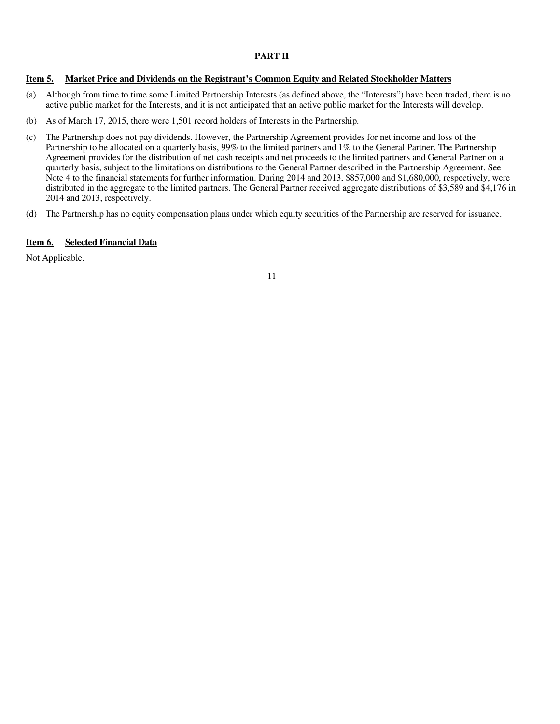#### **PART II**

#### **Item 5. Market Price and Dividends on the Registrant's Common Equity and Related Stockholder Matters**

- (a) Although from time to time some Limited Partnership Interests (as defined above, the "Interests") have been traded, there is no active public market for the Interests, and it is not anticipated that an active public market for the Interests will develop.
- (b) As of March 17, 2015, there were 1,501 record holders of Interests in the Partnership.
- (c) The Partnership does not pay dividends. However, the Partnership Agreement provides for net income and loss of the Partnership to be allocated on a quarterly basis, 99% to the limited partners and 1% to the General Partner. The Partnership Agreement provides for the distribution of net cash receipts and net proceeds to the limited partners and General Partner on a quarterly basis, subject to the limitations on distributions to the General Partner described in the Partnership Agreement. See Note 4 to the financial statements for further information. During 2014 and 2013, \$857,000 and \$1,680,000, respectively, were distributed in the aggregate to the limited partners. The General Partner received aggregate distributions of \$3,589 and \$4,176 in 2014 and 2013, respectively.
- (d) The Partnership has no equity compensation plans under which equity securities of the Partnership are reserved for issuance.

# **Item 6. Selected Financial Data**

Not Applicable.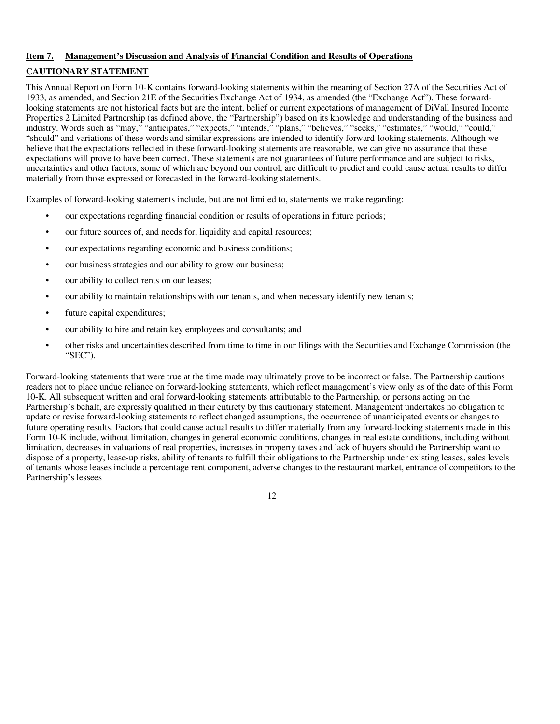# **Item 7. Management's Discussion and Analysis of Financial Condition and Results of Operations**

# **CAUTIONARY STATEMENT**

This Annual Report on Form 10-K contains forward-looking statements within the meaning of Section 27A of the Securities Act of 1933, as amended, and Section 21E of the Securities Exchange Act of 1934, as amended (the "Exchange Act"). These forwardlooking statements are not historical facts but are the intent, belief or current expectations of management of DiVall Insured Income Properties 2 Limited Partnership (as defined above, the "Partnership") based on its knowledge and understanding of the business and industry. Words such as "may," "anticipates," "expects," "intends," "plans," "believes," "seeks," "estimates," "would," "could," "should" and variations of these words and similar expressions are intended to identify forward-looking statements. Although we believe that the expectations reflected in these forward-looking statements are reasonable, we can give no assurance that these expectations will prove to have been correct. These statements are not guarantees of future performance and are subject to risks, uncertainties and other factors, some of which are beyond our control, are difficult to predict and could cause actual results to differ materially from those expressed or forecasted in the forward-looking statements.

Examples of forward-looking statements include, but are not limited to, statements we make regarding:

- our expectations regarding financial condition or results of operations in future periods;
- our future sources of, and needs for, liquidity and capital resources;
- our expectations regarding economic and business conditions;
- our business strategies and our ability to grow our business;
- our ability to collect rents on our leases;
- our ability to maintain relationships with our tenants, and when necessary identify new tenants;
- future capital expenditures;
- our ability to hire and retain key employees and consultants; and
- other risks and uncertainties described from time to time in our filings with the Securities and Exchange Commission (the "SEC").

Forward-looking statements that were true at the time made may ultimately prove to be incorrect or false. The Partnership cautions readers not to place undue reliance on forward-looking statements, which reflect management's view only as of the date of this Form 10-K. All subsequent written and oral forward-looking statements attributable to the Partnership, or persons acting on the Partnership's behalf, are expressly qualified in their entirety by this cautionary statement. Management undertakes no obligation to update or revise forward-looking statements to reflect changed assumptions, the occurrence of unanticipated events or changes to future operating results. Factors that could cause actual results to differ materially from any forward-looking statements made in this Form 10-K include, without limitation, changes in general economic conditions, changes in real estate conditions, including without limitation, decreases in valuations of real properties, increases in property taxes and lack of buyers should the Partnership want to dispose of a property, lease-up risks, ability of tenants to fulfill their obligations to the Partnership under existing leases, sales levels of tenants whose leases include a percentage rent component, adverse changes to the restaurant market, entrance of competitors to the Partnership's lessees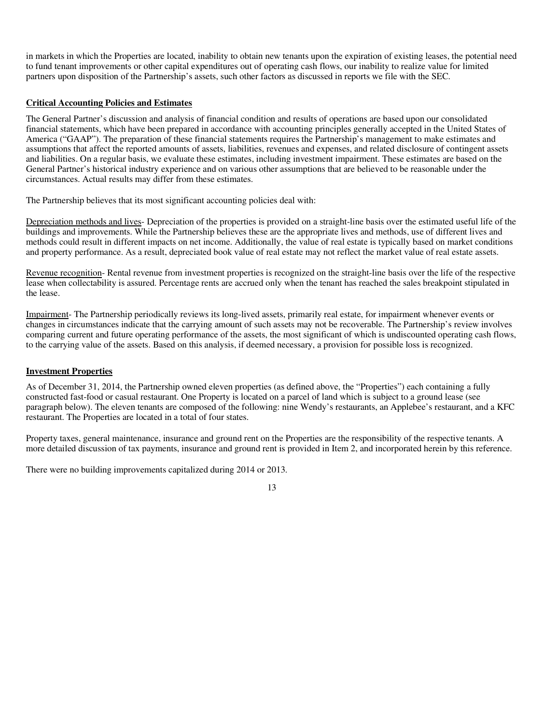in markets in which the Properties are located, inability to obtain new tenants upon the expiration of existing leases, the potential need to fund tenant improvements or other capital expenditures out of operating cash flows, our inability to realize value for limited partners upon disposition of the Partnership's assets, such other factors as discussed in reports we file with the SEC.

# **Critical Accounting Policies and Estimates**

The General Partner's discussion and analysis of financial condition and results of operations are based upon our consolidated financial statements, which have been prepared in accordance with accounting principles generally accepted in the United States of America ("GAAP"). The preparation of these financial statements requires the Partnership's management to make estimates and assumptions that affect the reported amounts of assets, liabilities, revenues and expenses, and related disclosure of contingent assets and liabilities. On a regular basis, we evaluate these estimates, including investment impairment. These estimates are based on the General Partner's historical industry experience and on various other assumptions that are believed to be reasonable under the circumstances. Actual results may differ from these estimates.

The Partnership believes that its most significant accounting policies deal with:

Depreciation methods and lives- Depreciation of the properties is provided on a straight-line basis over the estimated useful life of the buildings and improvements. While the Partnership believes these are the appropriate lives and methods, use of different lives and methods could result in different impacts on net income. Additionally, the value of real estate is typically based on market conditions and property performance. As a result, depreciated book value of real estate may not reflect the market value of real estate assets.

Revenue recognition- Rental revenue from investment properties is recognized on the straight-line basis over the life of the respective lease when collectability is assured. Percentage rents are accrued only when the tenant has reached the sales breakpoint stipulated in the lease.

Impairment- The Partnership periodically reviews its long-lived assets, primarily real estate, for impairment whenever events or changes in circumstances indicate that the carrying amount of such assets may not be recoverable. The Partnership's review involves comparing current and future operating performance of the assets, the most significant of which is undiscounted operating cash flows, to the carrying value of the assets. Based on this analysis, if deemed necessary, a provision for possible loss is recognized.

# **Investment Properties**

As of December 31, 2014, the Partnership owned eleven properties (as defined above, the "Properties") each containing a fully constructed fast-food or casual restaurant. One Property is located on a parcel of land which is subject to a ground lease (see paragraph below). The eleven tenants are composed of the following: nine Wendy's restaurants, an Applebee's restaurant, and a KFC restaurant. The Properties are located in a total of four states.

Property taxes, general maintenance, insurance and ground rent on the Properties are the responsibility of the respective tenants. A more detailed discussion of tax payments, insurance and ground rent is provided in Item 2, and incorporated herein by this reference.

There were no building improvements capitalized during 2014 or 2013.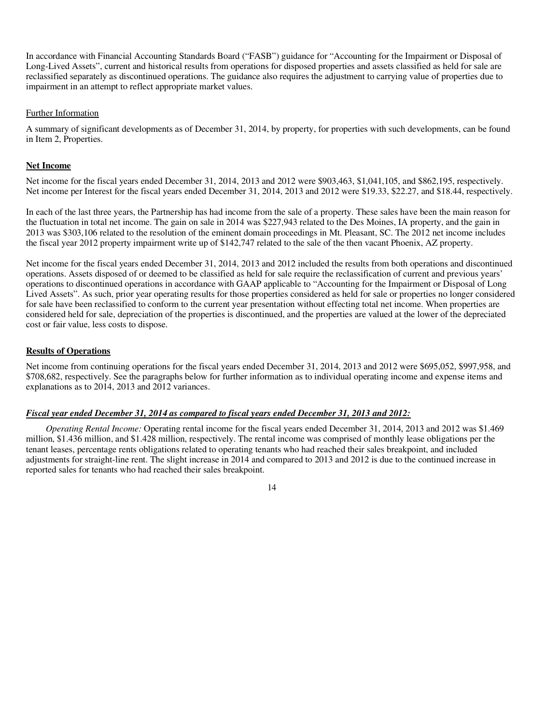In accordance with Financial Accounting Standards Board ("FASB") guidance for "Accounting for the Impairment or Disposal of Long-Lived Assets", current and historical results from operations for disposed properties and assets classified as held for sale are reclassified separately as discontinued operations. The guidance also requires the adjustment to carrying value of properties due to impairment in an attempt to reflect appropriate market values.

# Further Information

A summary of significant developments as of December 31, 2014, by property, for properties with such developments, can be found in Item 2, Properties.

# **Net Income**

Net income for the fiscal years ended December 31, 2014, 2013 and 2012 were \$903,463, \$1,041,105, and \$862,195, respectively. Net income per Interest for the fiscal years ended December 31, 2014, 2013 and 2012 were \$19.33, \$22.27, and \$18.44, respectively.

In each of the last three years, the Partnership has had income from the sale of a property. These sales have been the main reason for the fluctuation in total net income. The gain on sale in 2014 was \$227,943 related to the Des Moines, IA property, and the gain in 2013 was \$303,106 related to the resolution of the eminent domain proceedings in Mt. Pleasant, SC. The 2012 net income includes the fiscal year 2012 property impairment write up of \$142,747 related to the sale of the then vacant Phoenix, AZ property.

Net income for the fiscal years ended December 31, 2014, 2013 and 2012 included the results from both operations and discontinued operations. Assets disposed of or deemed to be classified as held for sale require the reclassification of current and previous years' operations to discontinued operations in accordance with GAAP applicable to "Accounting for the Impairment or Disposal of Long Lived Assets". As such, prior year operating results for those properties considered as held for sale or properties no longer considered for sale have been reclassified to conform to the current year presentation without effecting total net income. When properties are considered held for sale, depreciation of the properties is discontinued, and the properties are valued at the lower of the depreciated cost or fair value, less costs to dispose.

# **Results of Operations**

Net income from continuing operations for the fiscal years ended December 31, 2014, 2013 and 2012 were \$695,052, \$997,958, and \$708,682, respectively. See the paragraphs below for further information as to individual operating income and expense items and explanations as to 2014, 2013 and 2012 variances.

# *Fiscal year ended December 31, 2014 as compared to fiscal years ended December 31, 2013 and 2012:*

*Operating Rental Income:* Operating rental income for the fiscal years ended December 31, 2014, 2013 and 2012 was \$1.469 million, \$1.436 million, and \$1.428 million, respectively. The rental income was comprised of monthly lease obligations per the tenant leases, percentage rents obligations related to operating tenants who had reached their sales breakpoint, and included adjustments for straight-line rent. The slight increase in 2014 and compared to 2013 and 2012 is due to the continued increase in reported sales for tenants who had reached their sales breakpoint.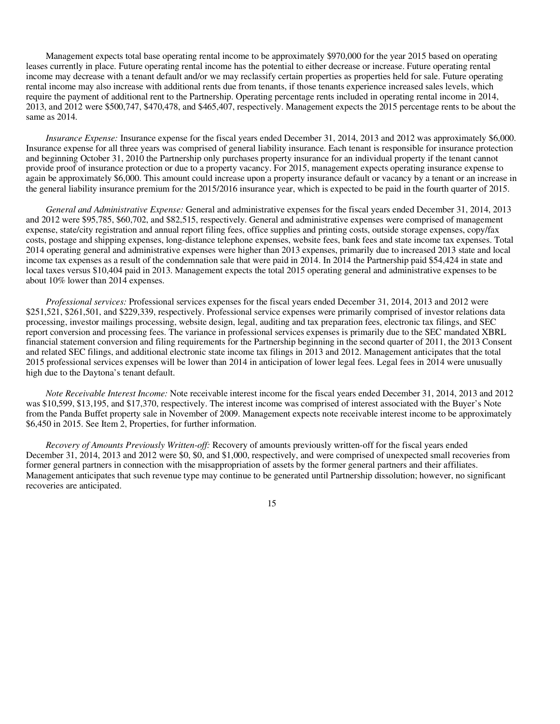Management expects total base operating rental income to be approximately \$970,000 for the year 2015 based on operating leases currently in place. Future operating rental income has the potential to either decrease or increase. Future operating rental income may decrease with a tenant default and/or we may reclassify certain properties as properties held for sale. Future operating rental income may also increase with additional rents due from tenants, if those tenants experience increased sales levels, which require the payment of additional rent to the Partnership. Operating percentage rents included in operating rental income in 2014, 2013, and 2012 were \$500,747, \$470,478, and \$465,407, respectively. Management expects the 2015 percentage rents to be about the same as 2014.

*Insurance Expense:* Insurance expense for the fiscal years ended December 31, 2014, 2013 and 2012 was approximately \$6,000. Insurance expense for all three years was comprised of general liability insurance. Each tenant is responsible for insurance protection and beginning October 31, 2010 the Partnership only purchases property insurance for an individual property if the tenant cannot provide proof of insurance protection or due to a property vacancy. For 2015, management expects operating insurance expense to again be approximately \$6,000. This amount could increase upon a property insurance default or vacancy by a tenant or an increase in the general liability insurance premium for the 2015/2016 insurance year, which is expected to be paid in the fourth quarter of 2015.

*General and Administrative Expense:* General and administrative expenses for the fiscal years ended December 31, 2014, 2013 and 2012 were \$95,785, \$60,702, and \$82,515, respectively. General and administrative expenses were comprised of management expense, state/city registration and annual report filing fees, office supplies and printing costs, outside storage expenses, copy/fax costs, postage and shipping expenses, long-distance telephone expenses, website fees, bank fees and state income tax expenses. Total 2014 operating general and administrative expenses were higher than 2013 expenses, primarily due to increased 2013 state and local income tax expenses as a result of the condemnation sale that were paid in 2014. In 2014 the Partnership paid \$54,424 in state and local taxes versus \$10,404 paid in 2013. Management expects the total 2015 operating general and administrative expenses to be about 10% lower than 2014 expenses.

*Professional services:* Professional services expenses for the fiscal years ended December 31, 2014, 2013 and 2012 were \$251,521, \$261,501, and \$229,339, respectively. Professional service expenses were primarily comprised of investor relations data processing, investor mailings processing, website design, legal, auditing and tax preparation fees, electronic tax filings, and SEC report conversion and processing fees. The variance in professional services expenses is primarily due to the SEC mandated XBRL financial statement conversion and filing requirements for the Partnership beginning in the second quarter of 2011, the 2013 Consent and related SEC filings, and additional electronic state income tax filings in 2013 and 2012. Management anticipates that the total 2015 professional services expenses will be lower than 2014 in anticipation of lower legal fees. Legal fees in 2014 were unusually high due to the Daytona's tenant default.

*Note Receivable Interest Income:* Note receivable interest income for the fiscal years ended December 31, 2014, 2013 and 2012 was \$10,599, \$13,195, and \$17,370, respectively. The interest income was comprised of interest associated with the Buyer's Note from the Panda Buffet property sale in November of 2009. Management expects note receivable interest income to be approximately \$6,450 in 2015. See Item 2, Properties, for further information.

*Recovery of Amounts Previously Written-off:* Recovery of amounts previously written-off for the fiscal years ended December 31, 2014, 2013 and 2012 were \$0, \$0, and \$1,000, respectively, and were comprised of unexpected small recoveries from former general partners in connection with the misappropriation of assets by the former general partners and their affiliates. Management anticipates that such revenue type may continue to be generated until Partnership dissolution; however, no significant recoveries are anticipated.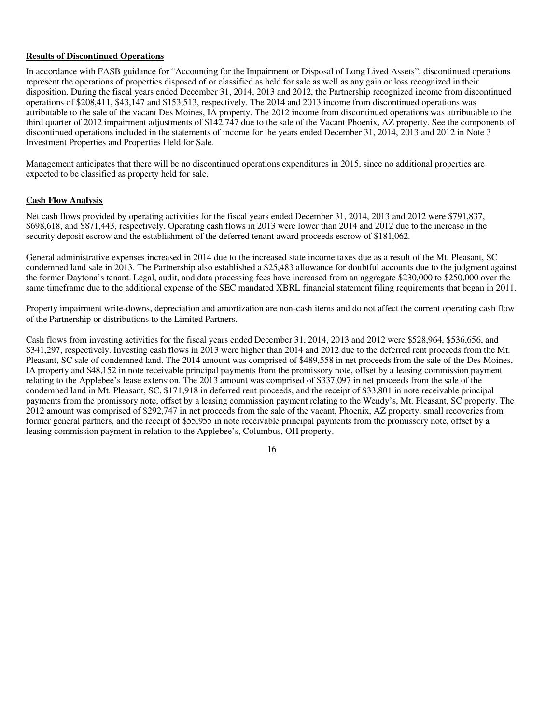# **Results of Discontinued Operations**

In accordance with FASB guidance for "Accounting for the Impairment or Disposal of Long Lived Assets", discontinued operations represent the operations of properties disposed of or classified as held for sale as well as any gain or loss recognized in their disposition. During the fiscal years ended December 31, 2014, 2013 and 2012, the Partnership recognized income from discontinued operations of \$208,411, \$43,147 and \$153,513, respectively. The 2014 and 2013 income from discontinued operations was attributable to the sale of the vacant Des Moines, IA property. The 2012 income from discontinued operations was attributable to the third quarter of 2012 impairment adjustments of \$142,747 due to the sale of the Vacant Phoenix, AZ property. See the components of discontinued operations included in the statements of income for the years ended December 31, 2014, 2013 and 2012 in Note 3 Investment Properties and Properties Held for Sale.

Management anticipates that there will be no discontinued operations expenditures in 2015, since no additional properties are expected to be classified as property held for sale.

# **Cash Flow Analysis**

Net cash flows provided by operating activities for the fiscal years ended December 31, 2014, 2013 and 2012 were \$791,837, \$698,618, and \$871,443, respectively. Operating cash flows in 2013 were lower than 2014 and 2012 due to the increase in the security deposit escrow and the establishment of the deferred tenant award proceeds escrow of \$181,062.

General administrative expenses increased in 2014 due to the increased state income taxes due as a result of the Mt. Pleasant, SC condemned land sale in 2013. The Partnership also established a \$25,483 allowance for doubtful accounts due to the judgment against the former Daytona's tenant. Legal, audit, and data processing fees have increased from an aggregate \$230,000 to \$250,000 over the same timeframe due to the additional expense of the SEC mandated XBRL financial statement filing requirements that began in 2011.

Property impairment write-downs, depreciation and amortization are non-cash items and do not affect the current operating cash flow of the Partnership or distributions to the Limited Partners.

Cash flows from investing activities for the fiscal years ended December 31, 2014, 2013 and 2012 were \$528,964, \$536,656, and \$341,297, respectively. Investing cash flows in 2013 were higher than 2014 and 2012 due to the deferred rent proceeds from the Mt. Pleasant, SC sale of condemned land. The 2014 amount was comprised of \$489,558 in net proceeds from the sale of the Des Moines, IA property and \$48,152 in note receivable principal payments from the promissory note, offset by a leasing commission payment relating to the Applebee's lease extension. The 2013 amount was comprised of \$337,097 in net proceeds from the sale of the condemned land in Mt. Pleasant, SC, \$171,918 in deferred rent proceeds, and the receipt of \$33,801 in note receivable principal payments from the promissory note, offset by a leasing commission payment relating to the Wendy's, Mt. Pleasant, SC property. The 2012 amount was comprised of \$292,747 in net proceeds from the sale of the vacant, Phoenix, AZ property, small recoveries from former general partners, and the receipt of \$55,955 in note receivable principal payments from the promissory note, offset by a leasing commission payment in relation to the Applebee's, Columbus, OH property.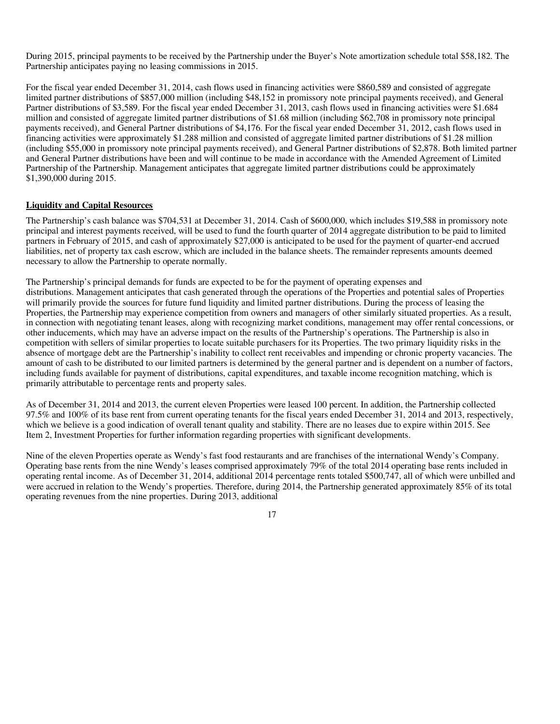During 2015, principal payments to be received by the Partnership under the Buyer's Note amortization schedule total \$58,182. The Partnership anticipates paying no leasing commissions in 2015.

For the fiscal year ended December 31, 2014, cash flows used in financing activities were \$860,589 and consisted of aggregate limited partner distributions of \$857,000 million (including \$48,152 in promissory note principal payments received), and General Partner distributions of \$3,589. For the fiscal year ended December 31, 2013, cash flows used in financing activities were \$1.684 million and consisted of aggregate limited partner distributions of \$1.68 million (including \$62,708 in promissory note principal payments received), and General Partner distributions of \$4,176. For the fiscal year ended December 31, 2012, cash flows used in financing activities were approximately \$1.288 million and consisted of aggregate limited partner distributions of \$1.28 million (including \$55,000 in promissory note principal payments received), and General Partner distributions of \$2,878. Both limited partner and General Partner distributions have been and will continue to be made in accordance with the Amended Agreement of Limited Partnership of the Partnership. Management anticipates that aggregate limited partner distributions could be approximately \$1,390,000 during 2015.

#### **Liquidity and Capital Resources**

The Partnership's cash balance was \$704,531 at December 31, 2014. Cash of \$600,000, which includes \$19,588 in promissory note principal and interest payments received, will be used to fund the fourth quarter of 2014 aggregate distribution to be paid to limited partners in February of 2015, and cash of approximately \$27,000 is anticipated to be used for the payment of quarter-end accrued liabilities, net of property tax cash escrow, which are included in the balance sheets. The remainder represents amounts deemed necessary to allow the Partnership to operate normally.

The Partnership's principal demands for funds are expected to be for the payment of operating expenses and distributions. Management anticipates that cash generated through the operations of the Properties and potential sales of Properties will primarily provide the sources for future fund liquidity and limited partner distributions. During the process of leasing the Properties, the Partnership may experience competition from owners and managers of other similarly situated properties. As a result, in connection with negotiating tenant leases, along with recognizing market conditions, management may offer rental concessions, or other inducements, which may have an adverse impact on the results of the Partnership's operations. The Partnership is also in competition with sellers of similar properties to locate suitable purchasers for its Properties. The two primary liquidity risks in the absence of mortgage debt are the Partnership's inability to collect rent receivables and impending or chronic property vacancies. The amount of cash to be distributed to our limited partners is determined by the general partner and is dependent on a number of factors, including funds available for payment of distributions, capital expenditures, and taxable income recognition matching, which is primarily attributable to percentage rents and property sales.

As of December 31, 2014 and 2013, the current eleven Properties were leased 100 percent. In addition, the Partnership collected 97.5% and 100% of its base rent from current operating tenants for the fiscal years ended December 31, 2014 and 2013, respectively, which we believe is a good indication of overall tenant quality and stability. There are no leases due to expire within 2015. See Item 2, Investment Properties for further information regarding properties with significant developments.

Nine of the eleven Properties operate as Wendy's fast food restaurants and are franchises of the international Wendy's Company. Operating base rents from the nine Wendy's leases comprised approximately 79% of the total 2014 operating base rents included in operating rental income. As of December 31, 2014, additional 2014 percentage rents totaled \$500,747, all of which were unbilled and were accrued in relation to the Wendy's properties. Therefore, during 2014, the Partnership generated approximately 85% of its total operating revenues from the nine properties. During 2013, additional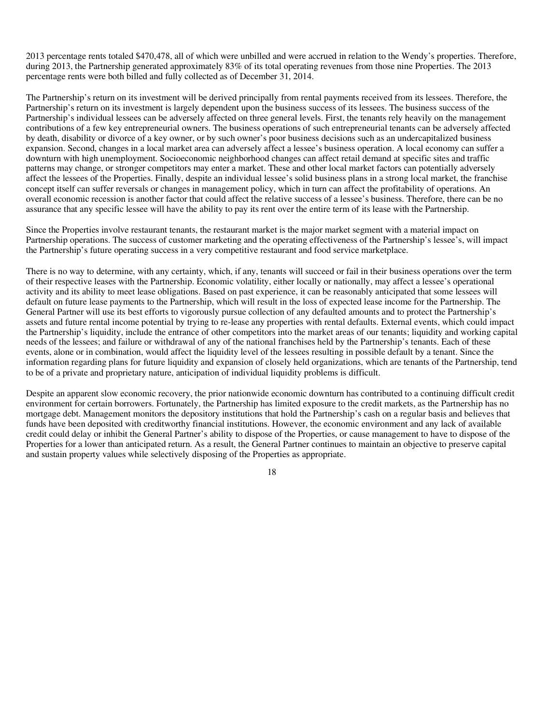2013 percentage rents totaled \$470,478, all of which were unbilled and were accrued in relation to the Wendy's properties. Therefore, during 2013, the Partnership generated approximately 83% of its total operating revenues from those nine Properties. The 2013 percentage rents were both billed and fully collected as of December 31, 2014.

The Partnership's return on its investment will be derived principally from rental payments received from its lessees. Therefore, the Partnership's return on its investment is largely dependent upon the business success of its lessees. The business success of the Partnership's individual lessees can be adversely affected on three general levels. First, the tenants rely heavily on the management contributions of a few key entrepreneurial owners. The business operations of such entrepreneurial tenants can be adversely affected by death, disability or divorce of a key owner, or by such owner's poor business decisions such as an undercapitalized business expansion. Second, changes in a local market area can adversely affect a lessee's business operation. A local economy can suffer a downturn with high unemployment. Socioeconomic neighborhood changes can affect retail demand at specific sites and traffic patterns may change, or stronger competitors may enter a market. These and other local market factors can potentially adversely affect the lessees of the Properties. Finally, despite an individual lessee's solid business plans in a strong local market, the franchise concept itself can suffer reversals or changes in management policy, which in turn can affect the profitability of operations. An overall economic recession is another factor that could affect the relative success of a lessee's business. Therefore, there can be no assurance that any specific lessee will have the ability to pay its rent over the entire term of its lease with the Partnership.

Since the Properties involve restaurant tenants, the restaurant market is the major market segment with a material impact on Partnership operations. The success of customer marketing and the operating effectiveness of the Partnership's lessee's, will impact the Partnership's future operating success in a very competitive restaurant and food service marketplace.

There is no way to determine, with any certainty, which, if any, tenants will succeed or fail in their business operations over the term of their respective leases with the Partnership. Economic volatility, either locally or nationally, may affect a lessee's operational activity and its ability to meet lease obligations. Based on past experience, it can be reasonably anticipated that some lessees will default on future lease payments to the Partnership, which will result in the loss of expected lease income for the Partnership. The General Partner will use its best efforts to vigorously pursue collection of any defaulted amounts and to protect the Partnership's assets and future rental income potential by trying to re-lease any properties with rental defaults. External events, which could impact the Partnership's liquidity, include the entrance of other competitors into the market areas of our tenants; liquidity and working capital needs of the lessees; and failure or withdrawal of any of the national franchises held by the Partnership's tenants. Each of these events, alone or in combination, would affect the liquidity level of the lessees resulting in possible default by a tenant. Since the information regarding plans for future liquidity and expansion of closely held organizations, which are tenants of the Partnership, tend to be of a private and proprietary nature, anticipation of individual liquidity problems is difficult.

Despite an apparent slow economic recovery, the prior nationwide economic downturn has contributed to a continuing difficult credit environment for certain borrowers. Fortunately, the Partnership has limited exposure to the credit markets, as the Partnership has no mortgage debt. Management monitors the depository institutions that hold the Partnership's cash on a regular basis and believes that funds have been deposited with creditworthy financial institutions. However, the economic environment and any lack of available credit could delay or inhibit the General Partner's ability to dispose of the Properties, or cause management to have to dispose of the Properties for a lower than anticipated return. As a result, the General Partner continues to maintain an objective to preserve capital and sustain property values while selectively disposing of the Properties as appropriate.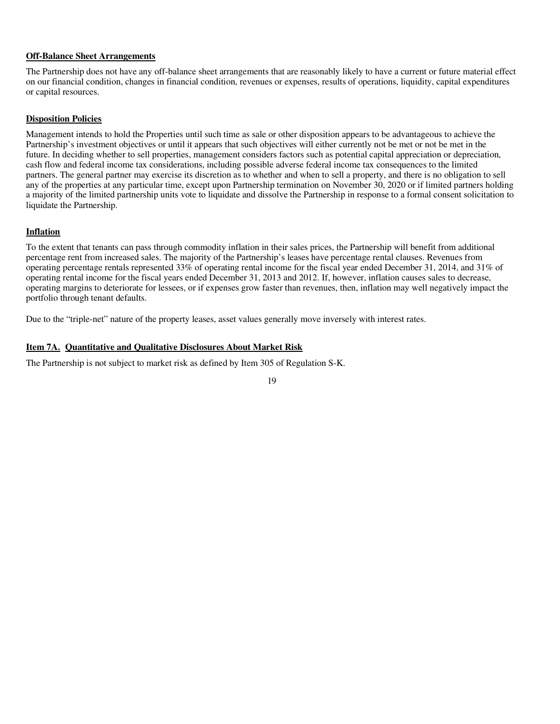# **Off-Balance Sheet Arrangements**

The Partnership does not have any off-balance sheet arrangements that are reasonably likely to have a current or future material effect on our financial condition, changes in financial condition, revenues or expenses, results of operations, liquidity, capital expenditures or capital resources.

# **Disposition Policies**

Management intends to hold the Properties until such time as sale or other disposition appears to be advantageous to achieve the Partnership's investment objectives or until it appears that such objectives will either currently not be met or not be met in the future. In deciding whether to sell properties, management considers factors such as potential capital appreciation or depreciation, cash flow and federal income tax considerations, including possible adverse federal income tax consequences to the limited partners. The general partner may exercise its discretion as to whether and when to sell a property, and there is no obligation to sell any of the properties at any particular time, except upon Partnership termination on November 30, 2020 or if limited partners holding a majority of the limited partnership units vote to liquidate and dissolve the Partnership in response to a formal consent solicitation to liquidate the Partnership.

# **Inflation**

To the extent that tenants can pass through commodity inflation in their sales prices, the Partnership will benefit from additional percentage rent from increased sales. The majority of the Partnership's leases have percentage rental clauses. Revenues from operating percentage rentals represented 33% of operating rental income for the fiscal year ended December 31, 2014, and 31% of operating rental income for the fiscal years ended December 31, 2013 and 2012. If, however, inflation causes sales to decrease, operating margins to deteriorate for lessees, or if expenses grow faster than revenues, then, inflation may well negatively impact the portfolio through tenant defaults.

Due to the "triple-net" nature of the property leases, asset values generally move inversely with interest rates.

#### **Item 7A. Quantitative and Qualitative Disclosures About Market Risk**

The Partnership is not subject to market risk as defined by Item 305 of Regulation S-K.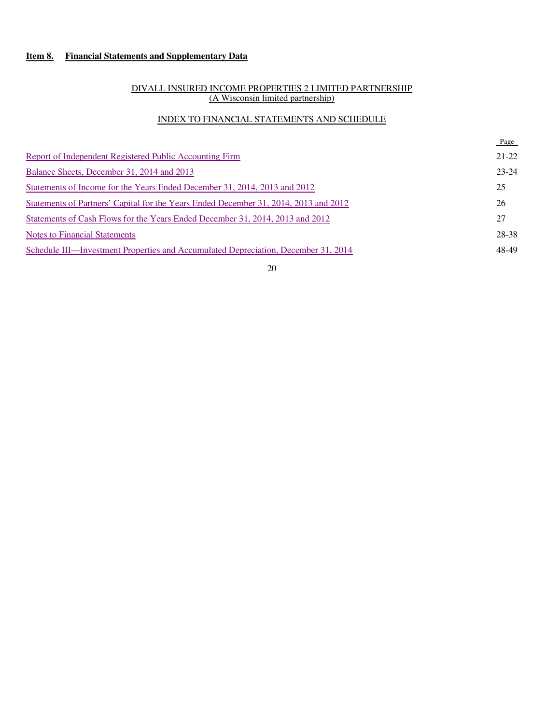# **Item 8. Financial Statements and Supplementary Data**

# DIVALL INSURED INCOME PROPERTIES 2 LIMITED PARTNERSHIP (A Wisconsin limited partnership)

# INDEX TO FINANCIAL STATEMENTS AND SCHEDULE

|                                                                                      | Page    |
|--------------------------------------------------------------------------------------|---------|
| Report of Independent Registered Public Accounting Firm                              | $21-22$ |
| Balance Sheets, December 31, 2014 and 2013                                           | 23-24   |
| Statements of Income for the Years Ended December 31, 2014, 2013 and 2012            | 25      |
| Statements of Partners' Capital for the Years Ended December 31, 2014, 2013 and 2012 | 26      |
| Statements of Cash Flows for the Years Ended December 31, 2014, 2013 and 2012        | 27      |
| Notes to Financial Statements                                                        | 28-38   |
| Schedule III—Investment Properties and Accumulated Depreciation, December 31, 2014   | 48-49   |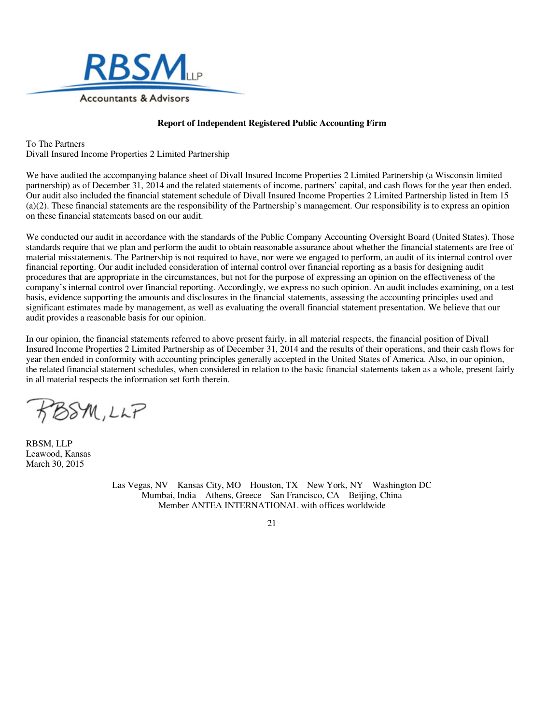

#### **Report of Independent Registered Public Accounting Firm**

To The Partners Divall Insured Income Properties 2 Limited Partnership

We have audited the accompanying balance sheet of Divall Insured Income Properties 2 Limited Partnership (a Wisconsin limited partnership) as of December 31, 2014 and the related statements of income, partners' capital, and cash flows for the year then ended. Our audit also included the financial statement schedule of Divall Insured Income Properties 2 Limited Partnership listed in Item 15 (a)(2). These financial statements are the responsibility of the Partnership's management. Our responsibility is to express an opinion on these financial statements based on our audit.

We conducted our audit in accordance with the standards of the Public Company Accounting Oversight Board (United States). Those standards require that we plan and perform the audit to obtain reasonable assurance about whether the financial statements are free of material misstatements. The Partnership is not required to have, nor were we engaged to perform, an audit of its internal control over financial reporting. Our audit included consideration of internal control over financial reporting as a basis for designing audit procedures that are appropriate in the circumstances, but not for the purpose of expressing an opinion on the effectiveness of the company's internal control over financial reporting. Accordingly, we express no such opinion. An audit includes examining, on a test basis, evidence supporting the amounts and disclosures in the financial statements, assessing the accounting principles used and significant estimates made by management, as well as evaluating the overall financial statement presentation. We believe that our audit provides a reasonable basis for our opinion.

In our opinion, the financial statements referred to above present fairly, in all material respects, the financial position of Divall Insured Income Properties 2 Limited Partnership as of December 31, 2014 and the results of their operations, and their cash flows for year then ended in conformity with accounting principles generally accepted in the United States of America. Also, in our opinion, the related financial statement schedules, when considered in relation to the basic financial statements taken as a whole, present fairly in all material respects the information set forth therein.

BSYM, LLP

RBSM, LLP Leawood, Kansas March 30, 2015

Las Vegas, NV Kansas City, MO Houston, TX New York, NY Washington DC Mumbai, India Athens, Greece San Francisco, CA Beijing, China Member ANTEA INTERNATIONAL with offices worldwide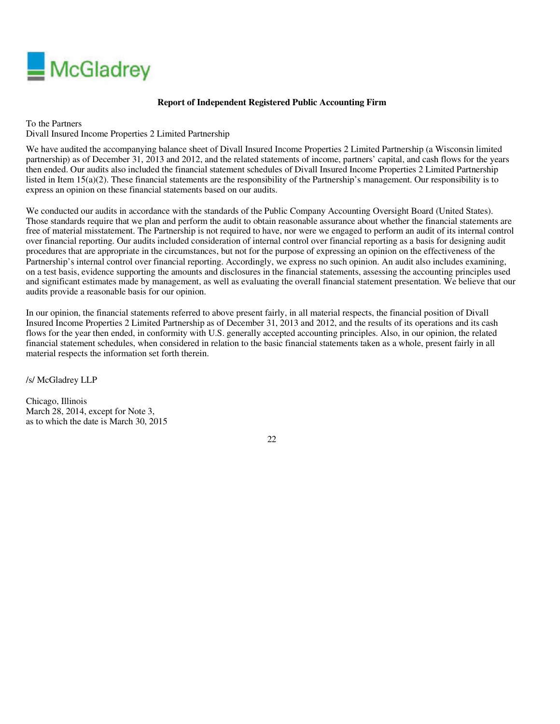

#### **Report of Independent Registered Public Accounting Firm**

To the Partners Divall Insured Income Properties 2 Limited Partnership

We have audited the accompanying balance sheet of Divall Insured Income Properties 2 Limited Partnership (a Wisconsin limited partnership) as of December 31, 2013 and 2012, and the related statements of income, partners' capital, and cash flows for the years then ended. Our audits also included the financial statement schedules of Divall Insured Income Properties 2 Limited Partnership listed in Item 15(a)(2). These financial statements are the responsibility of the Partnership's management. Our responsibility is to express an opinion on these financial statements based on our audits.

We conducted our audits in accordance with the standards of the Public Company Accounting Oversight Board (United States). Those standards require that we plan and perform the audit to obtain reasonable assurance about whether the financial statements are free of material misstatement. The Partnership is not required to have, nor were we engaged to perform an audit of its internal control over financial reporting. Our audits included consideration of internal control over financial reporting as a basis for designing audit procedures that are appropriate in the circumstances, but not for the purpose of expressing an opinion on the effectiveness of the Partnership's internal control over financial reporting. Accordingly, we express no such opinion. An audit also includes examining, on a test basis, evidence supporting the amounts and disclosures in the financial statements, assessing the accounting principles used and significant estimates made by management, as well as evaluating the overall financial statement presentation. We believe that our audits provide a reasonable basis for our opinion.

In our opinion, the financial statements referred to above present fairly, in all material respects, the financial position of Divall Insured Income Properties 2 Limited Partnership as of December 31, 2013 and 2012, and the results of its operations and its cash flows for the year then ended, in conformity with U.S. generally accepted accounting principles. Also, in our opinion, the related financial statement schedules, when considered in relation to the basic financial statements taken as a whole, present fairly in all material respects the information set forth therein.

/s/ McGladrey LLP

Chicago, Illinois March 28, 2014, except for Note 3, as to which the date is March 30, 2015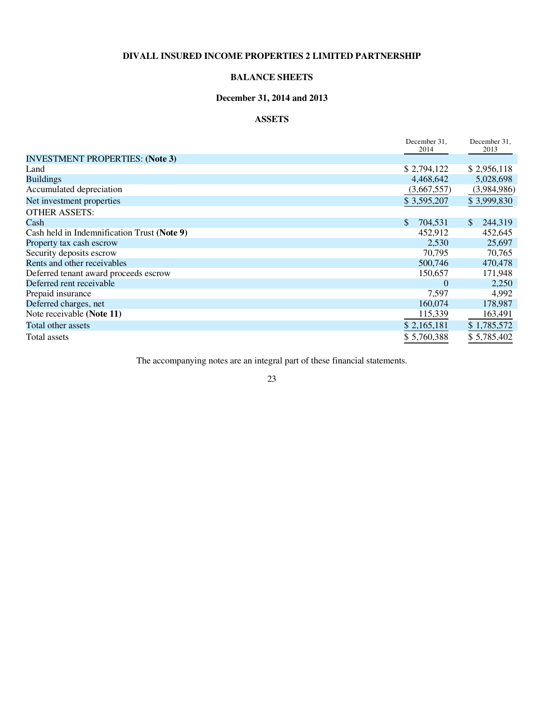# **BALANCE SHEETS**

# **December 31, 2014 and 2013**

# **ASSETS**

|                                             | December 31,<br>2014 | December 31,<br>2013     |
|---------------------------------------------|----------------------|--------------------------|
| <b>INVESTMENT PROPERTIES: (Note 3)</b>      |                      |                          |
| Land                                        | \$2,794,122          | \$2,956,118              |
| <b>Buildings</b>                            | 4,468,642            | 5,028,698                |
| Accumulated depreciation                    | (3,667,557)          | (3,984,986)              |
| Net investment properties                   | \$3,595,207          | \$3,999,830              |
| <b>OTHER ASSETS:</b>                        |                      |                          |
| Cash                                        | \$<br>704,531        | 244,319<br><sup>\$</sup> |
| Cash held in Indemnification Trust (Note 9) | 452,912              | 452,645                  |
| Property tax cash escrow                    | 2,530                | 25,697                   |
| Security deposits escrow                    | 70,795               | 70,765                   |
| Rents and other receivables                 | 500,746              | 470,478                  |
| Deferred tenant award proceeds escrow       | 150,657              | 171,948                  |
| Deferred rent receivable                    | $\theta$             | 2,250                    |
| Prepaid insurance                           | 7,597                | 4,992                    |
| Deferred charges, net                       | 160,074              | 178,987                  |
| Note receivable (Note 11)                   | 115,339              | 163,491                  |
| Total other assets                          | \$2,165,181          | \$1,785,572              |
| Total assets                                | \$5,760,388          | \$5,785,402              |

The accompanying notes are an integral part of these financial statements.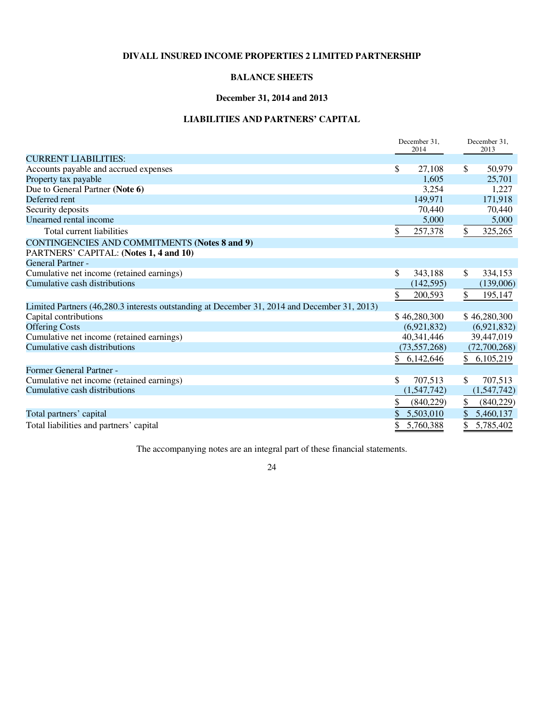# **BALANCE SHEETS**

# **December 31, 2014 and 2013**

# **LIABILITIES AND PARTNERS' CAPITAL**

|                                                                                              |    | December 31,<br>2014 |              | December 31,<br>2013 |
|----------------------------------------------------------------------------------------------|----|----------------------|--------------|----------------------|
| <b>CURRENT LIABILITIES:</b>                                                                  |    |                      |              |                      |
| Accounts payable and accrued expenses                                                        | \$ | 27,108               | \$           | 50,979               |
| Property tax payable                                                                         |    | 1.605                |              | 25,701               |
| Due to General Partner (Note 6)                                                              |    | 3,254                |              | 1,227                |
| Deferred rent                                                                                |    | 149,971              |              | 171,918              |
| Security deposits                                                                            |    | 70,440               |              | 70,440               |
| Unearned rental income                                                                       |    | 5,000                |              | 5,000                |
| Total current liabilities                                                                    | \$ | 257,378              | \$           | 325,265              |
| <b>CONTINGENCIES AND COMMITMENTS (Notes 8 and 9)</b>                                         |    |                      |              |                      |
| PARTNERS' CAPITAL: (Notes 1, 4 and 10)                                                       |    |                      |              |                      |
| <b>General Partner -</b>                                                                     |    |                      |              |                      |
| Cumulative net income (retained earnings)                                                    | \$ | 343,188              | \$           | 334,153              |
| Cumulative cash distributions                                                                |    | (142, 595)           |              | (139,006)            |
|                                                                                              | \$ | 200,593              | \$           | 195,147              |
| Limited Partners (46,280.3 interests outstanding at December 31, 2014 and December 31, 2013) |    |                      |              |                      |
| Capital contributions                                                                        |    | \$46,280,300         |              | \$46,280,300         |
| <b>Offering Costs</b>                                                                        |    | (6,921,832)          |              | (6,921,832)          |
| Cumulative net income (retained earnings)                                                    |    | 40,341,446           |              | 39,447,019           |
| Cumulative cash distributions                                                                |    | (73, 557, 268)       |              | (72,700,268)         |
|                                                                                              | S. | 6,142,646            | \$           | 6,105,219            |
| <b>Former General Partner -</b>                                                              |    |                      |              |                      |
| Cumulative net income (retained earnings)                                                    | \$ | 707,513              | \$.          | 707,513              |
| Cumulative cash distributions                                                                |    | (1,547,742)          |              | (1,547,742)          |
|                                                                                              | \$ | (840, 229)           | \$           | (840, 229)           |
| Total partners' capital                                                                      |    | 5,503,010            | $\mathbb{S}$ | 5,460,137            |
| Total liabilities and partners' capital                                                      |    | 5,760,388            |              | 5,785,402            |

The accompanying notes are an integral part of these financial statements.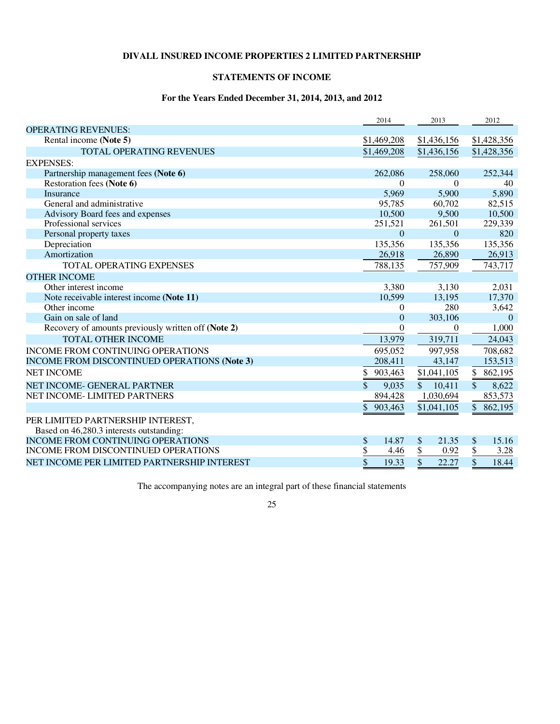# **STATEMENTS OF INCOME**

# **For the Years Ended December 31, 2014, 2013, and 2012**

|                                                     | 2014                     | 2013                             | 2012                  |
|-----------------------------------------------------|--------------------------|----------------------------------|-----------------------|
| <b>OPERATING REVENUES:</b>                          |                          |                                  |                       |
| Rental income (Note 5)                              | \$1,469,208              | \$1,436,156                      | \$1,428,356           |
| <b>TOTAL OPERATING REVENUES</b>                     | \$1,469,208              | \$1,436,156                      | \$1,428,356           |
| <b>EXPENSES:</b>                                    |                          |                                  |                       |
| Partnership management fees (Note 6)                | 262,086                  | 258,060                          | 252,344               |
| Restoration fees (Note 6)                           | $\Omega$                 | $\Omega$                         | 40                    |
| <b>Insurance</b>                                    | 5,969                    | 5,900                            | 5,890                 |
| General and administrative                          | 95,785                   | 60.702                           | 82,515                |
| Advisory Board fees and expenses                    | 10,500                   | 9,500                            | 10,500                |
| Professional services                               | 251,521                  | 261,501                          | 229,339               |
| Personal property taxes                             | $\mathbf{0}$             | $\theta$                         | 820                   |
| Depreciation                                        | 135,356                  | 135,356                          | 135,356               |
| Amortization                                        | 26,918                   | 26,890                           | 26,913                |
| TOTAL OPERATING EXPENSES                            | 788,135                  | 757,909                          | 743,717               |
| <b>OTHER INCOME</b>                                 |                          |                                  |                       |
| Other interest income                               | 3,380                    | 3,130                            | 2,031                 |
| Note receivable interest income (Note 11)           | 10,599                   | 13.195                           | 17,370                |
| Other income                                        | $\theta$                 | 280                              | 3,642                 |
| Gain on sale of land                                | $\boldsymbol{0}$         | 303,106                          | $\Omega$              |
| Recovery of amounts previously written off (Note 2) | $\overline{0}$           | $\theta$                         | 1,000                 |
| <b>TOTAL OTHER INCOME</b>                           | 13,979                   | 319,711                          | 24,043                |
| <b>INCOME FROM CONTINUING OPERATIONS</b>            | 695,052                  | 997,958                          | 708,682               |
| INCOME FROM DISCONTINUED OPERATIONS (Note 3)        | 208,411                  | 43,147                           | 153,513               |
| <b>NET INCOME</b>                                   | \$<br>903,463            | \$1,041,105                      | \$<br>862,195         |
| NET INCOME- GENERAL PARTNER                         | \$<br>9,035              | $\mathbb{S}$<br>10,411           | $\mathbb{S}$<br>8,622 |
| NET INCOME-LIMITED PARTNERS                         | 894,428                  | 1,030,694                        | 853,573               |
|                                                     | $\mathcal{S}$<br>903,463 | \$1,041,105                      | \$862,195             |
| PER LIMITED PARTNERSHIP INTEREST,                   |                          |                                  |                       |
| Based on 46,280.3 interests outstanding:            |                          |                                  |                       |
| <b>INCOME FROM CONTINUING OPERATIONS</b>            | \$<br>14.87              | \$<br>21.35                      | $\mathbb{S}$<br>15.16 |
| <b>INCOME FROM DISCONTINUED OPERATIONS</b>          | \$<br>4.46               | $\overline{\mathcal{C}}$<br>0.92 | \$<br>3.28            |
| NET INCOME PER LIMITED PARTNERSHIP INTEREST         | \$<br>19.33              | \$<br>22.27                      | $\mathbb{S}$<br>18.44 |
|                                                     |                          |                                  |                       |

The accompanying notes are an integral part of these financial statements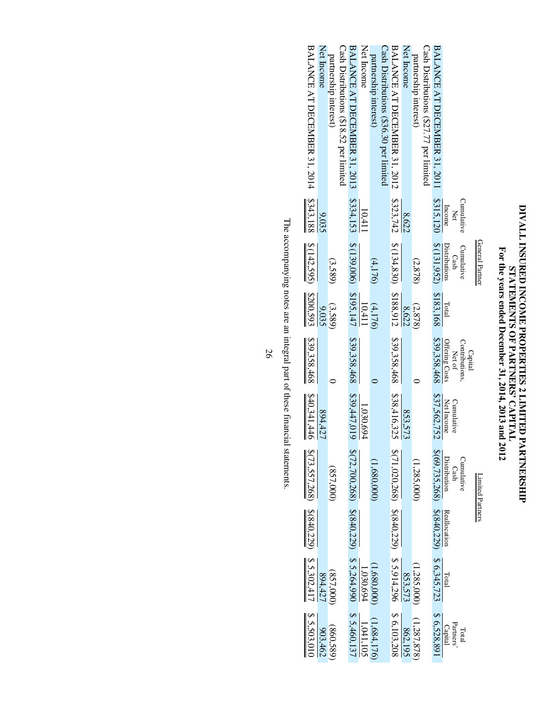# DIVALL INSURED INCOME PROPERTIES 2 LIMITED PARTNERSHIP<br>STATEMENTS OF PARTNERS' CAPITAL<br>For the years ended December 31, 2014, 2013 and 2012 **DIVALL INSURED INCOME PROPERTIES 2 LIMITED PARTNERSHIP For the years ended December 31, 2014, 2013 and 2012 STATEMENTS OF PARTNERS' CAPITAL**

| BALANCE AT DECEMBER 31, 2014<br>Cash Distributions (\$18.52 per limited<br>Net Income<br>partnership interest)                  | BALANCE AT DECEMBER 31, 2013<br>Cash Distributions (\$36.30 per limited<br>Net Income<br>partnership interest) | Cash Distributions (\$27.77 per limited<br>BALANCE AT DECEMBER 31, 2012<br>Net Income<br>partnership interest) | BALANCE AT DECEMBER 31, 2011                                                     |
|---------------------------------------------------------------------------------------------------------------------------------|----------------------------------------------------------------------------------------------------------------|----------------------------------------------------------------------------------------------------------------|----------------------------------------------------------------------------------|
| \$343,188<br>9,035                                                                                                              | \$334,153<br>10,411                                                                                            | \$323,742<br>8,622                                                                                             | \$315,120<br>Cumulative<br>Income<br>Net                                         |
| $$(142,595)$ \$200,593<br>(3,589)                                                                                               | $$(139,006)$ \$195,147<br>(4,176)                                                                              | $$(134,830)$ \$188,912<br>(2,878)                                                                              | $$(131,952)$ \$183,168<br>General Partner<br>Distributions<br>Cumulative<br>Cash |
| 9.035<br>(3,589)                                                                                                                | 10,411<br>(4,176)                                                                                              | 8.622<br>(2, 878)                                                                                              | Total                                                                            |
| \$39,358,468                                                                                                                    | \$39,358,468                                                                                                   | \$39,358,468                                                                                                   | \$39,358,468<br><b>Offering Costs</b><br>Contributions,<br>Net of<br>Capital     |
| \$40,341,446<br>894,427                                                                                                         | \$39,447,019<br>1,030,694                                                                                      | \$38,416,325<br>853,573                                                                                        | \$37,562,752<br>Net Income<br>Cumulative                                         |
| (857,000)                                                                                                                       | (1,680,000)                                                                                                    | (1,285,000)                                                                                                    | <b>Distribution</b><br>Cumulative<br>Cash<br>Limited Partners                    |
|                                                                                                                                 |                                                                                                                |                                                                                                                | Reallocation                                                                     |
| $\frac{$(73,557,268)}{$5(240,229)}$ $\frac{$5,302,417}{{$5,302,417}}$ $\frac{$5,503,010}{{$5,503,010}}$<br>(S57,000)<br>894,427 | $$(72, 700, 268)$ $$(840, 229)$ $$5, 264, 990$ $$5, 460, 137$<br>$\frac{(1,680,000)}{1,030,694}$               | $\frac{853.573}{11,020,268}$ $\frac{853.573}{1,020,268}$ $\frac{85,040,229}{1,0340,229}$<br>(1,285,000)        | $$69, 735, 268$ $$840, 229$ $$6, 345, 723$ $$6, 528, 891$<br>Total               |
| (860,589)<br>903,462                                                                                                            | (1,684,176)<br>1,041,105                                                                                       | (1,287,878)                                                                                                    | Capital<br>Partners'<br>Total                                                    |

The accompanying notes are an integral part of these financial statements. The accompanying notes are an integral part of these financial statements.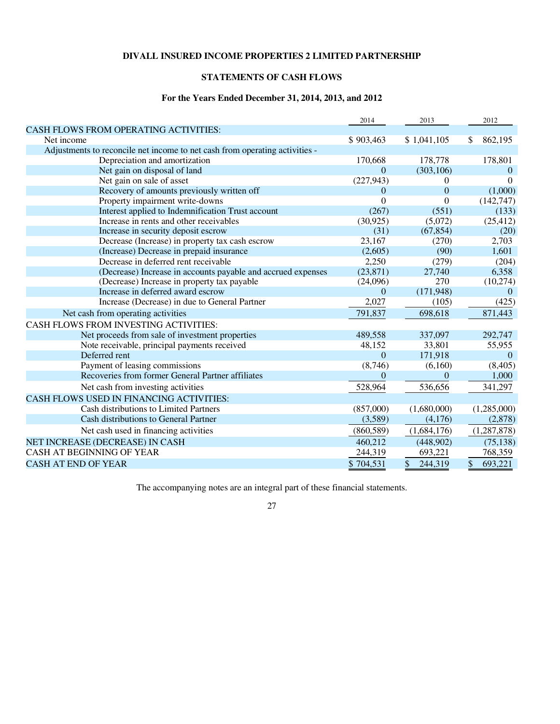# **STATEMENTS OF CASH FLOWS**

# **For the Years Ended December 31, 2014, 2013, and 2012**

|                                                                             | 2014             | 2013                     |               | 2012        |
|-----------------------------------------------------------------------------|------------------|--------------------------|---------------|-------------|
| CASH FLOWS FROM OPERATING ACTIVITIES:                                       |                  |                          |               |             |
| Net income                                                                  | \$903,463        | \$1,041,105              | \$.           | 862,195     |
| Adjustments to reconcile net income to net cash from operating activities - |                  |                          |               |             |
| Depreciation and amortization                                               | 170,668          | 178,778                  |               | 178,801     |
| Net gain on disposal of land                                                | $\Omega$         | (303, 106)               |               | $\theta$    |
| Net gain on sale of asset                                                   | (227, 943)       | $\Omega$                 |               | $\Omega$    |
| Recovery of amounts previously written off                                  | $\overline{0}$   | $\overline{0}$           |               | (1,000)     |
| Property impairment write-downs                                             | $\theta$         | $\theta$                 |               | (142, 747)  |
| Interest applied to Indemnification Trust account                           | (267)            | (551)                    |               | (133)       |
| Increase in rents and other receivables                                     | (30, 925)        | (5,072)                  |               | (25, 412)   |
| Increase in security deposit escrow                                         | (31)             | (67, 854)                |               | (20)        |
| Decrease (Increase) in property tax cash escrow                             | 23,167           | (270)                    |               | 2,703       |
| (Increase) Decrease in prepaid insurance                                    | (2,605)          | (90)                     |               | 1,601       |
| Decrease in deferred rent receivable                                        | 2,250            | (279)                    |               | (204)       |
| (Decrease) Increase in accounts payable and accrued expenses                | (23, 871)        | 27,740                   |               | 6,358       |
| (Decrease) Increase in property tax payable                                 | (24,096)         | 270                      |               | (10,274)    |
| Increase in deferred award escrow                                           | $\overline{0}$   | (171, 948)               |               | $\Omega$    |
| Increase (Decrease) in due to General Partner                               | 2,027            | (105)                    |               | (425)       |
| Net cash from operating activities                                          | 791,837          | 698,618                  |               | 871,443     |
| <b>CASH FLOWS FROM INVESTING ACTIVITIES:</b>                                |                  |                          |               |             |
| Net proceeds from sale of investment properties                             | 489,558          | 337,097                  |               | 292,747     |
| Note receivable, principal payments received                                | 48,152           | 33,801                   |               | 55,955      |
| Deferred rent                                                               | $\overline{0}$   | 171,918                  |               | $\Omega$    |
| Payment of leasing commissions                                              | (8,746)          | (6,160)                  |               | (8,405)     |
| Recoveries from former General Partner affiliates                           | $\boldsymbol{0}$ | $\Omega$                 |               | 1,000       |
| Net cash from investing activities                                          | 528,964          | 536,656                  |               | 341,297     |
| CASH FLOWS USED IN FINANCING ACTIVITIES:                                    |                  |                          |               |             |
| Cash distributions to Limited Partners                                      | (857,000)        | (1,680,000)              |               | (1,285,000) |
| Cash distributions to General Partner                                       | (3,589)          | (4,176)                  |               | (2,878)     |
| Net cash used in financing activities                                       | (860, 589)       | (1,684,176)              |               | (1,287,878) |
| NET INCREASE (DECREASE) IN CASH                                             | 460,212          | (448,902)                |               | (75, 138)   |
| <b>CASH AT BEGINNING OF YEAR</b>                                            | 244,319          | 693,221                  |               | 768,359     |
| <b>CASH AT END OF YEAR</b>                                                  | \$704,531        | $\frac{1}{2}$<br>244,319 | $\mathsf{\$}$ | 693,221     |
|                                                                             |                  |                          |               |             |

The accompanying notes are an integral part of these financial statements.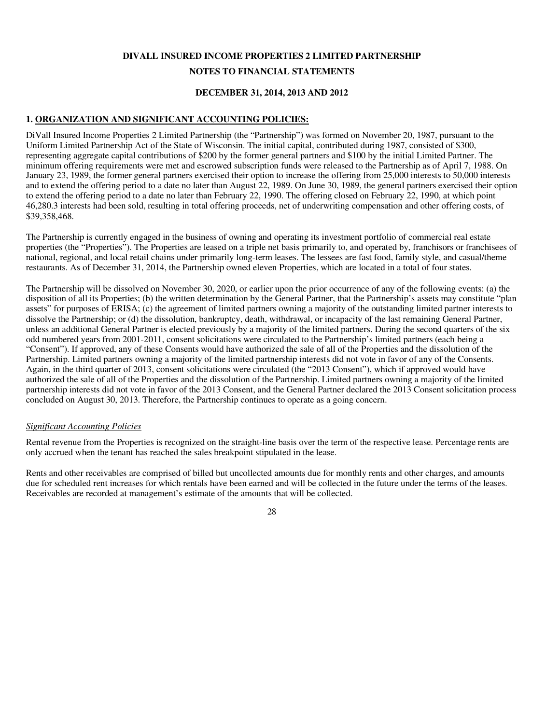# **NOTES TO FINANCIAL STATEMENTS**

#### **DECEMBER 31, 2014, 2013 AND 2012**

#### **1. ORGANIZATION AND SIGNIFICANT ACCOUNTING POLICIES:**

DiVall Insured Income Properties 2 Limited Partnership (the "Partnership") was formed on November 20, 1987, pursuant to the Uniform Limited Partnership Act of the State of Wisconsin. The initial capital, contributed during 1987, consisted of \$300, representing aggregate capital contributions of \$200 by the former general partners and \$100 by the initial Limited Partner. The minimum offering requirements were met and escrowed subscription funds were released to the Partnership as of April 7, 1988. On January 23, 1989, the former general partners exercised their option to increase the offering from 25,000 interests to 50,000 interests and to extend the offering period to a date no later than August 22, 1989. On June 30, 1989, the general partners exercised their option to extend the offering period to a date no later than February 22, 1990. The offering closed on February 22, 1990, at which point 46,280.3 interests had been sold, resulting in total offering proceeds, net of underwriting compensation and other offering costs, of \$39,358,468.

The Partnership is currently engaged in the business of owning and operating its investment portfolio of commercial real estate properties (the "Properties"). The Properties are leased on a triple net basis primarily to, and operated by, franchisors or franchisees of national, regional, and local retail chains under primarily long-term leases. The lessees are fast food, family style, and casual/theme restaurants. As of December 31, 2014, the Partnership owned eleven Properties, which are located in a total of four states.

The Partnership will be dissolved on November 30, 2020, or earlier upon the prior occurrence of any of the following events: (a) the disposition of all its Properties; (b) the written determination by the General Partner, that the Partnership's assets may constitute "plan assets" for purposes of ERISA; (c) the agreement of limited partners owning a majority of the outstanding limited partner interests to dissolve the Partnership; or (d) the dissolution, bankruptcy, death, withdrawal, or incapacity of the last remaining General Partner, unless an additional General Partner is elected previously by a majority of the limited partners. During the second quarters of the six odd numbered years from 2001-2011, consent solicitations were circulated to the Partnership's limited partners (each being a "Consent"). If approved, any of these Consents would have authorized the sale of all of the Properties and the dissolution of the Partnership. Limited partners owning a majority of the limited partnership interests did not vote in favor of any of the Consents. Again, in the third quarter of 2013, consent solicitations were circulated (the "2013 Consent"), which if approved would have authorized the sale of all of the Properties and the dissolution of the Partnership. Limited partners owning a majority of the limited partnership interests did not vote in favor of the 2013 Consent, and the General Partner declared the 2013 Consent solicitation process concluded on August 30, 2013. Therefore, the Partnership continues to operate as a going concern.

#### *Significant Accounting Policies*

Rental revenue from the Properties is recognized on the straight-line basis over the term of the respective lease. Percentage rents are only accrued when the tenant has reached the sales breakpoint stipulated in the lease.

Rents and other receivables are comprised of billed but uncollected amounts due for monthly rents and other charges, and amounts due for scheduled rent increases for which rentals have been earned and will be collected in the future under the terms of the leases. Receivables are recorded at management's estimate of the amounts that will be collected.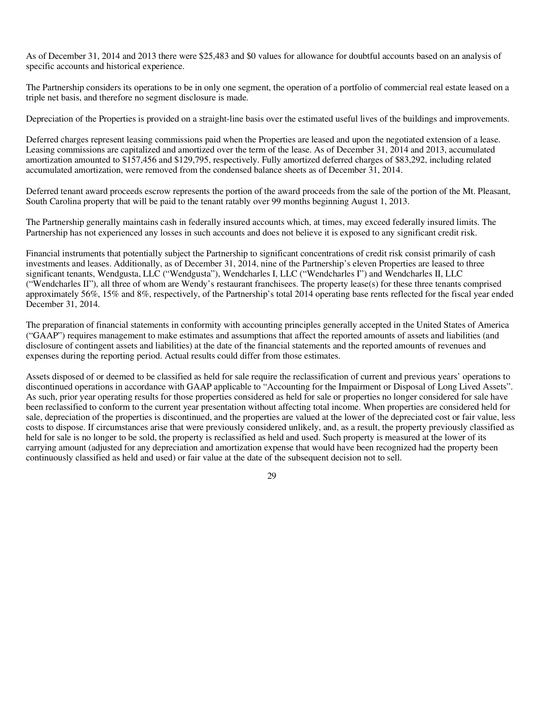As of December 31, 2014 and 2013 there were \$25,483 and \$0 values for allowance for doubtful accounts based on an analysis of specific accounts and historical experience.

The Partnership considers its operations to be in only one segment, the operation of a portfolio of commercial real estate leased on a triple net basis, and therefore no segment disclosure is made.

Depreciation of the Properties is provided on a straight-line basis over the estimated useful lives of the buildings and improvements.

Deferred charges represent leasing commissions paid when the Properties are leased and upon the negotiated extension of a lease. Leasing commissions are capitalized and amortized over the term of the lease. As of December 31, 2014 and 2013, accumulated amortization amounted to \$157,456 and \$129,795, respectively. Fully amortized deferred charges of \$83,292, including related accumulated amortization, were removed from the condensed balance sheets as of December 31, 2014.

Deferred tenant award proceeds escrow represents the portion of the award proceeds from the sale of the portion of the Mt. Pleasant, South Carolina property that will be paid to the tenant ratably over 99 months beginning August 1, 2013.

The Partnership generally maintains cash in federally insured accounts which, at times, may exceed federally insured limits. The Partnership has not experienced any losses in such accounts and does not believe it is exposed to any significant credit risk.

Financial instruments that potentially subject the Partnership to significant concentrations of credit risk consist primarily of cash investments and leases. Additionally, as of December 31, 2014, nine of the Partnership's eleven Properties are leased to three significant tenants, Wendgusta, LLC ("Wendgusta"), Wendcharles I, LLC ("Wendcharles I") and Wendcharles II, LLC ("Wendcharles II"), all three of whom are Wendy's restaurant franchisees. The property lease(s) for these three tenants comprised approximately 56%, 15% and 8%, respectively, of the Partnership's total 2014 operating base rents reflected for the fiscal year ended December 31, 2014.

The preparation of financial statements in conformity with accounting principles generally accepted in the United States of America ("GAAP") requires management to make estimates and assumptions that affect the reported amounts of assets and liabilities (and disclosure of contingent assets and liabilities) at the date of the financial statements and the reported amounts of revenues and expenses during the reporting period. Actual results could differ from those estimates.

Assets disposed of or deemed to be classified as held for sale require the reclassification of current and previous years' operations to discontinued operations in accordance with GAAP applicable to "Accounting for the Impairment or Disposal of Long Lived Assets". As such, prior year operating results for those properties considered as held for sale or properties no longer considered for sale have been reclassified to conform to the current year presentation without affecting total income. When properties are considered held for sale, depreciation of the properties is discontinued, and the properties are valued at the lower of the depreciated cost or fair value, less costs to dispose. If circumstances arise that were previously considered unlikely, and, as a result, the property previously classified as held for sale is no longer to be sold, the property is reclassified as held and used. Such property is measured at the lower of its carrying amount (adjusted for any depreciation and amortization expense that would have been recognized had the property been continuously classified as held and used) or fair value at the date of the subsequent decision not to sell.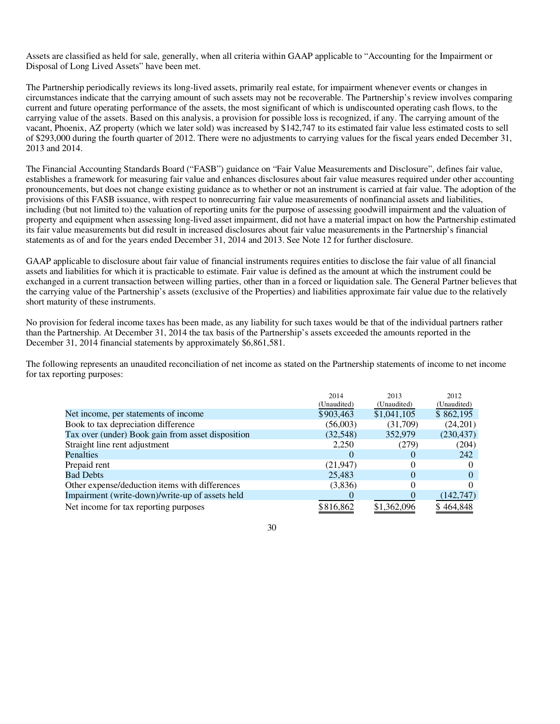Assets are classified as held for sale, generally, when all criteria within GAAP applicable to "Accounting for the Impairment or Disposal of Long Lived Assets" have been met.

The Partnership periodically reviews its long-lived assets, primarily real estate, for impairment whenever events or changes in circumstances indicate that the carrying amount of such assets may not be recoverable. The Partnership's review involves comparing current and future operating performance of the assets, the most significant of which is undiscounted operating cash flows, to the carrying value of the assets. Based on this analysis, a provision for possible loss is recognized, if any. The carrying amount of the vacant, Phoenix, AZ property (which we later sold) was increased by \$142,747 to its estimated fair value less estimated costs to sell of \$293,000 during the fourth quarter of 2012. There were no adjustments to carrying values for the fiscal years ended December 31, 2013 and 2014.

The Financial Accounting Standards Board ("FASB") guidance on "Fair Value Measurements and Disclosure", defines fair value, establishes a framework for measuring fair value and enhances disclosures about fair value measures required under other accounting pronouncements, but does not change existing guidance as to whether or not an instrument is carried at fair value. The adoption of the provisions of this FASB issuance, with respect to nonrecurring fair value measurements of nonfinancial assets and liabilities, including (but not limited to) the valuation of reporting units for the purpose of assessing goodwill impairment and the valuation of property and equipment when assessing long-lived asset impairment, did not have a material impact on how the Partnership estimated its fair value measurements but did result in increased disclosures about fair value measurements in the Partnership's financial statements as of and for the years ended December 31, 2014 and 2013. See Note 12 for further disclosure.

GAAP applicable to disclosure about fair value of financial instruments requires entities to disclose the fair value of all financial assets and liabilities for which it is practicable to estimate. Fair value is defined as the amount at which the instrument could be exchanged in a current transaction between willing parties, other than in a forced or liquidation sale. The General Partner believes that the carrying value of the Partnership's assets (exclusive of the Properties) and liabilities approximate fair value due to the relatively short maturity of these instruments.

No provision for federal income taxes has been made, as any liability for such taxes would be that of the individual partners rather than the Partnership. At December 31, 2014 the tax basis of the Partnership's assets exceeded the amounts reported in the December 31, 2014 financial statements by approximately \$6,861,581.

The following represents an unaudited reconciliation of net income as stated on the Partnership statements of income to net income for tax reporting purposes:

|                                                   | 2014<br>(Unaudited) | 2013<br>(Unaudited) | 2012<br>(Unaudited) |
|---------------------------------------------------|---------------------|---------------------|---------------------|
| Net income, per statements of income.             | \$903,463           | \$1,041,105         | \$862,195           |
| Book to tax depreciation difference               | (56,003)            | (31,709)            | (24,201)            |
| Tax over (under) Book gain from asset disposition | (32, 548)           | 352,979             | (230, 437)          |
| Straight line rent adjustment                     | 2,250               | (279)               | (204)               |
| Penalties                                         |                     |                     | 242                 |
| Prepaid rent                                      | (21, 947)           |                     |                     |
| <b>Bad Debts</b>                                  | 25,483              | $\theta$            |                     |
| Other expense/deduction items with differences    | (3,836)             |                     |                     |
| Impairment (write-down)/write-up of assets held   |                     | 0                   | (142, 747)          |
| Net income for tax reporting purposes             | \$816,862           | \$1,362,096         | \$464,848           |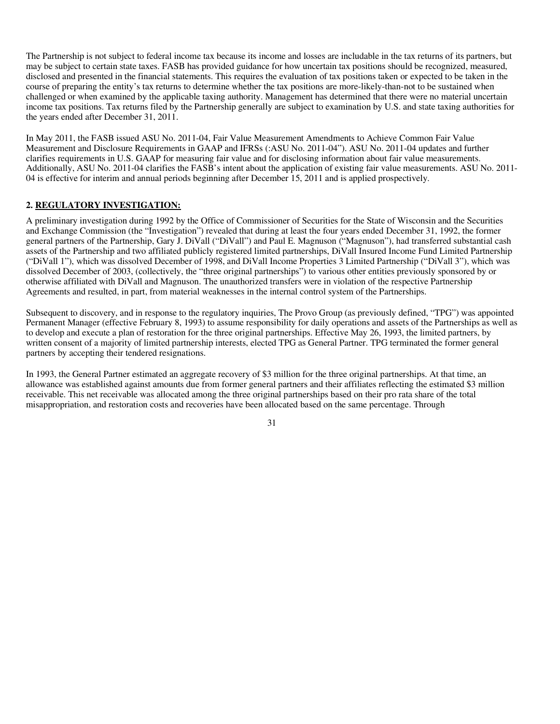The Partnership is not subject to federal income tax because its income and losses are includable in the tax returns of its partners, but may be subject to certain state taxes. FASB has provided guidance for how uncertain tax positions should be recognized, measured, disclosed and presented in the financial statements. This requires the evaluation of tax positions taken or expected to be taken in the course of preparing the entity's tax returns to determine whether the tax positions are more-likely-than-not to be sustained when challenged or when examined by the applicable taxing authority. Management has determined that there were no material uncertain income tax positions. Tax returns filed by the Partnership generally are subject to examination by U.S. and state taxing authorities for the years ended after December 31, 2011.

In May 2011, the FASB issued ASU No. 2011-04, Fair Value Measurement Amendments to Achieve Common Fair Value Measurement and Disclosure Requirements in GAAP and IFRSs (:ASU No. 2011-04"). ASU No. 2011-04 updates and further clarifies requirements in U.S. GAAP for measuring fair value and for disclosing information about fair value measurements. Additionally, ASU No. 2011-04 clarifies the FASB's intent about the application of existing fair value measurements. ASU No. 2011- 04 is effective for interim and annual periods beginning after December 15, 2011 and is applied prospectively.

# **2. REGULATORY INVESTIGATION:**

A preliminary investigation during 1992 by the Office of Commissioner of Securities for the State of Wisconsin and the Securities and Exchange Commission (the "Investigation") revealed that during at least the four years ended December 31, 1992, the former general partners of the Partnership, Gary J. DiVall ("DiVall") and Paul E. Magnuson ("Magnuson"), had transferred substantial cash assets of the Partnership and two affiliated publicly registered limited partnerships, DiVall Insured Income Fund Limited Partnership ("DiVall 1"), which was dissolved December of 1998, and DiVall Income Properties 3 Limited Partnership ("DiVall 3"), which was dissolved December of 2003, (collectively, the "three original partnerships") to various other entities previously sponsored by or otherwise affiliated with DiVall and Magnuson. The unauthorized transfers were in violation of the respective Partnership Agreements and resulted, in part, from material weaknesses in the internal control system of the Partnerships.

Subsequent to discovery, and in response to the regulatory inquiries, The Provo Group (as previously defined, "TPG") was appointed Permanent Manager (effective February 8, 1993) to assume responsibility for daily operations and assets of the Partnerships as well as to develop and execute a plan of restoration for the three original partnerships. Effective May 26, 1993, the limited partners, by written consent of a majority of limited partnership interests, elected TPG as General Partner. TPG terminated the former general partners by accepting their tendered resignations.

In 1993, the General Partner estimated an aggregate recovery of \$3 million for the three original partnerships. At that time, an allowance was established against amounts due from former general partners and their affiliates reflecting the estimated \$3 million receivable. This net receivable was allocated among the three original partnerships based on their pro rata share of the total misappropriation, and restoration costs and recoveries have been allocated based on the same percentage. Through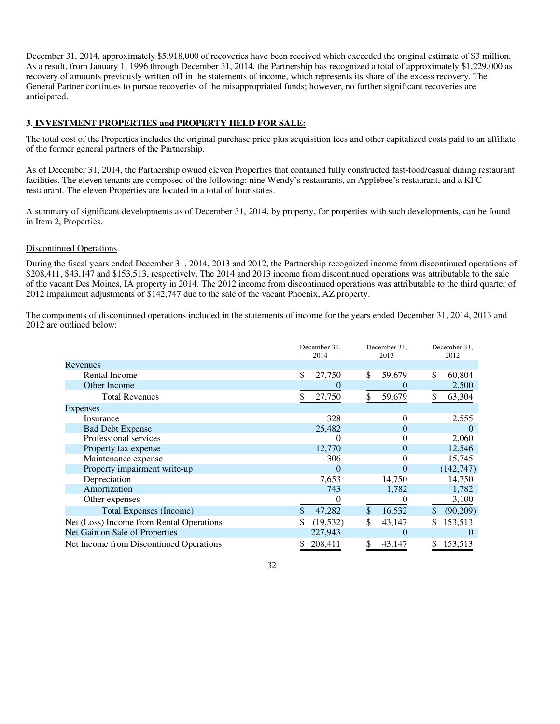December 31, 2014, approximately \$5,918,000 of recoveries have been received which exceeded the original estimate of \$3 million. As a result, from January 1, 1996 through December 31, 2014, the Partnership has recognized a total of approximately \$1,229,000 as recovery of amounts previously written off in the statements of income, which represents its share of the excess recovery. The General Partner continues to pursue recoveries of the misappropriated funds; however, no further significant recoveries are anticipated.

# **3. INVESTMENT PROPERTIES and PROPERTY HELD FOR SALE:**

The total cost of the Properties includes the original purchase price plus acquisition fees and other capitalized costs paid to an affiliate of the former general partners of the Partnership.

As of December 31, 2014, the Partnership owned eleven Properties that contained fully constructed fast-food/casual dining restaurant facilities. The eleven tenants are composed of the following: nine Wendy's restaurants, an Applebee's restaurant, and a KFC restaurant. The eleven Properties are located in a total of four states.

A summary of significant developments as of December 31, 2014, by property, for properties with such developments, can be found in Item 2, Properties.

#### Discontinued Operations

During the fiscal years ended December 31, 2014, 2013 and 2012, the Partnership recognized income from discontinued operations of \$208,411, \$43,147 and \$153,513, respectively. The 2014 and 2013 income from discontinued operations was attributable to the sale of the vacant Des Moines, IA property in 2014. The 2012 income from discontinued operations was attributable to the third quarter of 2012 impairment adjustments of \$142,747 due to the sale of the vacant Phoenix, AZ property.

The components of discontinued operations included in the statements of income for the years ended December 31, 2014, 2013 and 2012 are outlined below:

|                                          | December 31,<br>2014 |           | December 31,<br>2013 |    | December 31,<br>2012 |
|------------------------------------------|----------------------|-----------|----------------------|----|----------------------|
| Revenues                                 |                      |           |                      |    |                      |
| <b>Rental Income</b>                     | \$                   | 27,750    | \$<br>59,679         | \$ | 60,804               |
| Other Income                             |                      | O         | $\cup$               |    | 2,500                |
| <b>Total Revenues</b>                    |                      | 27,750    | \$<br>59,679         | S  | 63,304               |
| Expenses                                 |                      |           |                      |    |                      |
| Insurance                                |                      | 328       | 0                    |    | 2,555                |
| <b>Bad Debt Expense</b>                  |                      | 25,482    | $\Omega$             |    | $\left($             |
| Professional services                    |                      |           | 0                    |    | 2,060                |
| Property tax expense                     |                      | 12.770    | $\Omega$             |    | 12,546               |
| Maintenance expense                      |                      | 306       | 0                    |    | 15,745               |
| Property impairment write-up             |                      | $\theta$  | $\Omega$             |    | (142, 747)           |
| Depreciation                             |                      | 7,653     | 14,750               |    | 14,750               |
| Amortization                             |                      | 743       | 1,782                |    | 1,782                |
| Other expenses                           |                      |           |                      |    | 3,100                |
| Total Expenses (Income)                  |                      | 47,282    | \$<br>16,532         |    | (90, 209)            |
| Net (Loss) Income from Rental Operations |                      | (19, 532) | \$<br>43,147         |    | 153,513              |
| Net Gain on Sale of Properties           |                      | 227,943   |                      |    | $\left($             |
| Net Income from Discontinued Operations  |                      | 208,411   | 43,147               | \$ | 153,513              |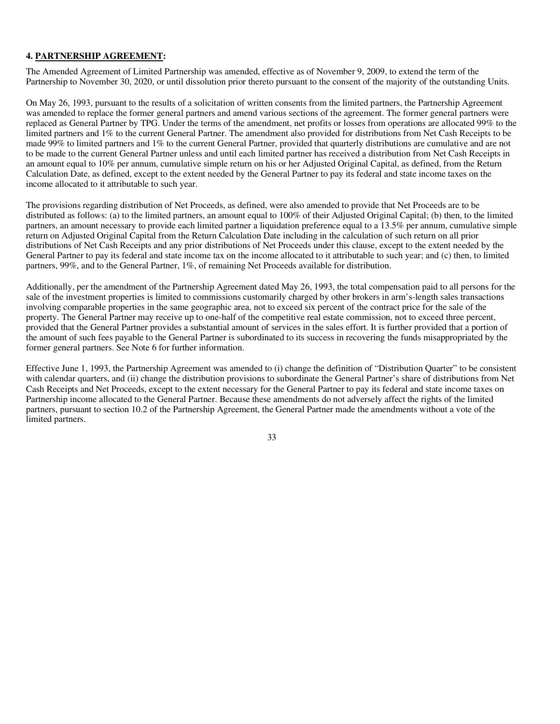# **4. PARTNERSHIP AGREEMENT:**

The Amended Agreement of Limited Partnership was amended, effective as of November 9, 2009, to extend the term of the Partnership to November 30, 2020, or until dissolution prior thereto pursuant to the consent of the majority of the outstanding Units.

On May 26, 1993, pursuant to the results of a solicitation of written consents from the limited partners, the Partnership Agreement was amended to replace the former general partners and amend various sections of the agreement. The former general partners were replaced as General Partner by TPG. Under the terms of the amendment, net profits or losses from operations are allocated 99% to the limited partners and 1% to the current General Partner. The amendment also provided for distributions from Net Cash Receipts to be made 99% to limited partners and 1% to the current General Partner, provided that quarterly distributions are cumulative and are not to be made to the current General Partner unless and until each limited partner has received a distribution from Net Cash Receipts in an amount equal to 10% per annum, cumulative simple return on his or her Adjusted Original Capital, as defined, from the Return Calculation Date, as defined, except to the extent needed by the General Partner to pay its federal and state income taxes on the income allocated to it attributable to such year.

The provisions regarding distribution of Net Proceeds, as defined, were also amended to provide that Net Proceeds are to be distributed as follows: (a) to the limited partners, an amount equal to 100% of their Adjusted Original Capital; (b) then, to the limited partners, an amount necessary to provide each limited partner a liquidation preference equal to a 13.5% per annum, cumulative simple return on Adjusted Original Capital from the Return Calculation Date including in the calculation of such return on all prior distributions of Net Cash Receipts and any prior distributions of Net Proceeds under this clause, except to the extent needed by the General Partner to pay its federal and state income tax on the income allocated to it attributable to such year; and (c) then, to limited partners, 99%, and to the General Partner, 1%, of remaining Net Proceeds available for distribution.

Additionally, per the amendment of the Partnership Agreement dated May 26, 1993, the total compensation paid to all persons for the sale of the investment properties is limited to commissions customarily charged by other brokers in arm's-length sales transactions involving comparable properties in the same geographic area, not to exceed six percent of the contract price for the sale of the property. The General Partner may receive up to one-half of the competitive real estate commission, not to exceed three percent, provided that the General Partner provides a substantial amount of services in the sales effort. It is further provided that a portion of the amount of such fees payable to the General Partner is subordinated to its success in recovering the funds misappropriated by the former general partners. See Note 6 for further information.

Effective June 1, 1993, the Partnership Agreement was amended to (i) change the definition of "Distribution Quarter" to be consistent with calendar quarters, and (ii) change the distribution provisions to subordinate the General Partner's share of distributions from Net Cash Receipts and Net Proceeds, except to the extent necessary for the General Partner to pay its federal and state income taxes on Partnership income allocated to the General Partner. Because these amendments do not adversely affect the rights of the limited partners, pursuant to section 10.2 of the Partnership Agreement, the General Partner made the amendments without a vote of the limited partners.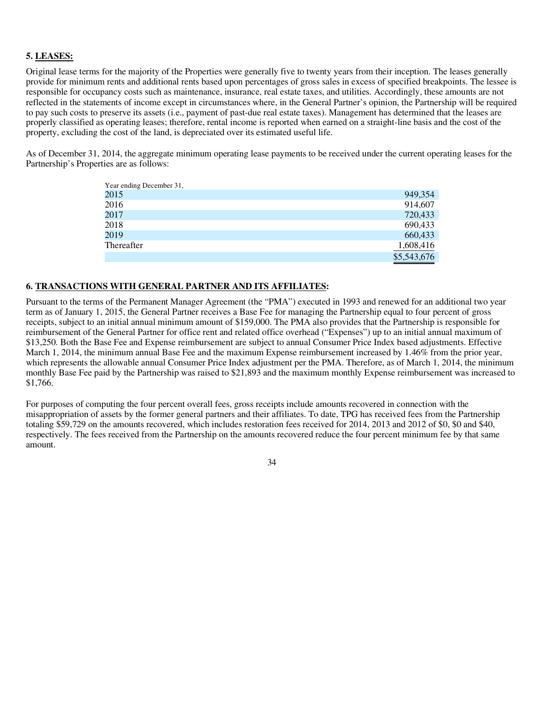# **5. LEASES:**

Original lease terms for the majority of the Properties were generally five to twenty years from their inception. The leases generally provide for minimum rents and additional rents based upon percentages of gross sales in excess of specified breakpoints. The lessee is responsible for occupancy costs such as maintenance, insurance, real estate taxes, and utilities. Accordingly, these amounts are not reflected in the statements of income except in circumstances where, in the General Partner's opinion, the Partnership will be required to pay such costs to preserve its assets (i.e., payment of past-due real estate taxes). Management has determined that the leases are properly classified as operating leases; therefore, rental income is reported when earned on a straight-line basis and the cost of the property, excluding the cost of the land, is depreciated over its estimated useful life.

As of December 31, 2014, the aggregate minimum operating lease payments to be received under the current operating leases for the Partnership's Properties are as follows:

| Year ending December 31, |             |
|--------------------------|-------------|
| 2015                     | 949,354     |
| 2016                     | 914,607     |
| 2017                     | 720,433     |
| 2018                     | 690,433     |
| 2019                     | 660,433     |
| Thereafter               | 1,608,416   |
|                          | \$5,543,676 |

# **6. TRANSACTIONS WITH GENERAL PARTNER AND ITS AFFILIATES:**

Pursuant to the terms of the Permanent Manager Agreement (the "PMA") executed in 1993 and renewed for an additional two year term as of January 1, 2015, the General Partner receives a Base Fee for managing the Partnership equal to four percent of gross receipts, subject to an initial annual minimum amount of \$159,000. The PMA also provides that the Partnership is responsible for reimbursement of the General Partner for office rent and related office overhead ("Expenses") up to an initial annual maximum of \$13,250. Both the Base Fee and Expense reimbursement are subject to annual Consumer Price Index based adjustments. Effective March 1, 2014, the minimum annual Base Fee and the maximum Expense reimbursement increased by 1.46% from the prior year, which represents the allowable annual Consumer Price Index adjustment per the PMA. Therefore, as of March 1, 2014, the minimum monthly Base Fee paid by the Partnership was raised to \$21,893 and the maximum monthly Expense reimbursement was increased to \$1,766.

For purposes of computing the four percent overall fees, gross receipts include amounts recovered in connection with the misappropriation of assets by the former general partners and their affiliates. To date, TPG has received fees from the Partnership totaling \$59,729 on the amounts recovered, which includes restoration fees received for 2014, 2013 and 2012 of \$0, \$0 and \$40, respectively. The fees received from the Partnership on the amounts recovered reduce the four percent minimum fee by that same amount.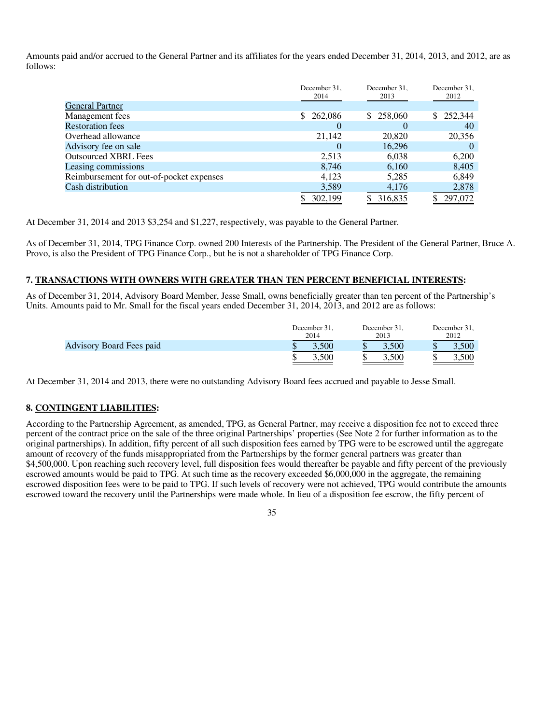Amounts paid and/or accrued to the General Partner and its affiliates for the years ended December 31, 2014, 2013, and 2012, are as follows:

|                                          | December 31,<br>2014 | December 31,<br>2013 | December 31,<br>2012 |
|------------------------------------------|----------------------|----------------------|----------------------|
| <b>General Partner</b>                   |                      |                      |                      |
| Management fees                          | 262,086<br>S.        | 258,060<br>S.        | 252,344<br>\$.       |
| <b>Restoration fees</b>                  | $\theta$             |                      | 40                   |
| Overhead allowance                       | 21,142               | 20,820               | 20,356               |
| Advisory fee on sale                     | $\theta$             | 16,296               |                      |
| <b>Outsourced XBRL Fees</b>              | 2,513                | 6,038                | 6,200                |
| Leasing commissions                      | 8,746                | 6,160                | 8,405                |
| Reimbursement for out-of-pocket expenses | 4.123                | 5,285                | 6,849                |
| Cash distribution                        | 3,589                | 4,176                | 2,878                |
|                                          | 302.199              | 316.835              | 297,072              |

At December 31, 2014 and 2013 \$3,254 and \$1,227, respectively, was payable to the General Partner.

As of December 31, 2014, TPG Finance Corp. owned 200 Interests of the Partnership. The President of the General Partner, Bruce A. Provo, is also the President of TPG Finance Corp., but he is not a shareholder of TPG Finance Corp.

#### **7. TRANSACTIONS WITH OWNERS WITH GREATER THAN TEN PERCENT BENEFICIAL INTERESTS:**

As of December 31, 2014, Advisory Board Member, Jesse Small, owns beneficially greater than ten percent of the Partnership's Units. Amounts paid to Mr. Small for the fiscal years ended December 31, 2014, 2013, and 2012 are as follows:

|                          | December 31,<br>2014 | December 31,<br>2013 | December 31,<br>2012 |
|--------------------------|----------------------|----------------------|----------------------|
| Advisory Board Fees paid | 3,500                | 3.500                | 3,500                |
|                          | 3,500                | 3,500                | 3,500                |

At December 31, 2014 and 2013, there were no outstanding Advisory Board fees accrued and payable to Jesse Small.

# **8. CONTINGENT LIABILITIES:**

According to the Partnership Agreement, as amended, TPG, as General Partner, may receive a disposition fee not to exceed three percent of the contract price on the sale of the three original Partnerships' properties (See Note 2 for further information as to the original partnerships). In addition, fifty percent of all such disposition fees earned by TPG were to be escrowed until the aggregate amount of recovery of the funds misappropriated from the Partnerships by the former general partners was greater than \$4,500,000. Upon reaching such recovery level, full disposition fees would thereafter be payable and fifty percent of the previously escrowed amounts would be paid to TPG. At such time as the recovery exceeded \$6,000,000 in the aggregate, the remaining escrowed disposition fees were to be paid to TPG. If such levels of recovery were not achieved, TPG would contribute the amounts escrowed toward the recovery until the Partnerships were made whole. In lieu of a disposition fee escrow, the fifty percent of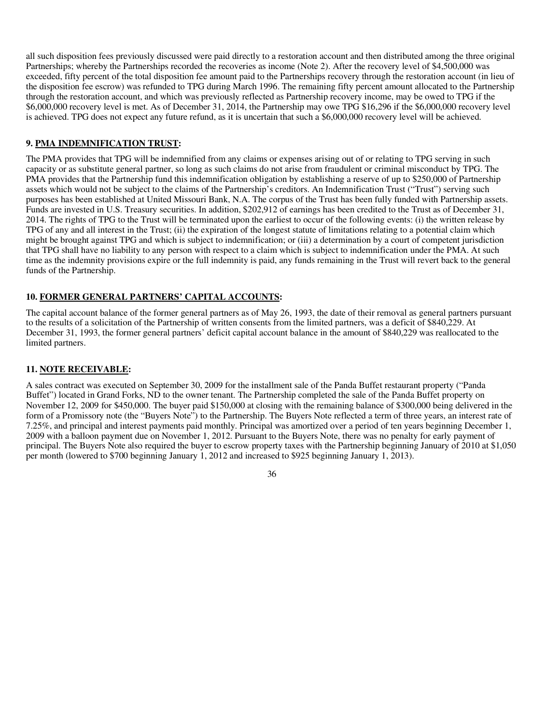all such disposition fees previously discussed were paid directly to a restoration account and then distributed among the three original Partnerships; whereby the Partnerships recorded the recoveries as income (Note 2). After the recovery level of \$4,500,000 was exceeded, fifty percent of the total disposition fee amount paid to the Partnerships recovery through the restoration account (in lieu of the disposition fee escrow) was refunded to TPG during March 1996. The remaining fifty percent amount allocated to the Partnership through the restoration account, and which was previously reflected as Partnership recovery income, may be owed to TPG if the \$6,000,000 recovery level is met. As of December 31, 2014, the Partnership may owe TPG \$16,296 if the \$6,000,000 recovery level is achieved. TPG does not expect any future refund, as it is uncertain that such a \$6,000,000 recovery level will be achieved.

# **9. PMA INDEMNIFICATION TRUST:**

The PMA provides that TPG will be indemnified from any claims or expenses arising out of or relating to TPG serving in such capacity or as substitute general partner, so long as such claims do not arise from fraudulent or criminal misconduct by TPG. The PMA provides that the Partnership fund this indemnification obligation by establishing a reserve of up to \$250,000 of Partnership assets which would not be subject to the claims of the Partnership's creditors. An Indemnification Trust ("Trust") serving such purposes has been established at United Missouri Bank, N.A. The corpus of the Trust has been fully funded with Partnership assets. Funds are invested in U.S. Treasury securities. In addition, \$202,912 of earnings has been credited to the Trust as of December 31, 2014. The rights of TPG to the Trust will be terminated upon the earliest to occur of the following events: (i) the written release by TPG of any and all interest in the Trust; (ii) the expiration of the longest statute of limitations relating to a potential claim which might be brought against TPG and which is subject to indemnification; or (iii) a determination by a court of competent jurisdiction that TPG shall have no liability to any person with respect to a claim which is subject to indemnification under the PMA. At such time as the indemnity provisions expire or the full indemnity is paid, any funds remaining in the Trust will revert back to the general funds of the Partnership.

# **10. FORMER GENERAL PARTNERS' CAPITAL ACCOUNTS:**

The capital account balance of the former general partners as of May 26, 1993, the date of their removal as general partners pursuant to the results of a solicitation of the Partnership of written consents from the limited partners, was a deficit of \$840,229. At December 31, 1993, the former general partners' deficit capital account balance in the amount of \$840,229 was reallocated to the limited partners.

# **11. NOTE RECEIVABLE:**

A sales contract was executed on September 30, 2009 for the installment sale of the Panda Buffet restaurant property ("Panda Buffet") located in Grand Forks, ND to the owner tenant. The Partnership completed the sale of the Panda Buffet property on November 12, 2009 for \$450,000. The buyer paid \$150,000 at closing with the remaining balance of \$300,000 being delivered in the form of a Promissory note (the "Buyers Note") to the Partnership. The Buyers Note reflected a term of three years, an interest rate of 7.25%, and principal and interest payments paid monthly. Principal was amortized over a period of ten years beginning December 1, 2009 with a balloon payment due on November 1, 2012. Pursuant to the Buyers Note, there was no penalty for early payment of principal. The Buyers Note also required the buyer to escrow property taxes with the Partnership beginning January of 2010 at \$1,050 per month (lowered to \$700 beginning January 1, 2012 and increased to \$925 beginning January 1, 2013).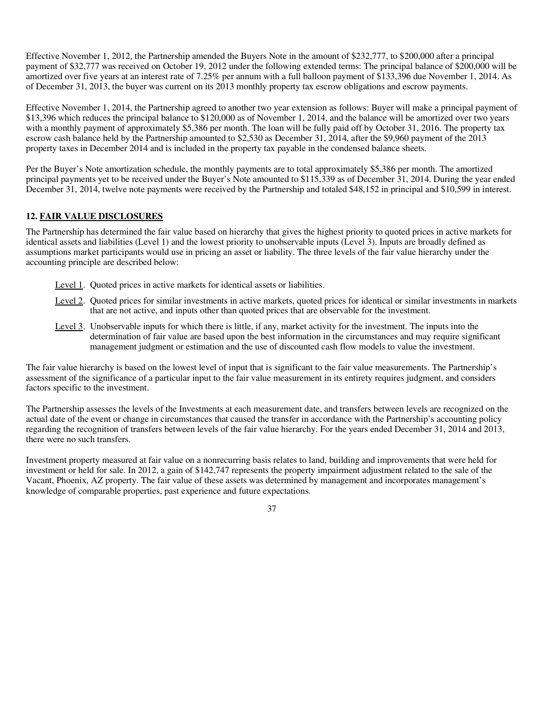Effective November 1, 2012, the Partnership amended the Buyers Note in the amount of \$232,777, to \$200,000 after a principal payment of \$32,777 was received on October 19, 2012 under the following extended terms: The principal balance of \$200,000 will be amortized over five years at an interest rate of 7.25% per annum with a full balloon payment of \$133,396 due November 1, 2014. As of December 31, 2013, the buyer was current on its 2013 monthly property tax escrow obligations and escrow payments.

Effective November 1, 2014, the Partnership agreed to another two year extension as follows: Buyer will make a principal payment of \$13,396 which reduces the principal balance to \$120,000 as of November 1, 2014, and the balance will be amortized over two years with a monthly payment of approximately \$5,386 per month. The loan will be fully paid off by October 31, 2016. The property tax escrow cash balance held by the Partnership amounted to \$2,530 as December 31, 2014, after the \$9,960 payment of the 2013 property taxes in December 2014 and is included in the property tax payable in the condensed balance sheets.

Per the Buyer's Note amortization schedule, the monthly payments are to total approximately \$5,386 per month. The amortized principal payments yet to be received under the Buyer's Note amounted to \$115,339 as of December 31, 2014. During the year ended December 31, 2014, twelve note payments were received by the Partnership and totaled \$48,152 in principal and \$10,599 in interest.

# **12. FAIR VALUE DISCLOSURES**

The Partnership has determined the fair value based on hierarchy that gives the highest priority to quoted prices in active markets for identical assets and liabilities (Level 1) and the lowest priority to unobservable inputs (Level 3). Inputs are broadly defined as assumptions market participants would use in pricing an asset or liability. The three levels of the fair value hierarchy under the accounting principle are described below:

- Level 1. Quoted prices in active markets for identical assets or liabilities.
- Level 2. Quoted prices for similar investments in active markets, quoted prices for identical or similar investments in markets that are not active, and inputs other than quoted prices that are observable for the investment.
- Level 3. Unobservable inputs for which there is little, if any, market activity for the investment. The inputs into the determination of fair value are based upon the best information in the circumstances and may require significant management judgment or estimation and the use of discounted cash flow models to value the investment.

The fair value hierarchy is based on the lowest level of input that is significant to the fair value measurements. The Partnership's assessment of the significance of a particular input to the fair value measurement in its entirety requires judgment, and considers factors specific to the investment.

The Partnership assesses the levels of the Investments at each measurement date, and transfers between levels are recognized on the actual date of the event or change in circumstances that caused the transfer in accordance with the Partnership's accounting policy regarding the recognition of transfers between levels of the fair value hierarchy. For the years ended December 31, 2014 and 2013, there were no such transfers.

Investment property measured at fair value on a nonrecurring basis relates to land, building and improvements that were held for investment or held for sale. In 2012, a gain of \$142,747 represents the property impairment adjustment related to the sale of the Vacant, Phoenix, AZ property. The fair value of these assets was determined by management and incorporates management's knowledge of comparable properties, past experience and future expectations.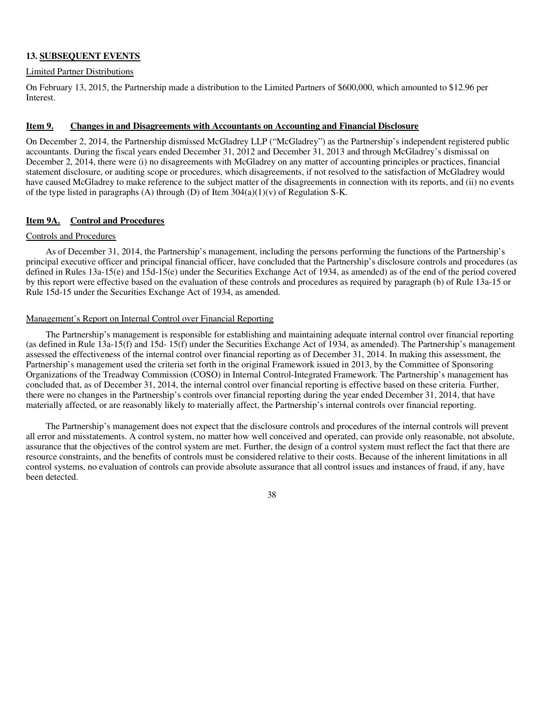# **13. SUBSEQUENT EVENTS**

#### Limited Partner Distributions

On February 13, 2015, the Partnership made a distribution to the Limited Partners of \$600,000, which amounted to \$12.96 per Interest.

#### **Item 9. Changes in and Disagreements with Accountants on Accounting and Financial Disclosure**

On December 2, 2014, the Partnership dismissed McGladrey LLP ("McGladrey") as the Partnership's independent registered public accountants. During the fiscal years ended December 31, 2012 and December 31, 2013 and through McGladrey's dismissal on December 2, 2014, there were (i) no disagreements with McGladrey on any matter of accounting principles or practices, financial statement disclosure, or auditing scope or procedures, which disagreements, if not resolved to the satisfaction of McGladrey would have caused McGladrey to make reference to the subject matter of the disagreements in connection with its reports, and (ii) no events of the type listed in paragraphs (A) through (D) of Item  $304(a)(1)(v)$  of Regulation S-K.

# **Item 9A. Control and Procedures**

# Controls and Procedures

As of December 31, 2014, the Partnership's management, including the persons performing the functions of the Partnership's principal executive officer and principal financial officer, have concluded that the Partnership's disclosure controls and procedures (as defined in Rules 13a-15(e) and 15d-15(e) under the Securities Exchange Act of 1934, as amended) as of the end of the period covered by this report were effective based on the evaluation of these controls and procedures as required by paragraph (b) of Rule 13a-15 or Rule 15d-15 under the Securities Exchange Act of 1934, as amended.

#### Management's Report on Internal Control over Financial Reporting

The Partnership's management is responsible for establishing and maintaining adequate internal control over financial reporting (as defined in Rule 13a-15(f) and 15d- 15(f) under the Securities Exchange Act of 1934, as amended). The Partnership's management assessed the effectiveness of the internal control over financial reporting as of December 31, 2014. In making this assessment, the Partnership's management used the criteria set forth in the original Framework issued in 2013, by the Committee of Sponsoring Organizations of the Treadway Commission (COSO) in Internal Control-Integrated Framework. The Partnership's management has concluded that, as of December 31, 2014, the internal control over financial reporting is effective based on these criteria. Further, there were no changes in the Partnership's controls over financial reporting during the year ended December 31, 2014, that have materially affected, or are reasonably likely to materially affect, the Partnership's internal controls over financial reporting.

The Partnership's management does not expect that the disclosure controls and procedures of the internal controls will prevent all error and misstatements. A control system, no matter how well conceived and operated, can provide only reasonable, not absolute, assurance that the objectives of the control system are met. Further, the design of a control system must reflect the fact that there are resource constraints, and the benefits of controls must be considered relative to their costs. Because of the inherent limitations in all control systems, no evaluation of controls can provide absolute assurance that all control issues and instances of fraud, if any, have been detected.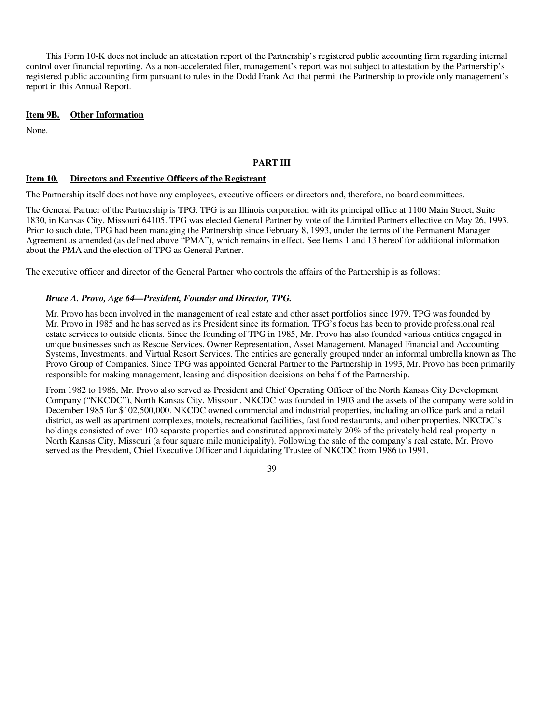This Form 10-K does not include an attestation report of the Partnership's registered public accounting firm regarding internal control over financial reporting. As a non-accelerated filer, management's report was not subject to attestation by the Partnership's registered public accounting firm pursuant to rules in the Dodd Frank Act that permit the Partnership to provide only management's report in this Annual Report.

#### **Item 9B. Other Information**

None.

#### **PART III**

#### **Item 10. Directors and Executive Officers of the Registrant**

The Partnership itself does not have any employees, executive officers or directors and, therefore, no board committees.

The General Partner of the Partnership is TPG. TPG is an Illinois corporation with its principal office at 1100 Main Street, Suite 1830, in Kansas City, Missouri 64105. TPG was elected General Partner by vote of the Limited Partners effective on May 26, 1993. Prior to such date, TPG had been managing the Partnership since February 8, 1993, under the terms of the Permanent Manager Agreement as amended (as defined above "PMA"), which remains in effect. See Items 1 and 13 hereof for additional information about the PMA and the election of TPG as General Partner.

The executive officer and director of the General Partner who controls the affairs of the Partnership is as follows:

#### *Bruce A. Provo, Age 64—President, Founder and Director, TPG.*

Mr. Provo has been involved in the management of real estate and other asset portfolios since 1979. TPG was founded by Mr. Provo in 1985 and he has served as its President since its formation. TPG's focus has been to provide professional real estate services to outside clients. Since the founding of TPG in 1985, Mr. Provo has also founded various entities engaged in unique businesses such as Rescue Services, Owner Representation, Asset Management, Managed Financial and Accounting Systems, Investments, and Virtual Resort Services. The entities are generally grouped under an informal umbrella known as The Provo Group of Companies. Since TPG was appointed General Partner to the Partnership in 1993, Mr. Provo has been primarily responsible for making management, leasing and disposition decisions on behalf of the Partnership.

From 1982 to 1986, Mr. Provo also served as President and Chief Operating Officer of the North Kansas City Development Company ("NKCDC"), North Kansas City, Missouri. NKCDC was founded in 1903 and the assets of the company were sold in December 1985 for \$102,500,000. NKCDC owned commercial and industrial properties, including an office park and a retail district, as well as apartment complexes, motels, recreational facilities, fast food restaurants, and other properties. NKCDC's holdings consisted of over 100 separate properties and constituted approximately 20% of the privately held real property in North Kansas City, Missouri (a four square mile municipality). Following the sale of the company's real estate, Mr. Provo served as the President, Chief Executive Officer and Liquidating Trustee of NKCDC from 1986 to 1991.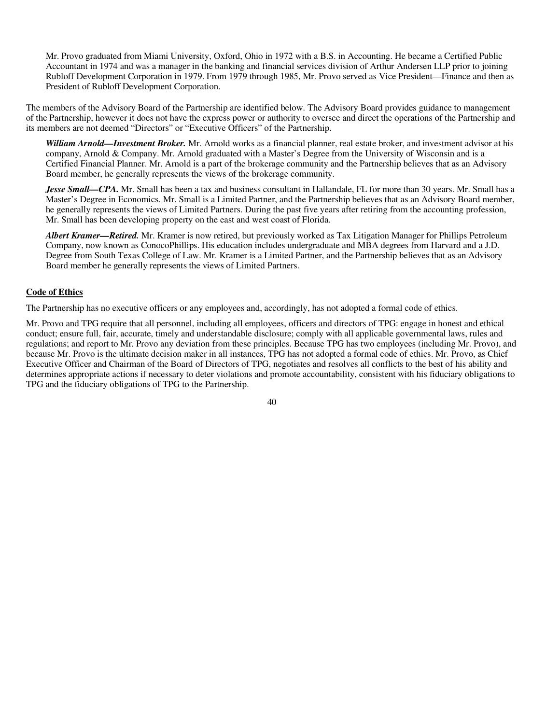Mr. Provo graduated from Miami University, Oxford, Ohio in 1972 with a B.S. in Accounting. He became a Certified Public Accountant in 1974 and was a manager in the banking and financial services division of Arthur Andersen LLP prior to joining Rubloff Development Corporation in 1979. From 1979 through 1985, Mr. Provo served as Vice President—Finance and then as President of Rubloff Development Corporation.

The members of the Advisory Board of the Partnership are identified below. The Advisory Board provides guidance to management of the Partnership, however it does not have the express power or authority to oversee and direct the operations of the Partnership and its members are not deemed "Directors" or "Executive Officers" of the Partnership.

*William Arnold—Investment Broker.* Mr. Arnold works as a financial planner, real estate broker, and investment advisor at his company, Arnold & Company. Mr. Arnold graduated with a Master's Degree from the University of Wisconsin and is a Certified Financial Planner. Mr. Arnold is a part of the brokerage community and the Partnership believes that as an Advisory Board member, he generally represents the views of the brokerage community.

*Jesse Small—CPA*. Mr. Small has been a tax and business consultant in Hallandale, FL for more than 30 years. Mr. Small has a Master's Degree in Economics. Mr. Small is a Limited Partner, and the Partnership believes that as an Advisory Board member, he generally represents the views of Limited Partners. During the past five years after retiring from the accounting profession, Mr. Small has been developing property on the east and west coast of Florida.

*Albert Kramer—Retired.* Mr. Kramer is now retired, but previously worked as Tax Litigation Manager for Phillips Petroleum Company, now known as ConocoPhillips. His education includes undergraduate and MBA degrees from Harvard and a J.D. Degree from South Texas College of Law. Mr. Kramer is a Limited Partner, and the Partnership believes that as an Advisory Board member he generally represents the views of Limited Partners.

# **Code of Ethics**

The Partnership has no executive officers or any employees and, accordingly, has not adopted a formal code of ethics.

Mr. Provo and TPG require that all personnel, including all employees, officers and directors of TPG: engage in honest and ethical conduct; ensure full, fair, accurate, timely and understandable disclosure; comply with all applicable governmental laws, rules and regulations; and report to Mr. Provo any deviation from these principles. Because TPG has two employees (including Mr. Provo), and because Mr. Provo is the ultimate decision maker in all instances, TPG has not adopted a formal code of ethics. Mr. Provo, as Chief Executive Officer and Chairman of the Board of Directors of TPG, negotiates and resolves all conflicts to the best of his ability and determines appropriate actions if necessary to deter violations and promote accountability, consistent with his fiduciary obligations to TPG and the fiduciary obligations of TPG to the Partnership.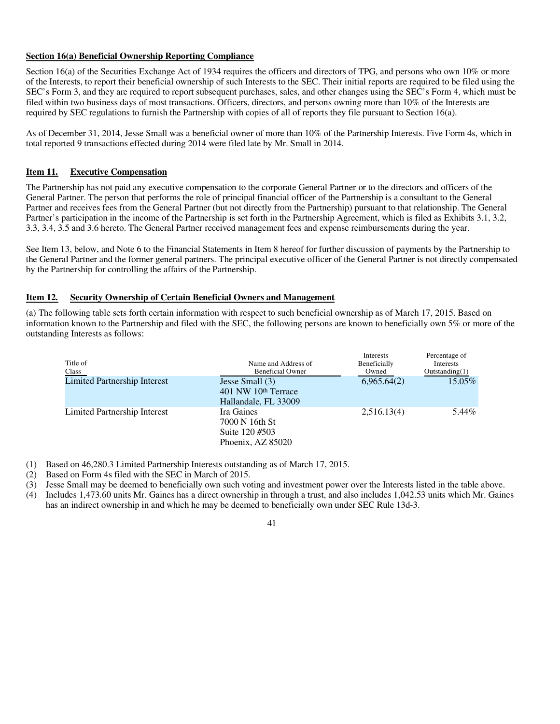# **Section 16(a) Beneficial Ownership Reporting Compliance**

Section 16(a) of the Securities Exchange Act of 1934 requires the officers and directors of TPG, and persons who own 10% or more of the Interests, to report their beneficial ownership of such Interests to the SEC. Their initial reports are required to be filed using the SEC's Form 3, and they are required to report subsequent purchases, sales, and other changes using the SEC's Form 4, which must be filed within two business days of most transactions. Officers, directors, and persons owning more than 10% of the Interests are required by SEC regulations to furnish the Partnership with copies of all of reports they file pursuant to Section 16(a).

As of December 31, 2014, Jesse Small was a beneficial owner of more than 10% of the Partnership Interests. Five Form 4s, which in total reported 9 transactions effected during 2014 were filed late by Mr. Small in 2014.

# **Item 11. Executive Compensation**

The Partnership has not paid any executive compensation to the corporate General Partner or to the directors and officers of the General Partner. The person that performs the role of principal financial officer of the Partnership is a consultant to the General Partner and receives fees from the General Partner (but not directly from the Partnership) pursuant to that relationship. The General Partner's participation in the income of the Partnership is set forth in the Partnership Agreement, which is filed as Exhibits 3.1, 3.2, 3.3, 3.4, 3.5 and 3.6 hereto. The General Partner received management fees and expense reimbursements during the year.

See Item 13, below, and Note 6 to the Financial Statements in Item 8 hereof for further discussion of payments by the Partnership to the General Partner and the former general partners. The principal executive officer of the General Partner is not directly compensated by the Partnership for controlling the affairs of the Partnership.

# **Item 12. Security Ownership of Certain Beneficial Owners and Management**

(a) The following table sets forth certain information with respect to such beneficial ownership as of March 17, 2015. Based on information known to the Partnership and filed with the SEC, the following persons are known to beneficially own 5% or more of the outstanding Interests as follows:

| Title of<br>Class                   | Name and Address of<br><b>Beneficial Owner</b>                      | Interests<br>Beneficially<br>Owned | Percentage of<br>Interests<br>Outstanding(1) |
|-------------------------------------|---------------------------------------------------------------------|------------------------------------|----------------------------------------------|
| <b>Limited Partnership Interest</b> | Jesse Small (3)<br>401 NW 10th Terrace<br>Hallandale, FL 33009      | 6,965.64(2)                        | 15.05%                                       |
| Limited Partnership Interest        | Ira Gaines<br>7000 N 16th St<br>Suite 120 #503<br>Phoenix, AZ 85020 | 2,516.13(4)                        | 5.44%                                        |

- (1) Based on 46,280.3 Limited Partnership Interests outstanding as of March 17, 2015.
- (2) Based on Form 4s filed with the SEC in March of 2015.
- (3) Jesse Small may be deemed to beneficially own such voting and investment power over the Interests listed in the table above.
- (4) Includes 1,473.60 units Mr. Gaines has a direct ownership in through a trust, and also includes 1,042.53 units which Mr. Gaines has an indirect ownership in and which he may be deemed to beneficially own under SEC Rule 13d-3.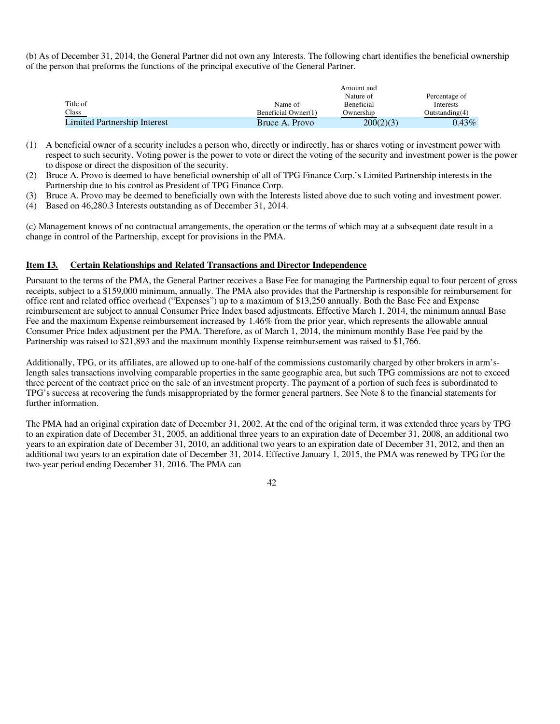(b) As of December 31, 2014, the General Partner did not own any Interests. The following chart identifies the beneficial ownership of the person that preforms the functions of the principal executive of the General Partner.

|                              |                     | Amount and        |                   |
|------------------------------|---------------------|-------------------|-------------------|
|                              |                     | Nature of         | Percentage of     |
| Title of                     | Name of             | <b>Beneficial</b> | <b>Interests</b>  |
| <b>Class</b>                 | Beneficial Owner(1) | Ownership         | Outstanding $(4)$ |
| Limited Partnership Interest | Bruce A. Provo      | 200(2)(3)         | $0.43\%$          |

- (1) A beneficial owner of a security includes a person who, directly or indirectly, has or shares voting or investment power with respect to such security. Voting power is the power to vote or direct the voting of the security and investment power is the power to dispose or direct the disposition of the security.
- (2) Bruce A. Provo is deemed to have beneficial ownership of all of TPG Finance Corp.'s Limited Partnership interests in the Partnership due to his control as President of TPG Finance Corp.
- (3) Bruce A. Provo may be deemed to beneficially own with the Interests listed above due to such voting and investment power.
- (4) Based on 46,280.3 Interests outstanding as of December 31, 2014.

(c) Management knows of no contractual arrangements, the operation or the terms of which may at a subsequent date result in a change in control of the Partnership, except for provisions in the PMA.

### **Item 13. Certain Relationships and Related Transactions and Director Independence**

Pursuant to the terms of the PMA, the General Partner receives a Base Fee for managing the Partnership equal to four percent of gross receipts, subject to a \$159,000 minimum, annually. The PMA also provides that the Partnership is responsible for reimbursement for office rent and related office overhead ("Expenses") up to a maximum of \$13,250 annually. Both the Base Fee and Expense reimbursement are subject to annual Consumer Price Index based adjustments. Effective March 1, 2014, the minimum annual Base Fee and the maximum Expense reimbursement increased by 1.46% from the prior year, which represents the allowable annual Consumer Price Index adjustment per the PMA. Therefore, as of March 1, 2014, the minimum monthly Base Fee paid by the Partnership was raised to \$21,893 and the maximum monthly Expense reimbursement was raised to \$1,766.

Additionally, TPG, or its affiliates, are allowed up to one-half of the commissions customarily charged by other brokers in arm'slength sales transactions involving comparable properties in the same geographic area, but such TPG commissions are not to exceed three percent of the contract price on the sale of an investment property. The payment of a portion of such fees is subordinated to TPG's success at recovering the funds misappropriated by the former general partners. See Note 8 to the financial statements for further information.

The PMA had an original expiration date of December 31, 2002. At the end of the original term, it was extended three years by TPG to an expiration date of December 31, 2005, an additional three years to an expiration date of December 31, 2008, an additional two years to an expiration date of December 31, 2010, an additional two years to an expiration date of December 31, 2012, and then an additional two years to an expiration date of December 31, 2014. Effective January 1, 2015, the PMA was renewed by TPG for the two-year period ending December 31, 2016. The PMA can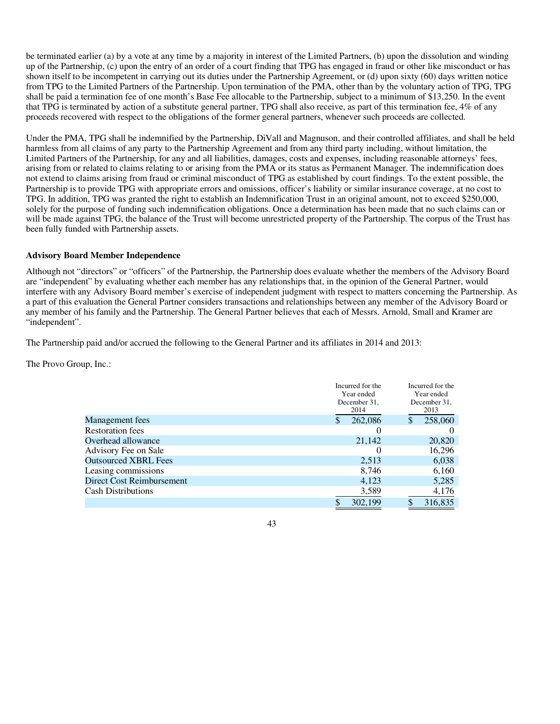be terminated earlier (a) by a vote at any time by a majority in interest of the Limited Partners, (b) upon the dissolution and winding up of the Partnership, (c) upon the entry of an order of a court finding that TPG has engaged in fraud or other like misconduct or has shown itself to be incompetent in carrying out its duties under the Partnership Agreement, or (d) upon sixty (60) days written notice from TPG to the Limited Partners of the Partnership. Upon termination of the PMA, other than by the voluntary action of TPG, TPG shall be paid a termination fee of one month's Base Fee allocable to the Partnership, subject to a minimum of \$13,250. In the event that TPG is terminated by action of a substitute general partner, TPG shall also receive, as part of this termination fee, 4% of any proceeds recovered with respect to the obligations of the former general partners, whenever such proceeds are collected.

Under the PMA, TPG shall be indemnified by the Partnership, DiVall and Magnuson, and their controlled affiliates, and shall be held harmless from all claims of any party to the Partnership Agreement and from any third party including, without limitation, the Limited Partners of the Partnership, for any and all liabilities, damages, costs and expenses, including reasonable attorneys' fees, arising from or related to claims relating to or arising from the PMA or its status as Permanent Manager. The indemnification does not extend to claims arising from fraud or criminal misconduct of TPG as established by court findings. To the extent possible, the Partnership is to provide TPG with appropriate errors and omissions, officer's liability or similar insurance coverage, at no cost to TPG. In addition, TPG was granted the right to establish an Indemnification Trust in an original amount, not to exceed \$250,000, solely for the purpose of funding such indemnification obligations. Once a determination has been made that no such claims can or will be made against TPG, the balance of the Trust will become unrestricted property of the Partnership. The corpus of the Trust has been fully funded with Partnership assets.

### **Advisory Board Member Independence**

Although not "directors" or "officers" of the Partnership, the Partnership does evaluate whether the members of the Advisory Board are "independent" by evaluating whether each member has any relationships that, in the opinion of the General Partner, would interfere with any Advisory Board member's exercise of independent judgment with respect to matters concerning the Partnership. As a part of this evaluation the General Partner considers transactions and relationships between any member of the Advisory Board or any member of his family and the Partnership. The General Partner believes that each of Messrs. Arnold, Small and Kramer are "independent".

The Partnership paid and/or accrued the following to the General Partner and its affiliates in 2014 and 2013:

The Provo Group, Inc.:

|                             | Incurred for the<br>Year ended<br>December 31,<br>2014 | Incurred for the<br>Year ended<br>December 31,<br>2013 |
|-----------------------------|--------------------------------------------------------|--------------------------------------------------------|
| Management fees             | 262,086<br>\$.                                         | 258,060                                                |
| <b>Restoration fees</b>     |                                                        |                                                        |
| Overhead allowance          | 21,142                                                 | 20,820                                                 |
| Advisory Fee on Sale        |                                                        | 16,296                                                 |
| <b>Outsourced XBRL Fees</b> | 2,513                                                  | 6,038                                                  |
| Leasing commissions         | 8,746                                                  | 6,160                                                  |
| Direct Cost Reimbursement   | 4,123                                                  | 5,285                                                  |
| <b>Cash Distributions</b>   | 3,589                                                  | 4,176                                                  |
|                             | 302,199                                                | 316,835                                                |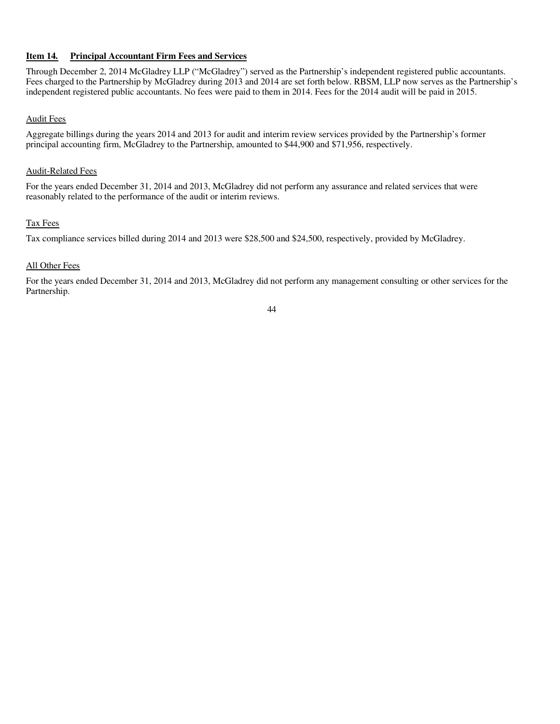# **Item 14. Principal Accountant Firm Fees and Services**

Through December 2, 2014 McGladrey LLP ("McGladrey") served as the Partnership's independent registered public accountants. Fees charged to the Partnership by McGladrey during 2013 and 2014 are set forth below. RBSM, LLP now serves as the Partnership's independent registered public accountants. No fees were paid to them in 2014. Fees for the 2014 audit will be paid in 2015.

# Audit Fees

Aggregate billings during the years 2014 and 2013 for audit and interim review services provided by the Partnership's former principal accounting firm, McGladrey to the Partnership, amounted to \$44,900 and \$71,956, respectively.

# Audit-Related Fees

For the years ended December 31, 2014 and 2013, McGladrey did not perform any assurance and related services that were reasonably related to the performance of the audit or interim reviews.

# Tax Fees

Tax compliance services billed during 2014 and 2013 were \$28,500 and \$24,500, respectively, provided by McGladrey.

# All Other Fees

For the years ended December 31, 2014 and 2013, McGladrey did not perform any management consulting or other services for the Partnership.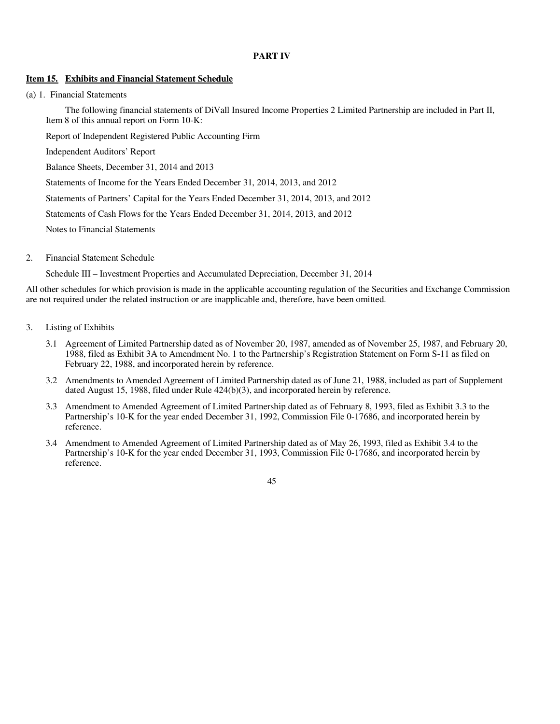# **PART IV**

#### **Item 15. Exhibits and Financial Statement Schedule**

(a) 1. Financial Statements

The following financial statements of DiVall Insured Income Properties 2 Limited Partnership are included in Part II, Item 8 of this annual report on Form 10-K:

Report of Independent Registered Public Accounting Firm

Independent Auditors' Report

Balance Sheets, December 31, 2014 and 2013

Statements of Income for the Years Ended December 31, 2014, 2013, and 2012

Statements of Partners' Capital for the Years Ended December 31, 2014, 2013, and 2012

Statements of Cash Flows for the Years Ended December 31, 2014, 2013, and 2012

Notes to Financial Statements

2. Financial Statement Schedule

Schedule III – Investment Properties and Accumulated Depreciation, December 31, 2014

All other schedules for which provision is made in the applicable accounting regulation of the Securities and Exchange Commission are not required under the related instruction or are inapplicable and, therefore, have been omitted.

- 3. Listing of Exhibits
	- 3.1 Agreement of Limited Partnership dated as of November 20, 1987, amended as of November 25, 1987, and February 20, 1988, filed as Exhibit 3A to Amendment No. 1 to the Partnership's Registration Statement on Form S-11 as filed on February 22, 1988, and incorporated herein by reference.
	- 3.2 Amendments to Amended Agreement of Limited Partnership dated as of June 21, 1988, included as part of Supplement dated August 15, 1988, filed under Rule 424(b)(3), and incorporated herein by reference.
	- 3.3 Amendment to Amended Agreement of Limited Partnership dated as of February 8, 1993, filed as Exhibit 3.3 to the Partnership's 10-K for the year ended December 31, 1992, Commission File 0-17686, and incorporated herein by reference.
	- 3.4 Amendment to Amended Agreement of Limited Partnership dated as of May 26, 1993, filed as Exhibit 3.4 to the Partnership's 10-K for the year ended December 31, 1993, Commission File 0-17686, and incorporated herein by reference.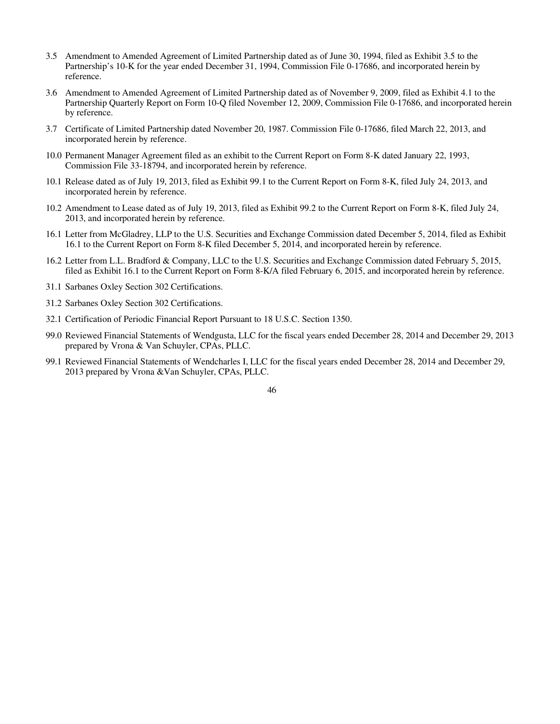- 3.5 Amendment to Amended Agreement of Limited Partnership dated as of June 30, 1994, filed as Exhibit 3.5 to the Partnership's 10-K for the year ended December 31, 1994, Commission File 0-17686, and incorporated herein by reference.
- 3.6 Amendment to Amended Agreement of Limited Partnership dated as of November 9, 2009, filed as Exhibit 4.1 to the Partnership Quarterly Report on Form 10-Q filed November 12, 2009, Commission File 0-17686, and incorporated herein by reference.
- 3.7 Certificate of Limited Partnership dated November 20, 1987. Commission File 0-17686, filed March 22, 2013, and incorporated herein by reference.
- 10.0 Permanent Manager Agreement filed as an exhibit to the Current Report on Form 8-K dated January 22, 1993, Commission File 33-18794, and incorporated herein by reference.
- 10.1 Release dated as of July 19, 2013, filed as Exhibit 99.1 to the Current Report on Form 8-K, filed July 24, 2013, and incorporated herein by reference.
- 10.2 Amendment to Lease dated as of July 19, 2013, filed as Exhibit 99.2 to the Current Report on Form 8-K, filed July 24, 2013, and incorporated herein by reference.
- 16.1 Letter from McGladrey, LLP to the U.S. Securities and Exchange Commission dated December 5, 2014, filed as Exhibit 16.1 to the Current Report on Form 8-K filed December 5, 2014, and incorporated herein by reference.
- 16.2 Letter from L.L. Bradford & Company, LLC to the U.S. Securities and Exchange Commission dated February 5, 2015, filed as Exhibit 16.1 to the Current Report on Form 8-K/A filed February 6, 2015, and incorporated herein by reference.
- 31.1 Sarbanes Oxley Section 302 Certifications.
- 31.2 Sarbanes Oxley Section 302 Certifications.
- 32.1 Certification of Periodic Financial Report Pursuant to 18 U.S.C. Section 1350.
- 99.0 Reviewed Financial Statements of Wendgusta, LLC for the fiscal years ended December 28, 2014 and December 29, 2013 prepared by Vrona & Van Schuyler, CPAs, PLLC.
- 99.1 Reviewed Financial Statements of Wendcharles I, LLC for the fiscal years ended December 28, 2014 and December 29, 2013 prepared by Vrona &Van Schuyler, CPAs, PLLC.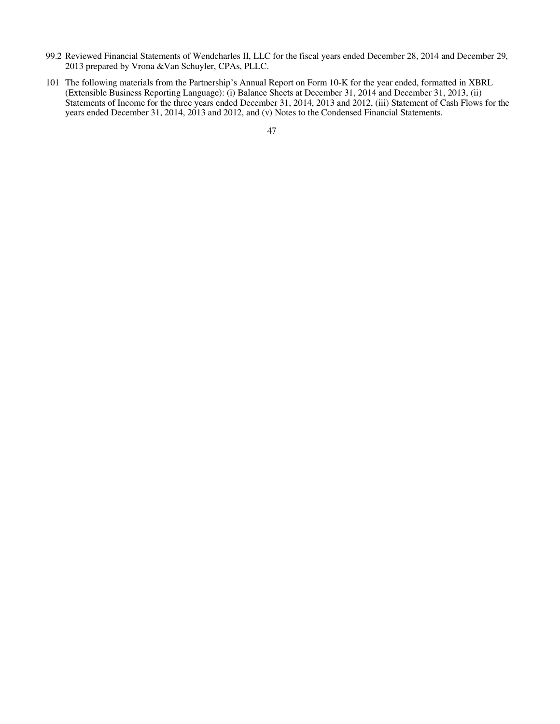- 99.2 Reviewed Financial Statements of Wendcharles II, LLC for the fiscal years ended December 28, 2014 and December 29, 2013 prepared by Vrona &Van Schuyler, CPAs, PLLC.
- 101 The following materials from the Partnership's Annual Report on Form 10-K for the year ended, formatted in XBRL (Extensible Business Reporting Language): (i) Balance Sheets at December 31, 2014 and December 31, 2013, (ii) Statements of Income for the three years ended December 31, 2014, 2013 and 2012, (iii) Statement of Cash Flows for the years ended December 31, 2014, 2013 and 2012, and (v) Notes to the Condensed Financial Statements.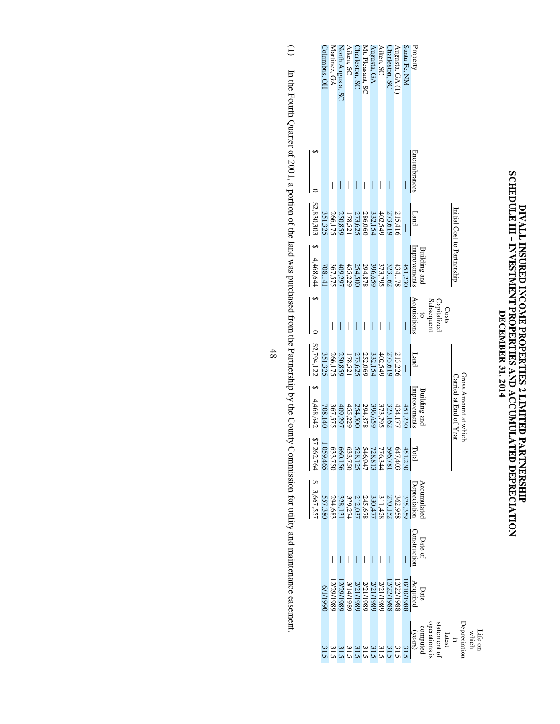# DIVALL INSURD INCOME PROPERTIES 2 LIMITED PARTNERSHIP<br>SCHEDULE III – INVESTMEMT PROPERTIES AND ACCUMULATED DEPRECIATION<br>DESCHEDULE III – III VESTMEMT PROPERTIES AND ACCUMULATED DEPRECIATION **SCHEDULE III – INVESTMENT PROPERTIES AND ACCUMULATED DEPRECIATION DIVALL INSURED INCOME PROPERTIES 2 LIMITED PARTNERSHIP DECEMBER 31, 2014**

| \$2,830,30                                                                                                                                                                                                                                                                                                        | Columbus, OH<br>351,32:                                                                                                   | Martinez, GA | North Augusta, SC | Aiken, SC | Charleston, SC<br>215,416<br>273,619<br>232,154<br>332,160<br>200,852<br>266,175<br>266,175 | Mt. Pleasant, SC | Augusta, GA | Charleston, SC<br>Aiken, SC | Augusta, GA (1) | Santa Fe, NM                                                                                                                                                                                                                                                                                                                                                                                                                                                     | Property<br>Encumbrances<br>Land |                         |           |             |       | Initial Cost to Partnership                                                                                                                                                                                                                        |  |  |
|-------------------------------------------------------------------------------------------------------------------------------------------------------------------------------------------------------------------------------------------------------------------------------------------------------------------|---------------------------------------------------------------------------------------------------------------------------|--------------|-------------------|-----------|---------------------------------------------------------------------------------------------|------------------|-------------|-----------------------------|-----------------|------------------------------------------------------------------------------------------------------------------------------------------------------------------------------------------------------------------------------------------------------------------------------------------------------------------------------------------------------------------------------------------------------------------------------------------------------------------|----------------------------------|-------------------------|-----------|-------------|-------|----------------------------------------------------------------------------------------------------------------------------------------------------------------------------------------------------------------------------------------------------|--|--|
| $3 \t4.468,644$                                                                                                                                                                                                                                                                                                   | 708,141                                                                                                                   |              |                   |           | 434,1778<br>323,162<br>373,795,657<br>304,878<br>367,575<br>367,575                         |                  |             |                             |                 | 451,23                                                                                                                                                                                                                                                                                                                                                                                                                                                           | Improvement                      | Building and            |           |             |       |                                                                                                                                                                                                                                                    |  |  |
|                                                                                                                                                                                                                                                                                                                   |                                                                                                                           |              |                   |           |                                                                                             |                  |             |                             |                 |                                                                                                                                                                                                                                                                                                                                                                                                                                                                  | Acquisition:                     | $\overline{5}$          | Subsequen | Capitalized | Costs |                                                                                                                                                                                                                                                    |  |  |
| \$2,794,12                                                                                                                                                                                                                                                                                                        | 351,32                                                                                                                    |              |                   |           | 213,226<br>273,619<br>232,152,069<br>273,069<br>266,175<br>266,175                          |                  |             |                             |                 |                                                                                                                                                                                                                                                                                                                                                                                                                                                                  | Land                             |                         |           |             |       |                                                                                                                                                                                                                                                    |  |  |
| 4,468,64                                                                                                                                                                                                                                                                                                          | 708,14                                                                                                                    |              |                   |           | 434,1177<br>373,196,659<br>373,798,657<br>36,537<br>367,575<br>367,575                      |                  |             |                             |                 | 451,23                                                                                                                                                                                                                                                                                                                                                                                                                                                           | Improvements                     | <b>Building and</b>     |           |             |       | Gross Amount at which<br>Carried at End of Year                                                                                                                                                                                                    |  |  |
| $\begin{array}{r l} \hline 16111 \\ \hline 141120 \\ 1500 \\ 1600 \\ 1700 \\ 1800 \\ 1900 \\ 1900 \\ 1900 \\ 1900 \\ 1900 \\ 1900 \\ 1900 \\ 1900 \\ 1900 \\ 1900 \\ 1900 \\ 1900 \\ 1900 \\ 1900 \\ 1900 \\ 1900 \\ 1900 \\ 1900 \\ 1900 \\ 1900 \\ 1900 \\ 1900 \\ 1900 \\ 1900 \\ 1900 \\ 1900 \\ 1900 \\ 190$ |                                                                                                                           |              |                   |           |                                                                                             |                  |             |                             |                 |                                                                                                                                                                                                                                                                                                                                                                                                                                                                  |                                  |                         |           |             |       |                                                                                                                                                                                                                                                    |  |  |
| \$3,667,55                                                                                                                                                                                                                                                                                                        | Accumulated<br>Depreciation<br>1975, 1978<br>1975, 1978<br>1979, 1979<br>197, 1980<br>197, 1980<br>197, 1980<br>197, 1980 |              |                   |           |                                                                                             |                  |             |                             |                 |                                                                                                                                                                                                                                                                                                                                                                                                                                                                  |                                  |                         |           |             |       |                                                                                                                                                                                                                                                    |  |  |
|                                                                                                                                                                                                                                                                                                                   |                                                                                                                           |              |                   |           | $\frac{1}{2}$                                                                               |                  |             |                             |                 |                                                                                                                                                                                                                                                                                                                                                                                                                                                                  |                                  | Date of<br>Construction |           |             |       |                                                                                                                                                                                                                                                    |  |  |
|                                                                                                                                                                                                                                                                                                                   | 661/1/9                                                                                                                   |              |                   |           |                                                                                             |                  |             |                             |                 | $\begin{array}{c} \text{Date} \\ \text{A} \\ \text{B} \\ \text{B} \\ \text{B} \\ \text{B} \\ \text{B} \\ \text{B} \\ \text{B} \\ \text{B} \\ \text{B} \\ \text{B} \\ \text{B} \\ \text{B} \\ \text{B} \\ \text{B} \\ \text{B} \\ \text{B} \\ \text{B} \\ \text{B} \\ \text{B} \\ \text{B} \\ \text{B} \\ \text{B} \\ \text{B} \\ \text{B} \\ \text{B} \\ \text{B} \\ \text{B} \\ \text{B} \\ \text{B} \\ \text{B} \\ \text{B} \\ \text{B} \\ \text{B} \\ \text{$ |                                  |                         |           |             |       |                                                                                                                                                                                                                                                    |  |  |
|                                                                                                                                                                                                                                                                                                                   |                                                                                                                           |              |                   |           |                                                                                             |                  |             |                             |                 |                                                                                                                                                                                                                                                                                                                                                                                                                                                                  |                                  |                         |           |             |       | Life on the special<br>which depends in the state metal of the state of $\frac{(y \cos x)}{13}$<br>$\frac{313}{313}$<br>$\frac{313}{313}$<br>$\frac{313}{313}$<br>$\frac{313}{313}$<br>$\frac{313}{313}$<br>$\frac{313}{313}$<br>$\frac{313}{313}$ |  |  |

(1)In the Fourth Quarter of 2001, a portion of the land was purchased from the Partnership by the County Commission for utility and maintenance easement. In the Fourth Quarter of 2001, a portion of the land was purchased from the Partnership by the County Commission for utility and maintenance easement.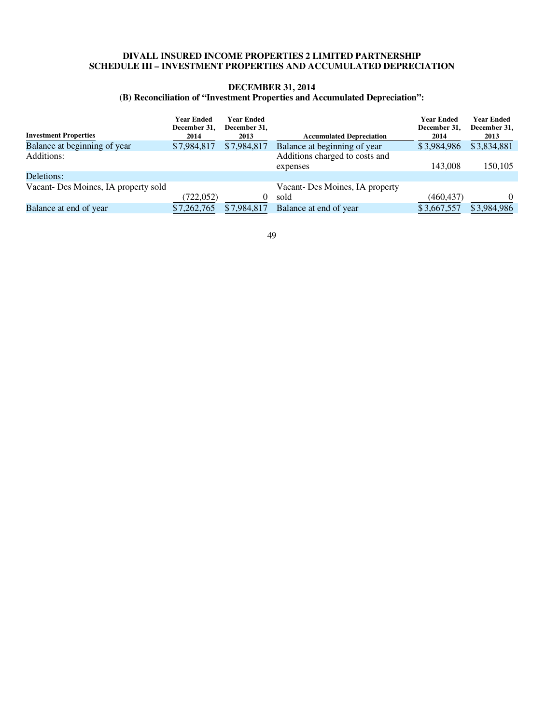# **DIVALL INSURED INCOME PROPERTIES 2 LIMITED PARTNERSHIP SCHEDULE III – INVESTMENT PROPERTIES AND ACCUMULATED DEPRECIATION**

# **DECEMBER 31, 2014**

# **(B) Reconciliation of "Investment Properties and Accumulated Depreciation":**

|                                     | <b>Year Ended</b><br>December 31, | <b>Year Ended</b><br>December 31, |                                 | Year Ended<br>December 31, | <b>Year Ended</b><br>December 31, |
|-------------------------------------|-----------------------------------|-----------------------------------|---------------------------------|----------------------------|-----------------------------------|
| <b>Investment Properties</b>        | 2014                              | 2013                              | <b>Accumulated Depreciation</b> | 2014                       | 2013                              |
| Balance at beginning of year        | \$7,984,817                       | \$7,984,817                       | Balance at beginning of year    | \$3,984,986                | \$3,834,881                       |
| Additions:                          |                                   |                                   | Additions charged to costs and  |                            |                                   |
|                                     |                                   |                                   | expenses                        | 143,008                    | 150,105                           |
| Deletions:                          |                                   |                                   |                                 |                            |                                   |
| Vacant-Des Moines, IA property sold |                                   |                                   | Vacant-Des Moines, IA property  |                            |                                   |
|                                     | 722,052                           |                                   | sold                            | (460,437)                  | $\theta$                          |
| Balance at end of year              | \$7,262,765                       | \$7,984,817                       | Balance at end of year          | \$3,667,557                | \$3,984,986                       |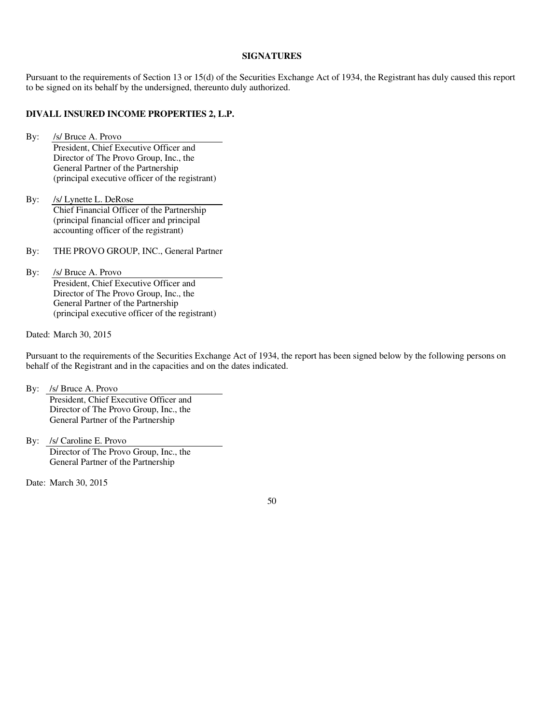#### **SIGNATURES**

Pursuant to the requirements of Section 13 or 15(d) of the Securities Exchange Act of 1934, the Registrant has duly caused this report to be signed on its behalf by the undersigned, thereunto duly authorized.

#### **DIVALL INSURED INCOME PROPERTIES 2, L.P.**

- By: /s/ Bruce A. Provo President, Chief Executive Officer and Director of The Provo Group, Inc., the General Partner of the Partnership (principal executive officer of the registrant)
- By: /s/ Lynette L. DeRose Chief Financial Officer of the Partnership (principal financial officer and principal accounting officer of the registrant)

By: THE PROVO GROUP, INC., General Partner

By: /s/ Bruce A. Provo President, Chief Executive Officer and Director of The Provo Group, Inc., the General Partner of the Partnership (principal executive officer of the registrant)

Dated: March 30, 2015

Pursuant to the requirements of the Securities Exchange Act of 1934, the report has been signed below by the following persons on behalf of the Registrant and in the capacities and on the dates indicated.

- By: /s/ Bruce A. Provo President, Chief Executive Officer and Director of The Provo Group, Inc., the General Partner of the Partnership
- By: /s/ Caroline E. Provo Director of The Provo Group, Inc., the General Partner of the Partnership

Date: March 30, 2015

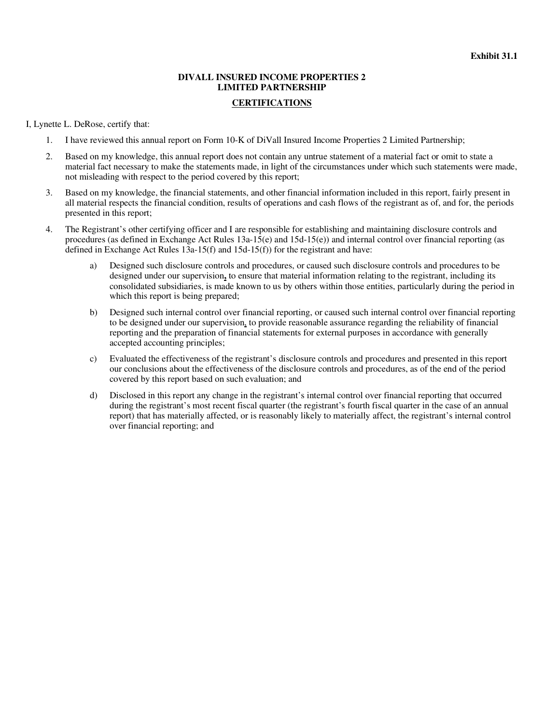# **DIVALL INSURED INCOME PROPERTIES 2 LIMITED PARTNERSHIP**

# **CERTIFICATIONS**

I, Lynette L. DeRose, certify that:

- 1. I have reviewed this annual report on Form 10-K of DiVall Insured Income Properties 2 Limited Partnership;
- 2. Based on my knowledge, this annual report does not contain any untrue statement of a material fact or omit to state a material fact necessary to make the statements made, in light of the circumstances under which such statements were made, not misleading with respect to the period covered by this report;
- 3. Based on my knowledge, the financial statements, and other financial information included in this report, fairly present in all material respects the financial condition, results of operations and cash flows of the registrant as of, and for, the periods presented in this report;
- 4. The Registrant's other certifying officer and I are responsible for establishing and maintaining disclosure controls and procedures (as defined in Exchange Act Rules 13a-15(e) and 15d-15(e)) and internal control over financial reporting (as defined in Exchange Act Rules 13a-15(f) and 15d-15(f)) for the registrant and have:
	- a) Designed such disclosure controls and procedures, or caused such disclosure controls and procedures to be designed under our supervision**,** to ensure that material information relating to the registrant, including its consolidated subsidiaries, is made known to us by others within those entities, particularly during the period in which this report is being prepared;
	- b) Designed such internal control over financial reporting, or caused such internal control over financial reporting to be designed under our supervision, to provide reasonable assurance regarding the reliability of financial reporting and the preparation of financial statements for external purposes in accordance with generally accepted accounting principles;
	- c) Evaluated the effectiveness of the registrant's disclosure controls and procedures and presented in this report our conclusions about the effectiveness of the disclosure controls and procedures, as of the end of the period covered by this report based on such evaluation; and
	- d) Disclosed in this report any change in the registrant's internal control over financial reporting that occurred during the registrant's most recent fiscal quarter (the registrant's fourth fiscal quarter in the case of an annual report) that has materially affected, or is reasonably likely to materially affect, the registrant's internal control over financial reporting; and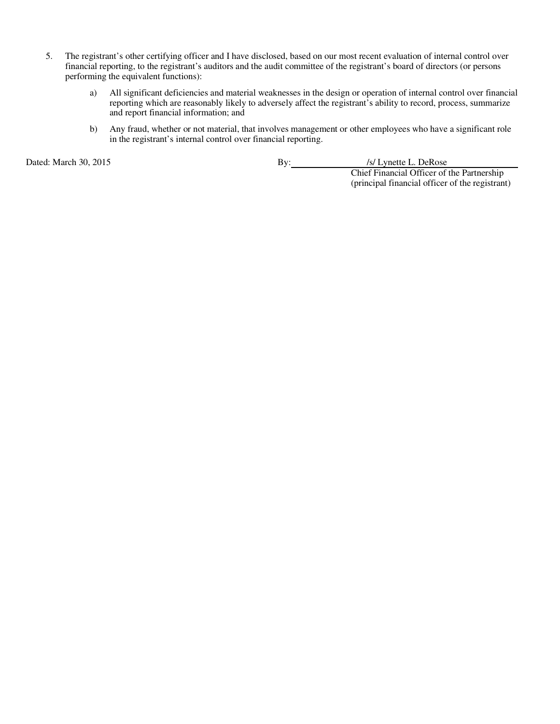- 5. The registrant's other certifying officer and I have disclosed, based on our most recent evaluation of internal control over financial reporting, to the registrant's auditors and the audit committee of the registrant's board of directors (or persons performing the equivalent functions):
	- a) All significant deficiencies and material weaknesses in the design or operation of internal control over financial reporting which are reasonably likely to adversely affect the registrant's ability to record, process, summarize and report financial information; and
	- b) Any fraud, whether or not material, that involves management or other employees who have a significant role in the registrant's internal control over financial reporting.

Dated: March 30, 2015 By: /s/ Lynette L. DeRose Chief Financial Officer of the Partnership (principal financial officer of the registrant)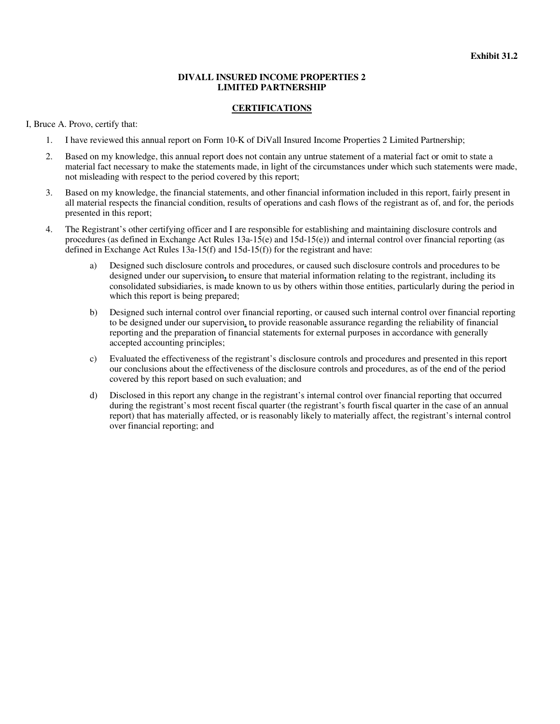#### **DIVALL INSURED INCOME PROPERTIES 2 LIMITED PARTNERSHIP**

# **CERTIFICATIONS**

I, Bruce A. Provo, certify that:

- 1. I have reviewed this annual report on Form 10-K of DiVall Insured Income Properties 2 Limited Partnership;
- 2. Based on my knowledge, this annual report does not contain any untrue statement of a material fact or omit to state a material fact necessary to make the statements made, in light of the circumstances under which such statements were made, not misleading with respect to the period covered by this report;
- 3. Based on my knowledge, the financial statements, and other financial information included in this report, fairly present in all material respects the financial condition, results of operations and cash flows of the registrant as of, and for, the periods presented in this report;
- 4. The Registrant's other certifying officer and I are responsible for establishing and maintaining disclosure controls and procedures (as defined in Exchange Act Rules 13a-15(e) and 15d-15(e)) and internal control over financial reporting (as defined in Exchange Act Rules 13a-15(f) and 15d-15(f)) for the registrant and have:
	- a) Designed such disclosure controls and procedures, or caused such disclosure controls and procedures to be designed under our supervision**,** to ensure that material information relating to the registrant, including its consolidated subsidiaries, is made known to us by others within those entities, particularly during the period in which this report is being prepared;
	- b) Designed such internal control over financial reporting, or caused such internal control over financial reporting to be designed under our supervision, to provide reasonable assurance regarding the reliability of financial reporting and the preparation of financial statements for external purposes in accordance with generally accepted accounting principles;
	- c) Evaluated the effectiveness of the registrant's disclosure controls and procedures and presented in this report our conclusions about the effectiveness of the disclosure controls and procedures, as of the end of the period covered by this report based on such evaluation; and
	- d) Disclosed in this report any change in the registrant's internal control over financial reporting that occurred during the registrant's most recent fiscal quarter (the registrant's fourth fiscal quarter in the case of an annual report) that has materially affected, or is reasonably likely to materially affect, the registrant's internal control over financial reporting; and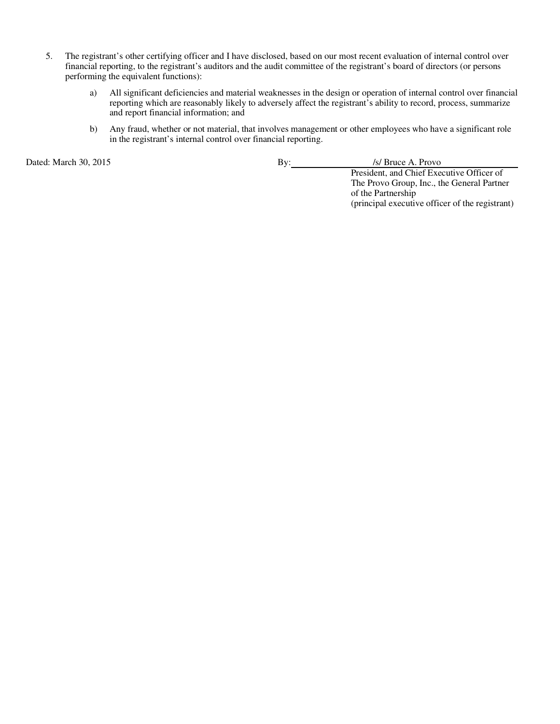- 5. The registrant's other certifying officer and I have disclosed, based on our most recent evaluation of internal control over financial reporting, to the registrant's auditors and the audit committee of the registrant's board of directors (or persons performing the equivalent functions):
	- a) All significant deficiencies and material weaknesses in the design or operation of internal control over financial reporting which are reasonably likely to adversely affect the registrant's ability to record, process, summarize and report financial information; and
	- b) Any fraud, whether or not material, that involves management or other employees who have a significant role in the registrant's internal control over financial reporting.

Dated: March 30, 2015 By: /s/ Bruce A. Provo President, and Chief Executive Officer of The Provo Group, Inc., the General Partner of the Partnership (principal executive officer of the registrant)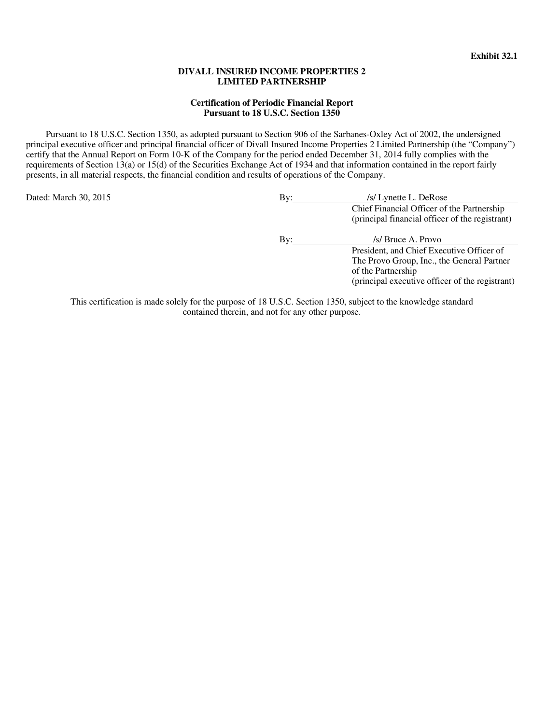#### **DIVALL INSURED INCOME PROPERTIES 2 LIMITED PARTNERSHIP**

#### **Certification of Periodic Financial Report Pursuant to 18 U.S.C. Section 1350**

Pursuant to 18 U.S.C. Section 1350, as adopted pursuant to Section 906 of the Sarbanes-Oxley Act of 2002, the undersigned principal executive officer and principal financial officer of Divall Insured Income Properties 2 Limited Partnership (the "Company") certify that the Annual Report on Form 10-K of the Company for the period ended December 31, 2014 fully complies with the requirements of Section 13(a) or 15(d) of the Securities Exchange Act of 1934 and that information contained in the report fairly presents, in all material respects, the financial condition and results of operations of the Company.

Dated: March 30, 2015

| Bv: | /s/ Lynette L. DeRose                           |
|-----|-------------------------------------------------|
|     | Chief Financial Officer of the Partnership      |
|     | (principal financial officer of the registrant) |
|     |                                                 |
| By: | /s/ Bruce A. Provo                              |
|     | President, and Chief Executive Officer of       |
|     | The Provo Group, Inc., the General Partner      |
|     | of the Partnership                              |
|     | (principal executive officer of the registrant) |
|     |                                                 |

This certification is made solely for the purpose of 18 U.S.C. Section 1350, subject to the knowledge standard contained therein, and not for any other purpose.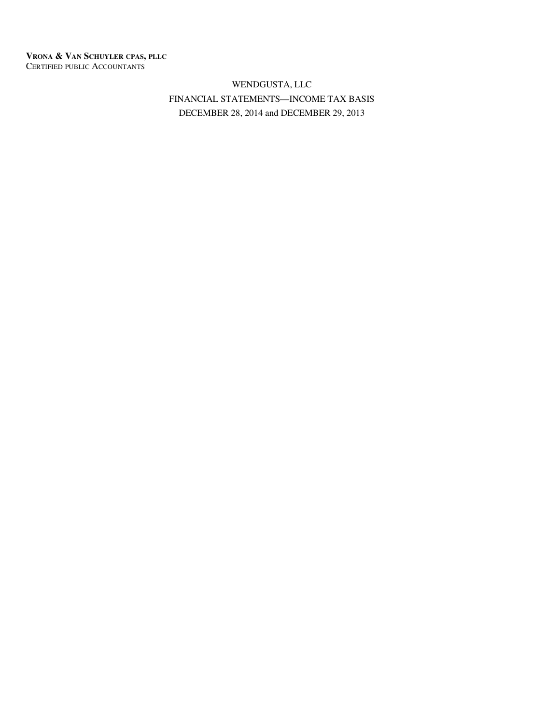# WENDGUSTA, LLC

# FINANCIAL STATEMENTS—INCOME TAX BASIS DECEMBER 28, 2014 and DECEMBER 29, 2013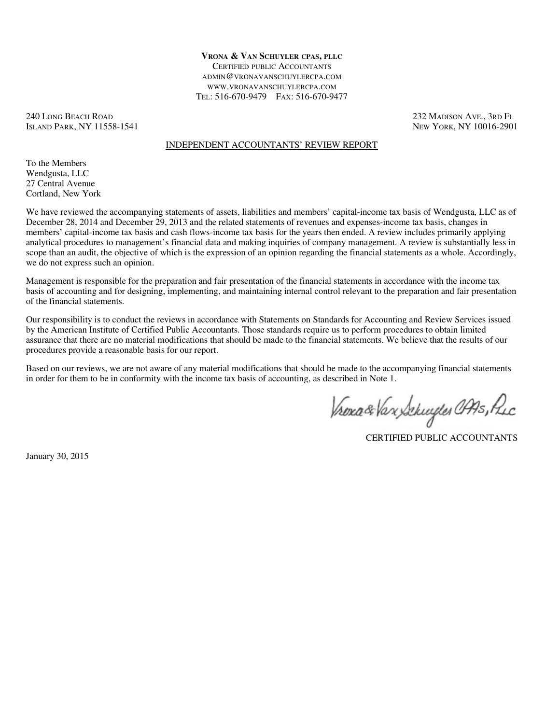#### **VRONA & VAN SCHUYLER CPAS, PLLC** CERTIFIED PUBLIC ACCOUNTANTS ADMIN@VRONAVANSCHUYLERCPA.COM WWW.VRONAVANSCHUYLERCPA.COM TEL: 516-670-9479 FAX: 516-670-9477

240 LONG BEACH ROAD ISLAND PARK, NY 11558-1541 232 MADISON AVE., 3RD FL NEW YORK, NY 10016-2901

# INDEPENDENT ACCOUNTANTS' REVIEW REPORT

To the Members Wendgusta, LLC 27 Central Avenue Cortland, New York

We have reviewed the accompanying statements of assets, liabilities and members' capital-income tax basis of Wendgusta, LLC as of December 28, 2014 and December 29, 2013 and the related statements of revenues and expenses-income tax basis, changes in members' capital-income tax basis and cash flows-income tax basis for the years then ended. A review includes primarily applying analytical procedures to management's financial data and making inquiries of company management. A review is substantially less in scope than an audit, the objective of which is the expression of an opinion regarding the financial statements as a whole. Accordingly, we do not express such an opinion.

Management is responsible for the preparation and fair presentation of the financial statements in accordance with the income tax basis of accounting and for designing, implementing, and maintaining internal control relevant to the preparation and fair presentation of the financial statements.

Our responsibility is to conduct the reviews in accordance with Statements on Standards for Accounting and Review Services issued by the American Institute of Certified Public Accountants. Those standards require us to perform procedures to obtain limited assurance that there are no material modifications that should be made to the financial statements. We believe that the results of our procedures provide a reasonable basis for our report.

Based on our reviews, we are not aware of any material modifications that should be made to the accompanying financial statements in order for them to be in conformity with the income tax basis of accounting, as described in Note 1.

Vroxa&Vax Schuyler CAAs, Puc

CERTIFIED PUBLIC ACCOUNTANTS

January 30, 2015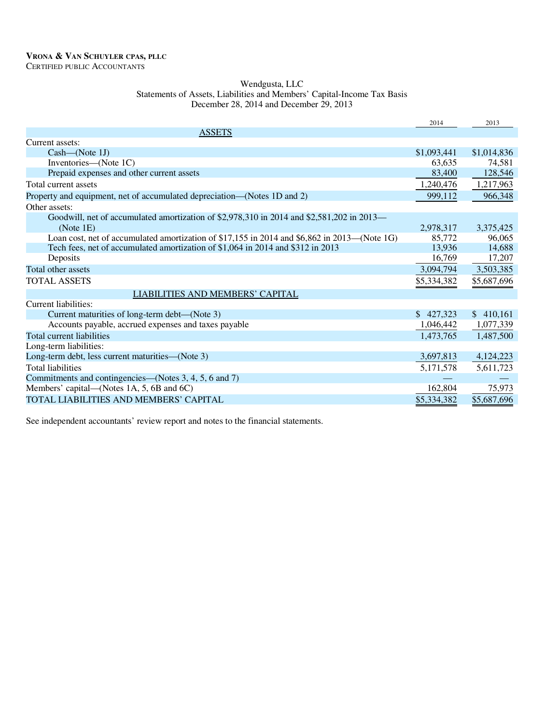#### Wendgusta, LLC Statements of Assets, Liabilities and Members' Capital-Income Tax Basis December 28, 2014 and December 29, 2013

|                                                                                              | 2014        | 2013        |
|----------------------------------------------------------------------------------------------|-------------|-------------|
| <b>ASSETS</b>                                                                                |             |             |
| Current assets:                                                                              |             |             |
| Cash—(Note 1J)                                                                               | \$1,093,441 | \$1,014,836 |
| Inventories—(Note 1C)                                                                        | 63,635      | 74,581      |
| Prepaid expenses and other current assets                                                    | 83,400      | 128,546     |
| Total current assets                                                                         | 1,240,476   | 1,217,963   |
| Property and equipment, net of accumulated depreciation—(Notes 1D and 2)                     | 999,112     | 966,348     |
| Other assets:                                                                                |             |             |
| Goodwill, net of accumulated amortization of \$2,978,310 in 2014 and \$2,581,202 in 2013—    |             |             |
| (Note 1E)                                                                                    | 2,978,317   | 3,375,425   |
| Loan cost, net of accumulated amortization of \$17,155 in 2014 and \$6,862 in 2013—(Note 1G) | 85,772      | 96,065      |
| Tech fees, net of accumulated amortization of \$1,064 in 2014 and \$312 in 2013              | 13,936      | 14,688      |
| Deposits                                                                                     | 16,769      | 17,207      |
| Total other assets                                                                           | 3,094,794   | 3,503,385   |
| <b>TOTAL ASSETS</b>                                                                          | \$5,334,382 | \$5,687,696 |
| LIABILITIES AND MEMBERS' CAPITAL                                                             |             |             |
| Current liabilities:                                                                         |             |             |
| Current maturities of long-term debt—(Note 3)                                                | \$427,323   | \$410,161   |
| Accounts payable, accrued expenses and taxes payable                                         | 1,046,442   | 1,077,339   |
| Total current liabilities                                                                    | 1.473.765   | 1,487,500   |
| Long-term liabilities:                                                                       |             |             |
| Long-term debt, less current maturities—(Note 3)                                             | 3,697,813   | 4,124,223   |
| <b>Total liabilities</b>                                                                     | 5,171,578   | 5,611,723   |
| Commitments and contingencies—(Notes 3, 4, 5, 6 and 7)                                       |             |             |
| Members' capital—(Notes 1A, 5, 6B and 6C)                                                    | 162,804     | 75,973      |
| TOTAL LIABILITIES AND MEMBERS' CAPITAL                                                       | \$5,334,382 | \$5,687,696 |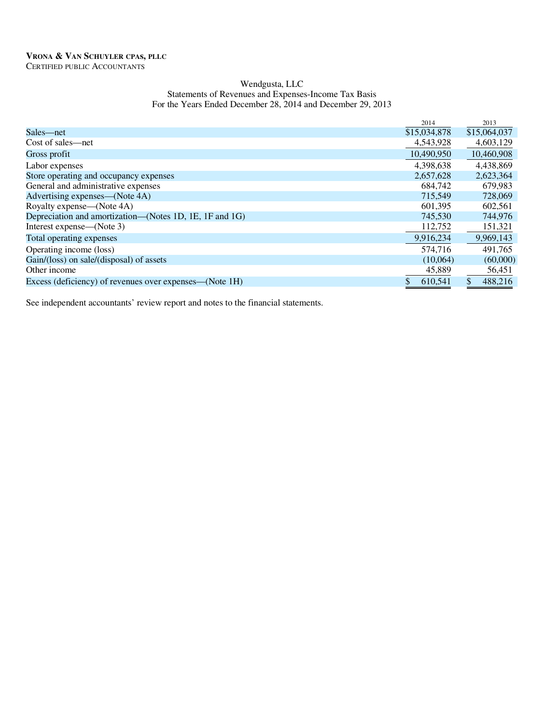#### Wendgusta, LLC Statements of Revenues and Expenses-Income Tax Basis For the Years Ended December 28, 2014 and December 29, 2013

|                                                         | 2014         | 2013         |
|---------------------------------------------------------|--------------|--------------|
| Sales—net                                               | \$15,034,878 | \$15,064,037 |
| Cost of sales—net                                       | 4,543,928    | 4,603,129    |
| Gross profit                                            | 10,490,950   | 10,460,908   |
| Labor expenses                                          | 4,398,638    | 4,438,869    |
| Store operating and occupancy expenses                  | 2,657,628    | 2,623,364    |
| General and administrative expenses                     | 684,742      | 679,983      |
| Advertising expenses—(Note 4A)                          | 715,549      | 728,069      |
| Royalty expense—(Note 4A)                               | 601.395      | 602,561      |
| Depreciation and amortization—(Notes 1D, 1E, 1F and 1G) | 745,530      | 744,976      |
| Interest expense—(Note 3)                               | 112,752      | 151,321      |
| Total operating expenses                                | 9,916,234    | 9,969,143    |
| Operating income (loss)                                 | 574,716      | 491,765      |
| Gain/(loss) on sale/(disposal) of assets                | (10,064)     | (60,000)     |
| Other income                                            | 45,889       | 56,451       |
| Excess (deficiency) of revenues over expenses—(Note 1H) | 610,541      | 488,216      |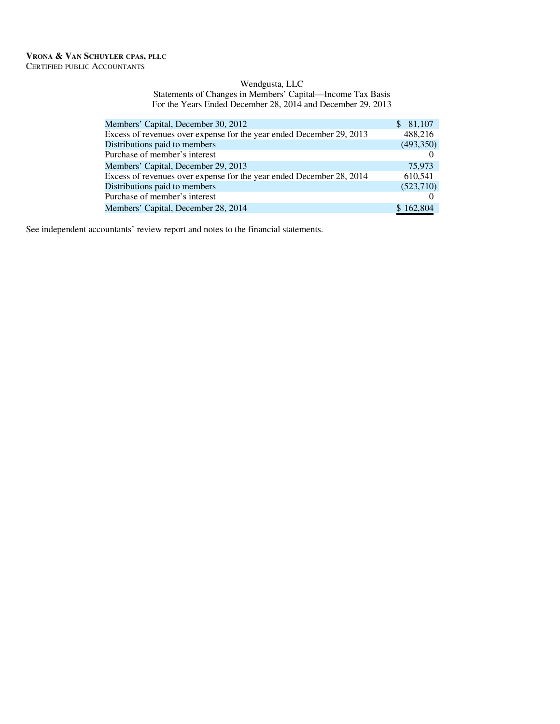#### Wendgusta, LLC

Statements of Changes in Members' Capital—Income Tax Basis For the Years Ended December 28, 2014 and December 29, 2013

| \$ 81,107  |
|------------|
| 488,216    |
| (493, 350) |
|            |
| 75,973     |
| 610,541    |
| (523, 710) |
|            |
| \$162,804  |
|            |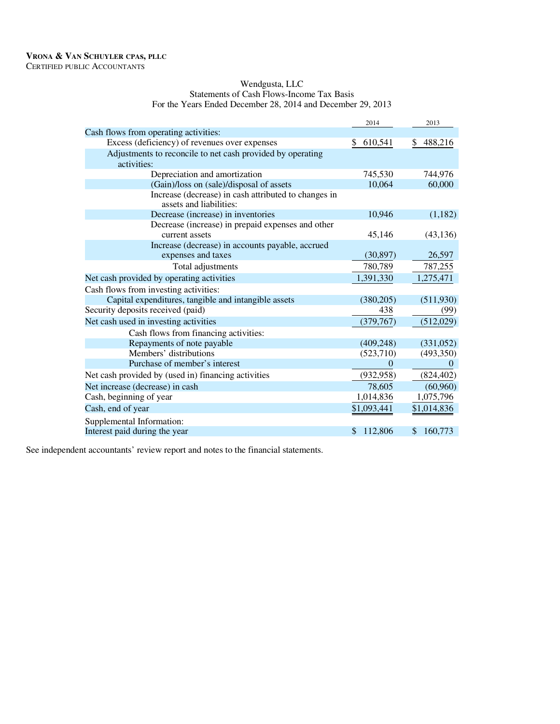#### Wendgusta, LLC Statements of Cash Flows-Income Tax Basis For the Years Ended December 28, 2014 and December 29, 2013

|                                                                                 | 2014           | 2013          |
|---------------------------------------------------------------------------------|----------------|---------------|
| Cash flows from operating activities:                                           |                |               |
| Excess (deficiency) of revenues over expenses                                   | 610,541        | 488,216       |
| Adjustments to reconcile to net cash provided by operating                      |                |               |
| activities:                                                                     |                |               |
| Depreciation and amortization                                                   | 745,530        | 744,976       |
| (Gain)/loss on (sale)/disposal of assets                                        | 10,064         | 60,000        |
| Increase (decrease) in cash attributed to changes in<br>assets and liabilities: |                |               |
| Decrease (increase) in inventories                                              | 10,946         | (1,182)       |
| Decrease (increase) in prepaid expenses and other                               |                |               |
| current assets                                                                  | 45,146         | (43, 136)     |
| Increase (decrease) in accounts payable, accrued                                |                |               |
| expenses and taxes                                                              | (30, 897)      | 26,597        |
| Total adjustments                                                               | 780,789        | 787,255       |
| Net cash provided by operating activities                                       | 1,391,330      | 1,275,471     |
| Cash flows from investing activities:                                           |                |               |
| Capital expenditures, tangible and intangible assets                            | (380, 205)     | (511, 930)    |
| Security deposits received (paid)                                               | 438            | (99)          |
| Net cash used in investing activities                                           | (379, 767)     | (512,029)     |
| Cash flows from financing activities:                                           |                |               |
| Repayments of note payable                                                      | (409, 248)     | (331,052)     |
| Members' distributions                                                          | (523, 710)     | (493,350)     |
| Purchase of member's interest                                                   | 0              | $\theta$      |
| Net cash provided by (used in) financing activities                             | (932, 958)     | (824, 402)    |
| Net increase (decrease) in cash                                                 | 78,605         | (60,960)      |
| Cash, beginning of year                                                         | 1,014,836      | 1,075,796     |
| Cash, end of year                                                               | \$1,093,441    | \$1,014,836   |
| Supplemental Information:                                                       |                |               |
| Interest paid during the year                                                   | 112,806<br>\$. | 160,773<br>\$ |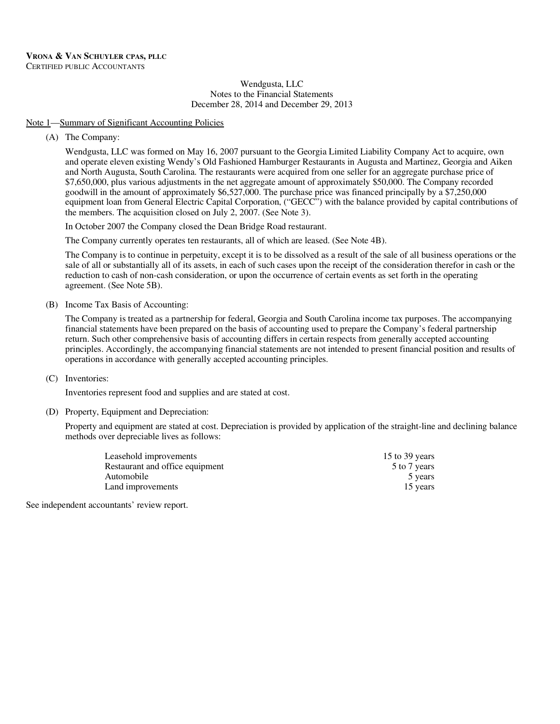# Note 1—Summary of Significant Accounting Policies

(A) The Company:

Wendgusta, LLC was formed on May 16, 2007 pursuant to the Georgia Limited Liability Company Act to acquire, own and operate eleven existing Wendy's Old Fashioned Hamburger Restaurants in Augusta and Martinez, Georgia and Aiken and North Augusta, South Carolina. The restaurants were acquired from one seller for an aggregate purchase price of \$7,650,000, plus various adjustments in the net aggregate amount of approximately \$50,000. The Company recorded goodwill in the amount of approximately \$6,527,000. The purchase price was financed principally by a \$7,250,000 equipment loan from General Electric Capital Corporation, ("GECC") with the balance provided by capital contributions of the members. The acquisition closed on July 2, 2007. (See Note 3).

In October 2007 the Company closed the Dean Bridge Road restaurant.

The Company currently operates ten restaurants, all of which are leased. (See Note 4B).

The Company is to continue in perpetuity, except it is to be dissolved as a result of the sale of all business operations or the sale of all or substantially all of its assets, in each of such cases upon the receipt of the consideration therefor in cash or the reduction to cash of non-cash consideration, or upon the occurrence of certain events as set forth in the operating agreement. (See Note 5B).

(B) Income Tax Basis of Accounting:

The Company is treated as a partnership for federal, Georgia and South Carolina income tax purposes. The accompanying financial statements have been prepared on the basis of accounting used to prepare the Company's federal partnership return. Such other comprehensive basis of accounting differs in certain respects from generally accepted accounting principles. Accordingly, the accompanying financial statements are not intended to present financial position and results of operations in accordance with generally accepted accounting principles.

(C) Inventories:

Inventories represent food and supplies and are stated at cost.

(D) Property, Equipment and Depreciation:

Property and equipment are stated at cost. Depreciation is provided by application of the straight-line and declining balance methods over depreciable lives as follows:

| Leasehold improvements          | 15 to 39 years |
|---------------------------------|----------------|
| Restaurant and office equipment | 5 to 7 years   |
| Automobile                      | 5 years        |
| Land improvements               | 15 years       |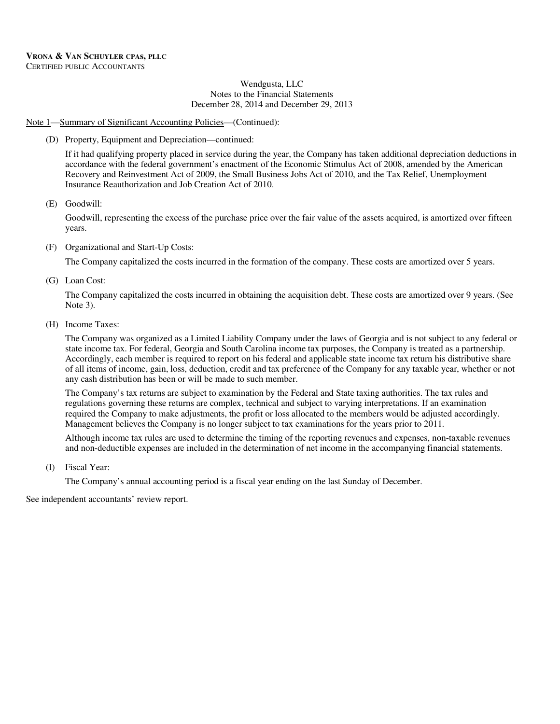### Note 1—Summary of Significant Accounting Policies—(Continued):

(D) Property, Equipment and Depreciation—continued:

If it had qualifying property placed in service during the year, the Company has taken additional depreciation deductions in accordance with the federal government's enactment of the Economic Stimulus Act of 2008, amended by the American Recovery and Reinvestment Act of 2009, the Small Business Jobs Act of 2010, and the Tax Relief, Unemployment Insurance Reauthorization and Job Creation Act of 2010.

(E) Goodwill:

Goodwill, representing the excess of the purchase price over the fair value of the assets acquired, is amortized over fifteen years.

(F) Organizational and Start-Up Costs:

The Company capitalized the costs incurred in the formation of the company. These costs are amortized over 5 years.

(G) Loan Cost:

The Company capitalized the costs incurred in obtaining the acquisition debt. These costs are amortized over 9 years. (See Note 3).

(H) Income Taxes:

The Company was organized as a Limited Liability Company under the laws of Georgia and is not subject to any federal or state income tax. For federal, Georgia and South Carolina income tax purposes, the Company is treated as a partnership. Accordingly, each member is required to report on his federal and applicable state income tax return his distributive share of all items of income, gain, loss, deduction, credit and tax preference of the Company for any taxable year, whether or not any cash distribution has been or will be made to such member.

The Company's tax returns are subject to examination by the Federal and State taxing authorities. The tax rules and regulations governing these returns are complex, technical and subject to varying interpretations. If an examination required the Company to make adjustments, the profit or loss allocated to the members would be adjusted accordingly. Management believes the Company is no longer subject to tax examinations for the years prior to 2011.

Although income tax rules are used to determine the timing of the reporting revenues and expenses, non-taxable revenues and non-deductible expenses are included in the determination of net income in the accompanying financial statements.

(I) Fiscal Year:

The Company's annual accounting period is a fiscal year ending on the last Sunday of December.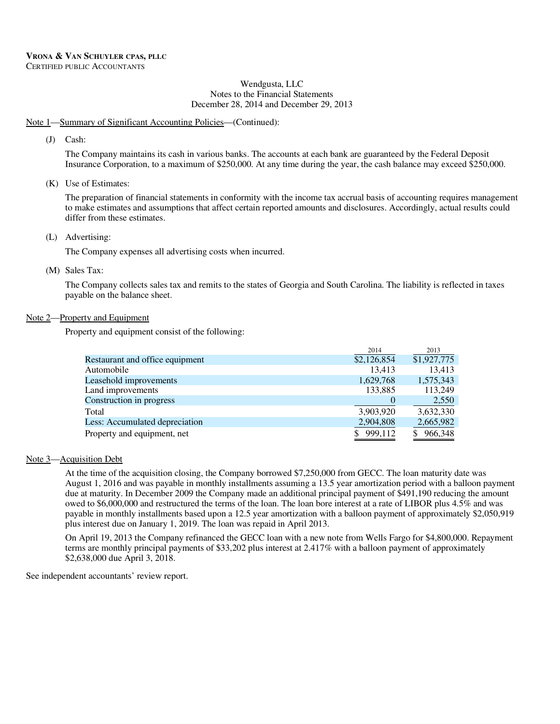# Note 1—Summary of Significant Accounting Policies—(Continued):

(J) Cash:

The Company maintains its cash in various banks. The accounts at each bank are guaranteed by the Federal Deposit Insurance Corporation, to a maximum of \$250,000. At any time during the year, the cash balance may exceed \$250,000.

(K) Use of Estimates:

The preparation of financial statements in conformity with the income tax accrual basis of accounting requires management to make estimates and assumptions that affect certain reported amounts and disclosures. Accordingly, actual results could differ from these estimates.

(L) Advertising:

The Company expenses all advertising costs when incurred.

(M) Sales Tax:

The Company collects sales tax and remits to the states of Georgia and South Carolina. The liability is reflected in taxes payable on the balance sheet.

# Note 2—Property and Equipment

Property and equipment consist of the following:

|                                 | 2014        | 2013        |
|---------------------------------|-------------|-------------|
| Restaurant and office equipment | \$2,126,854 | \$1,927,775 |
| Automobile                      | 13,413      | 13,413      |
| Leasehold improvements          | 1,629,768   | 1,575,343   |
| Land improvements               | 133,885     | 113,249     |
| Construction in progress        |             | 2,550       |
| Total                           | 3,903,920   | 3,632,330   |
| Less: Accumulated depreciation  | 2,904,808   | 2,665,982   |
| Property and equipment, net     | 999,112     | 966,348     |

# Note 3—Acquisition Debt

At the time of the acquisition closing, the Company borrowed \$7,250,000 from GECC. The loan maturity date was August 1, 2016 and was payable in monthly installments assuming a 13.5 year amortization period with a balloon payment due at maturity. In December 2009 the Company made an additional principal payment of \$491,190 reducing the amount owed to \$6,000,000 and restructured the terms of the loan. The loan bore interest at a rate of LIBOR plus 4.5% and was payable in monthly installments based upon a 12.5 year amortization with a balloon payment of approximately \$2,050,919 plus interest due on January 1, 2019. The loan was repaid in April 2013.

On April 19, 2013 the Company refinanced the GECC loan with a new note from Wells Fargo for \$4,800,000. Repayment terms are monthly principal payments of \$33,202 plus interest at 2.417% with a balloon payment of approximately \$2,638,000 due April 3, 2018.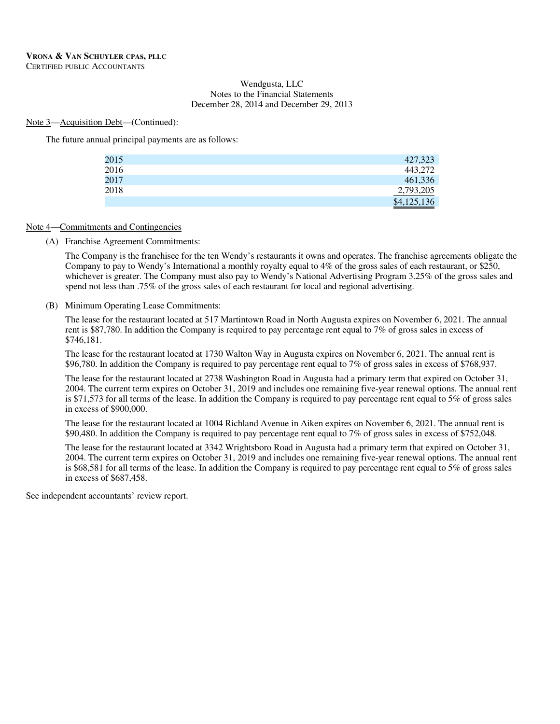#### Note 3—Acquisition Debt—(Continued):

The future annual principal payments are as follows:

| 2015 | 427,323     |
|------|-------------|
| 2016 | 443,272     |
| 2017 | 461,336     |
| 2018 | 2,793,205   |
|      | \$4,125,136 |

## Note 4—Commitments and Contingencies

(A) Franchise Agreement Commitments:

The Company is the franchisee for the ten Wendy's restaurants it owns and operates. The franchise agreements obligate the Company to pay to Wendy's International a monthly royalty equal to 4% of the gross sales of each restaurant, or \$250, whichever is greater. The Company must also pay to Wendy's National Advertising Program 3.25% of the gross sales and spend not less than .75% of the gross sales of each restaurant for local and regional advertising.

(B) Minimum Operating Lease Commitments:

The lease for the restaurant located at 517 Martintown Road in North Augusta expires on November 6, 2021. The annual rent is \$87,780. In addition the Company is required to pay percentage rent equal to 7% of gross sales in excess of \$746,181.

The lease for the restaurant located at 1730 Walton Way in Augusta expires on November 6, 2021. The annual rent is \$96,780. In addition the Company is required to pay percentage rent equal to 7% of gross sales in excess of \$768,937.

The lease for the restaurant located at 2738 Washington Road in Augusta had a primary term that expired on October 31, 2004. The current term expires on October 31, 2019 and includes one remaining five-year renewal options. The annual rent is \$71,573 for all terms of the lease. In addition the Company is required to pay percentage rent equal to 5% of gross sales in excess of \$900,000.

The lease for the restaurant located at 1004 Richland Avenue in Aiken expires on November 6, 2021. The annual rent is \$90,480. In addition the Company is required to pay percentage rent equal to 7% of gross sales in excess of \$752,048.

The lease for the restaurant located at 3342 Wrightsboro Road in Augusta had a primary term that expired on October 31, 2004. The current term expires on October 31, 2019 and includes one remaining five-year renewal options. The annual rent is \$68,581 for all terms of the lease. In addition the Company is required to pay percentage rent equal to 5% of gross sales in excess of \$687,458.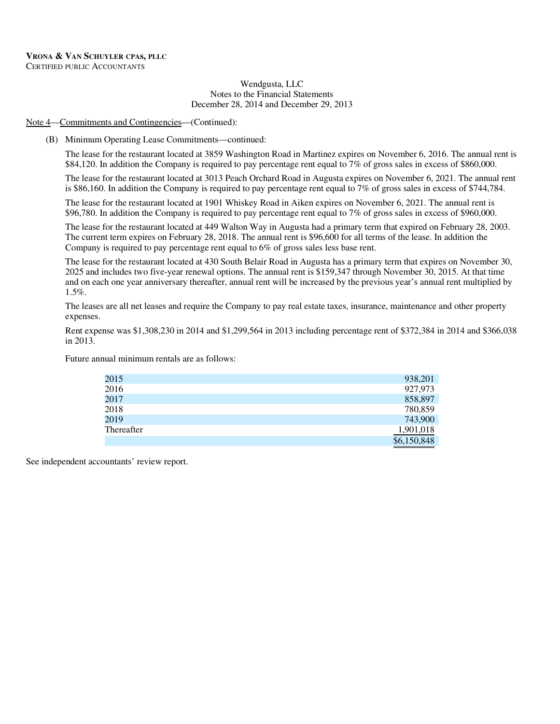#### Note 4—Commitments and Contingencies—(Continued):

#### (B) Minimum Operating Lease Commitments—continued:

The lease for the restaurant located at 3859 Washington Road in Martinez expires on November 6, 2016. The annual rent is \$84,120. In addition the Company is required to pay percentage rent equal to 7% of gross sales in excess of \$860,000.

The lease for the restaurant located at 3013 Peach Orchard Road in Augusta expires on November 6, 2021. The annual rent is \$86,160. In addition the Company is required to pay percentage rent equal to 7% of gross sales in excess of \$744,784.

The lease for the restaurant located at 1901 Whiskey Road in Aiken expires on November 6, 2021. The annual rent is \$96,780. In addition the Company is required to pay percentage rent equal to 7% of gross sales in excess of \$960,000.

The lease for the restaurant located at 449 Walton Way in Augusta had a primary term that expired on February 28, 2003. The current term expires on February 28, 2018. The annual rent is \$96,600 for all terms of the lease. In addition the Company is required to pay percentage rent equal to 6% of gross sales less base rent.

The lease for the restaurant located at 430 South Belair Road in Augusta has a primary term that expires on November 30, 2025 and includes two five-year renewal options. The annual rent is \$159,347 through November 30, 2015. At that time and on each one year anniversary thereafter, annual rent will be increased by the previous year's annual rent multiplied by 1.5%.

The leases are all net leases and require the Company to pay real estate taxes, insurance, maintenance and other property expenses.

Rent expense was \$1,308,230 in 2014 and \$1,299,564 in 2013 including percentage rent of \$372,384 in 2014 and \$366,038 in 2013.

Future annual minimum rentals are as follows:

| 2015       | 938,201     |
|------------|-------------|
| 2016       | 927,973     |
| 2017       | 858,897     |
| 2018       | 780,859     |
| 2019       | 743,900     |
| Thereafter | 1,901,018   |
|            | \$6,150,848 |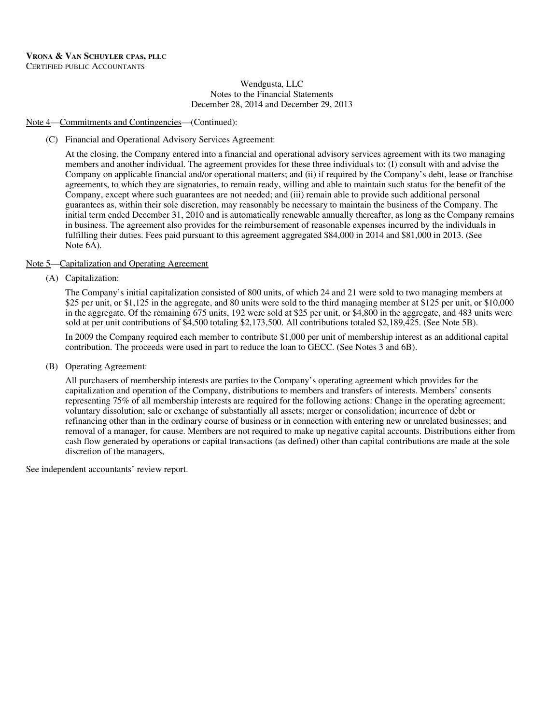# Note 4—Commitments and Contingencies—(Continued):

(C) Financial and Operational Advisory Services Agreement:

At the closing, the Company entered into a financial and operational advisory services agreement with its two managing members and another individual. The agreement provides for these three individuals to: (I) consult with and advise the Company on applicable financial and/or operational matters; and (ii) if required by the Company's debt, lease or franchise agreements, to which they are signatories, to remain ready, willing and able to maintain such status for the benefit of the Company, except where such guarantees are not needed; and (iii) remain able to provide such additional personal guarantees as, within their sole discretion, may reasonably be necessary to maintain the business of the Company. The initial term ended December 31, 2010 and is automatically renewable annually thereafter, as long as the Company remains in business. The agreement also provides for the reimbursement of reasonable expenses incurred by the individuals in fulfilling their duties. Fees paid pursuant to this agreement aggregated \$84,000 in 2014 and \$81,000 in 2013. (See Note 6A).

### Note 5—Capitalization and Operating Agreement

(A) Capitalization:

The Company's initial capitalization consisted of 800 units, of which 24 and 21 were sold to two managing members at \$25 per unit, or \$1,125 in the aggregate, and 80 units were sold to the third managing member at \$125 per unit, or \$10,000 in the aggregate. Of the remaining 675 units, 192 were sold at \$25 per unit, or \$4,800 in the aggregate, and 483 units were sold at per unit contributions of \$4,500 totaling \$2,173,500. All contributions totaled \$2,189,425. (See Note 5B).

In 2009 the Company required each member to contribute \$1,000 per unit of membership interest as an additional capital contribution. The proceeds were used in part to reduce the loan to GECC. (See Notes 3 and 6B).

(B) Operating Agreement:

All purchasers of membership interests are parties to the Company's operating agreement which provides for the capitalization and operation of the Company, distributions to members and transfers of interests. Members' consents representing 75% of all membership interests are required for the following actions: Change in the operating agreement; voluntary dissolution; sale or exchange of substantially all assets; merger or consolidation; incurrence of debt or refinancing other than in the ordinary course of business or in connection with entering new or unrelated businesses; and removal of a manager, for cause. Members are not required to make up negative capital accounts. Distributions either from cash flow generated by operations or capital transactions (as defined) other than capital contributions are made at the sole discretion of the managers,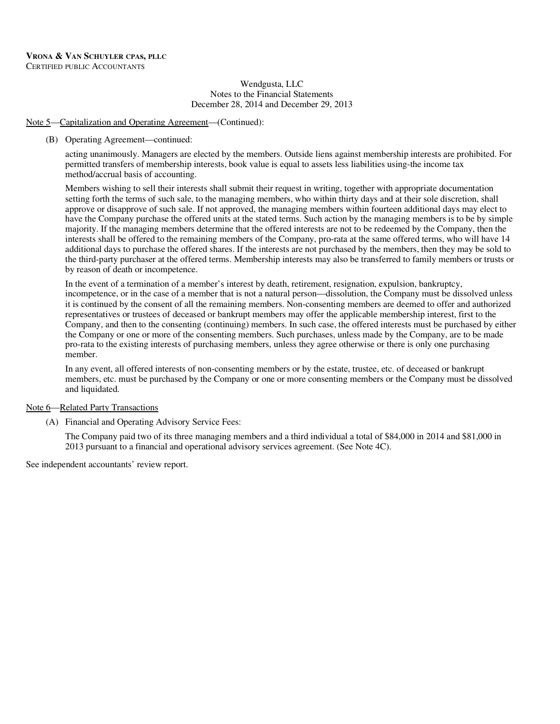### Note 5—Capitalization and Operating Agreement—(Continued):

### (B) Operating Agreement—continued:

acting unanimously. Managers are elected by the members. Outside liens against membership interests are prohibited. For permitted transfers of membership interests, book value is equal to assets less liabilities using-the income tax method/accrual basis of accounting.

Members wishing to sell their interests shall submit their request in writing, together with appropriate documentation setting forth the terms of such sale, to the managing members, who within thirty days and at their sole discretion, shall approve or disapprove of such sale. If not approved, the managing members within fourteen additional days may elect to have the Company purchase the offered units at the stated terms. Such action by the managing members is to be by simple majority. If the managing members determine that the offered interests are not to be redeemed by the Company, then the interests shall be offered to the remaining members of the Company, pro-rata at the same offered terms, who will have 14 additional days to purchase the offered shares. If the interests are not purchased by the members, then they may be sold to the third-party purchaser at the offered terms. Membership interests may also be transferred to family members or trusts or by reason of death or incompetence.

In the event of a termination of a member's interest by death, retirement, resignation, expulsion, bankruptcy, incompetence, or in the case of a member that is not a natural person—dissolution, the Company must be dissolved unless it is continued by the consent of all the remaining members. Non-consenting members are deemed to offer and authorized representatives or trustees of deceased or bankrupt members may offer the applicable membership interest, first to the Company, and then to the consenting (continuing) members. In such case, the offered interests must be purchased by either the Company or one or more of the consenting members. Such purchases, unless made by the Company, are to be made pro-rata to the existing interests of purchasing members, unless they agree otherwise or there is only one purchasing member.

In any event, all offered interests of non-consenting members or by the estate, trustee, etc. of deceased or bankrupt members, etc. must be purchased by the Company or one or more consenting members or the Company must be dissolved and liquidated.

# Note 6—Related Party Transactions

(A) Financial and Operating Advisory Service Fees:

The Company paid two of its three managing members and a third individual a total of \$84,000 in 2014 and \$81,000 in 2013 pursuant to a financial and operational advisory services agreement. (See Note 4C).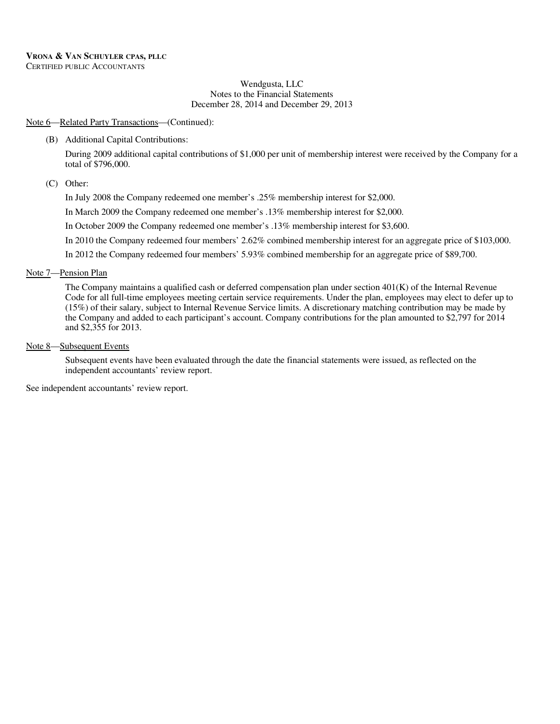#### **VRONA & VAN SCHUYLER CPAs, PLLC** CERTIFIED PUBLIC ACCOUNTANTS

#### Wendgusta, LLC Notes to the Financial Statements December 28, 2014 and December 29, 2013

### Note 6—Related Party Transactions—(Continued):

### (B) Additional Capital Contributions:

During 2009 additional capital contributions of \$1,000 per unit of membership interest were received by the Company for a total of \$796,000.

### (C) Other:

In July 2008 the Company redeemed one member's .25% membership interest for \$2,000.

In March 2009 the Company redeemed one member's .13% membership interest for \$2,000.

In October 2009 the Company redeemed one member's .13% membership interest for \$3,600.

In 2010 the Company redeemed four members' 2.62% combined membership interest for an aggregate price of \$103,000.

In 2012 the Company redeemed four members' 5.93% combined membership for an aggregate price of \$89,700.

# Note 7—Pension Plan

The Company maintains a qualified cash or deferred compensation plan under section  $401(K)$  of the Internal Revenue Code for all full-time employees meeting certain service requirements. Under the plan, employees may elect to defer up to (15%) of their salary, subject to Internal Revenue Service limits. A discretionary matching contribution may be made by the Company and added to each participant's account. Company contributions for the plan amounted to \$2,797 for 2014 and \$2,355 for 2013.

# Note 8—Subsequent Events

Subsequent events have been evaluated through the date the financial statements were issued, as reflected on the independent accountants' review report.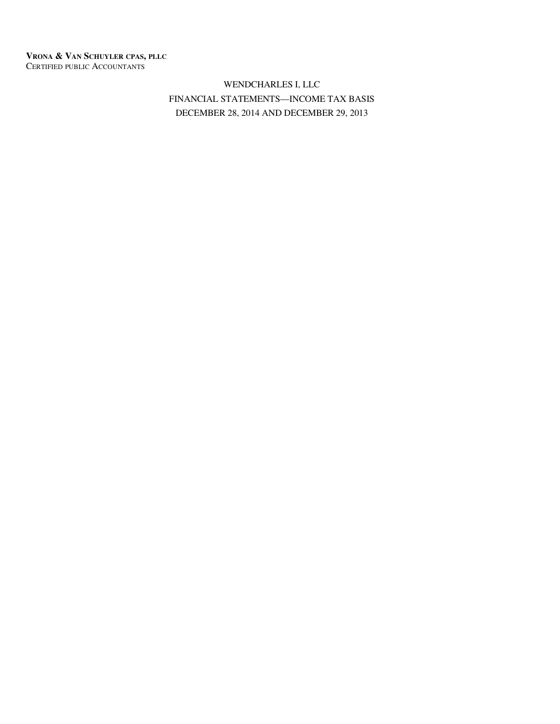# WENDCHARLES I, LLC FINANCIAL STATEMENTS—INCOME TAX BASIS DECEMBER 28, 2014 AND DECEMBER 29, 2013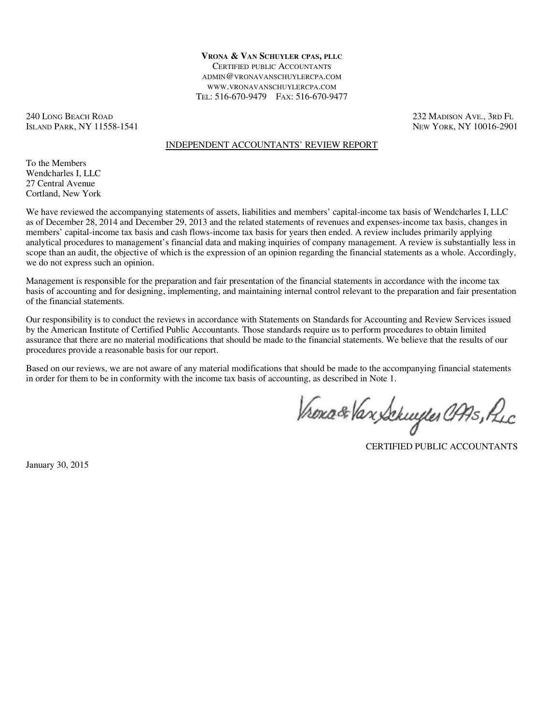#### **VRONA & VAN SCHUYLER CPAS, PLLC** CERTIFIED PUBLIC ACCOUNTANTS ADMIN@VRONAVANSCHUYLERCPA.COM WWW.VRONAVANSCHUYLERCPA.COM TEL: 516-670-9479 FAX: 516-670-9477

240 LONG BEACH ROAD 232 MADISON AVE., 3RD FL **ISLAND PARK, NY 11558-1541** 

# INDEPENDENT ACCOUNTANTS' REVIEW REPORT

To the Members Wendcharles I, LLC 27 Central Avenue Cortland, New York

We have reviewed the accompanying statements of assets, liabilities and members' capital-income tax basis of Wendcharles I, LLC as of December 28, 2014 and December 29, 2013 and the related statements of revenues and expenses-income tax basis, changes in members' capital-income tax basis and cash flows-income tax basis for years then ended. A review includes primarily applying analytical procedures to management's financial data and making inquiries of company management. A review is substantially less in scope than an audit, the objective of which is the expression of an opinion regarding the financial statements as a whole. Accordingly, we do not express such an opinion.

Management is responsible for the preparation and fair presentation of the financial statements in accordance with the income tax basis of accounting and for designing, implementing, and maintaining internal control relevant to the preparation and fair presentation of the financial statements.

Our responsibility is to conduct the reviews in accordance with Statements on Standards for Accounting and Review Services issued by the American Institute of Certified Public Accountants. Those standards require us to perform procedures to obtain limited assurance that there are no material modifications that should be made to the financial statements. We believe that the results of our procedures provide a reasonable basis for our report.

Based on our reviews, we are not aware of any material modifications that should be made to the accompanying financial statements in order for them to be in conformity with the income tax basis of accounting, as described in Note 1.

Vroxa&Vax Schuyles CAAs, Puc

CERTIFIED PUBLIC ACCOUNTANTS

January 30, 2015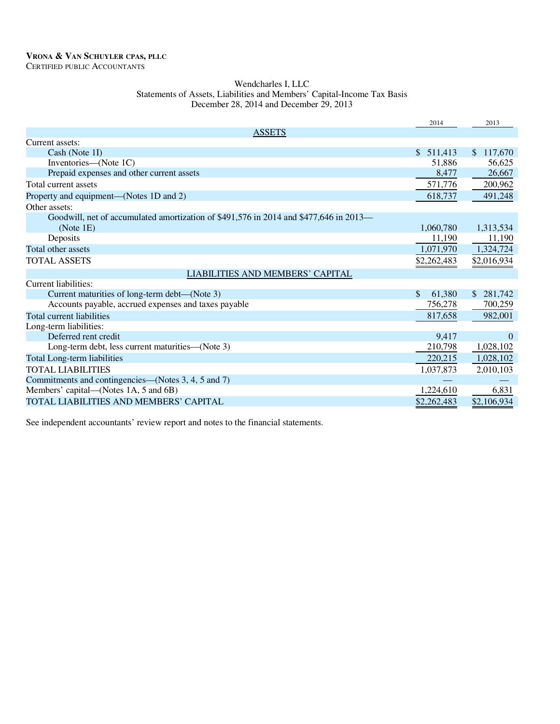# Wendcharles I, LLC Statements of Assets, Liabilities and Members' Capital-Income Tax Basis December 28, 2014 and December 29, 2013

|                                                                                       |             | 2013        |
|---------------------------------------------------------------------------------------|-------------|-------------|
| <b>ASSETS</b>                                                                         |             |             |
| Current assets:                                                                       |             |             |
| Cash (Note 1I)                                                                        | \$511,413   | \$117,670   |
| Inventories—(Note 1C)                                                                 | 51,886      | 56,625      |
| Prepaid expenses and other current assets                                             | 8,477       | 26,667      |
| Total current assets                                                                  | 571,776     | 200,962     |
| Property and equipment—(Notes 1D and 2)                                               | 618,737     | 491,248     |
| Other assets:                                                                         |             |             |
| Goodwill, net of accumulated amortization of \$491,576 in 2014 and \$477,646 in 2013— |             |             |
| (Note 1E)                                                                             | 1,060,780   | 1,313,534   |
| Deposits                                                                              | 11,190      | 11,190      |
| Total other assets                                                                    | 1,071,970   | 1,324,724   |
| <b>TOTAL ASSETS</b>                                                                   | \$2,262,483 | \$2,016,934 |
| LIABILITIES AND MEMBERS' CAPITAL                                                      |             |             |
| Current liabilities:                                                                  |             |             |
| \$<br>Current maturities of long-term debt—(Note 3)                                   | 61,380      | \$281,742   |
| Accounts payable, accrued expenses and taxes payable                                  | 756,278     | 700,259     |
| Total current liabilities                                                             | 817.658     | 982,001     |
| Long-term liabilities:                                                                |             |             |
| Deferred rent credit                                                                  | 9.417       | $\theta$    |
| Long-term debt, less current maturities—(Note 3)                                      | 210,798     | 1,028,102   |
| Total Long-term liabilities                                                           | 220,215     | 1,028,102   |
| <b>TOTAL LIABILITIES</b>                                                              | 1,037,873   | 2,010,103   |
| Commitments and contingencies—(Notes 3, 4, 5 and 7)                                   |             |             |
| Members' capital—(Notes 1A, 5 and 6B)                                                 | 1.224.610   | 6,831       |
| TOTAL LIABILITIES AND MEMBERS' CAPITAL                                                | \$2,262,483 | \$2,106,934 |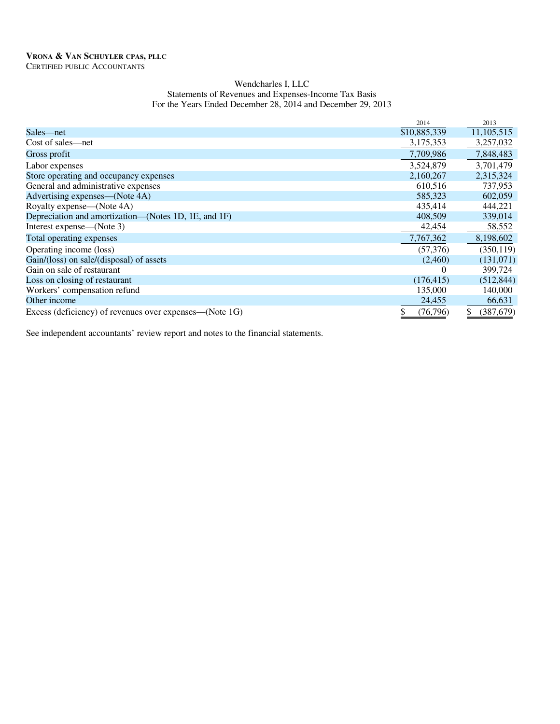# Wendcharles I, LLC Statements of Revenues and Expenses-Income Tax Basis For the Years Ended December 28, 2014 and December 29, 2013

|                                                         | 2014         | 2013             |
|---------------------------------------------------------|--------------|------------------|
| Sales—net                                               | \$10,885,339 | 11,105,515       |
| Cost of sales—net                                       | 3,175,353    | 3,257,032        |
| Gross profit                                            | 7,709,986    | 7,848,483        |
| Labor expenses                                          | 3,524,879    | 3,701,479        |
| Store operating and occupancy expenses                  | 2,160,267    | 2,315,324        |
| General and administrative expenses                     | 610,516      | 737,953          |
| Advertising expenses—(Note 4A)                          | 585,323      | 602,059          |
| Royalty expense—(Note 4A)                               | 435,414      | 444,221          |
| Depreciation and amortization—(Notes 1D, 1E, and 1F)    | 408,509      | 339,014          |
| Interest expense—(Note 3)                               | 42,454       | 58,552           |
| Total operating expenses                                | 7,767,362    | 8,198,602        |
| Operating income (loss)                                 | (57,376)     | (350, 119)       |
| Gain/(loss) on sale/(disposal) of assets                | (2,460)      | (131,071)        |
| Gain on sale of restaurant                              |              | 399,724          |
| Loss on closing of restaurant                           | (176, 415)   | (512, 844)       |
| Workers' compensation refund                            | 135,000      | 140,000          |
| Other income                                            | 24,455       | 66,631           |
| Excess (deficiency) of revenues over expenses—(Note 1G) | (76, 796)    | \$<br>(387, 679) |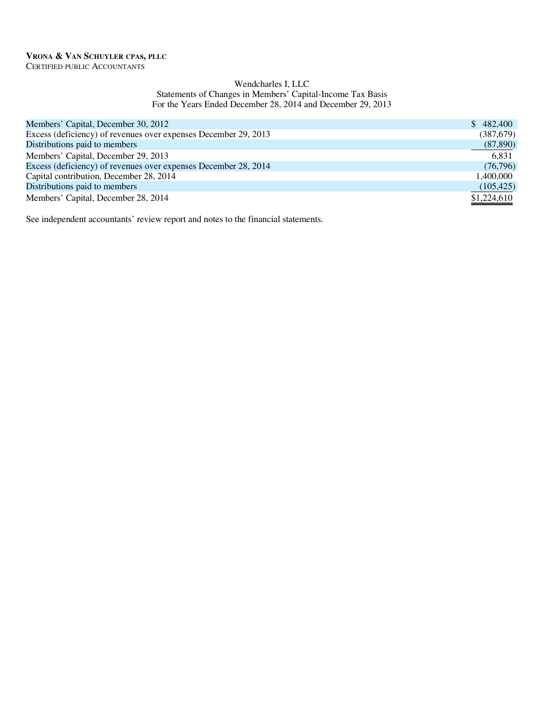# Wendcharles I, LLC

Statements of Changes in Members' Capital-Income Tax Basis For the Years Ended December 28, 2014 and December 29, 2013

| Members' Capital, December 30, 2012                             | \$482,400   |
|-----------------------------------------------------------------|-------------|
| Excess (deficiency) of revenues over expenses December 29, 2013 | (387,679)   |
| Distributions paid to members                                   | (87, 890)   |
| Members' Capital, December 29, 2013                             | 6.831       |
| Excess (deficiency) of revenues over expenses December 28, 2014 | (76,796)    |
| Capital contribution, December 28, 2014                         | 1,400,000   |
| Distributions paid to members                                   | (105, 425)  |
| Members' Capital, December 28, 2014                             | \$1,224,610 |
|                                                                 |             |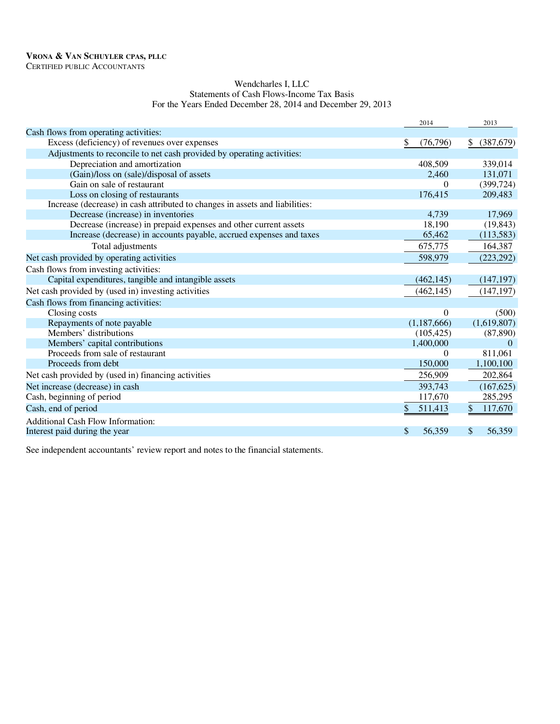# Wendcharles I, LLC Statements of Cash Flows-Income Tax Basis For the Years Ended December 28, 2014 and December 29, 2013

|                                                                              |    | 2014        |               | 2013        |
|------------------------------------------------------------------------------|----|-------------|---------------|-------------|
| Cash flows from operating activities:                                        |    |             |               |             |
| Excess (deficiency) of revenues over expenses                                | æ. | (76,796)    | <sup>\$</sup> | (387,679)   |
| Adjustments to reconcile to net cash provided by operating activities:       |    |             |               |             |
| Depreciation and amortization                                                |    | 408,509     |               | 339,014     |
| (Gain)/loss on (sale)/disposal of assets                                     |    | 2,460       |               | 131,071     |
| Gain on sale of restaurant                                                   |    |             |               | (399, 724)  |
| Loss on closing of restaurants                                               |    | 176,415     |               | 209,483     |
| Increase (decrease) in cash attributed to changes in assets and liabilities: |    |             |               |             |
| Decrease (increase) in inventories                                           |    | 4,739       |               | 17,969      |
| Decrease (increase) in prepaid expenses and other current assets             |    | 18,190      |               | (19, 843)   |
| Increase (decrease) in accounts payable, accrued expenses and taxes          |    | 65,462      |               | (113, 583)  |
| Total adjustments                                                            |    | 675,775     |               | 164,387     |
| Net cash provided by operating activities                                    |    | 598,979     |               | (223, 292)  |
| Cash flows from investing activities:                                        |    |             |               |             |
| Capital expenditures, tangible and intangible assets                         |    | (462, 145)  |               | (147, 197)  |
| Net cash provided by (used in) investing activities                          |    | (462, 145)  |               | (147, 197)  |
| Cash flows from financing activities:                                        |    |             |               |             |
| Closing costs                                                                |    | $\theta$    |               | (500)       |
| Repayments of note payable                                                   |    | (1,187,666) |               | (1,619,807) |
| Members' distributions                                                       |    | (105, 425)  |               | (87, 890)   |
| Members' capital contributions                                               |    | 1,400,000   |               | $\theta$    |
| Proceeds from sale of restaurant                                             |    |             |               | 811,061     |
| Proceeds from debt                                                           |    | 150,000     |               | 1,100,100   |
| Net cash provided by (used in) financing activities                          |    | 256,909     |               | 202,864     |
| Net increase (decrease) in cash                                              |    | 393,743     |               | (167, 625)  |
| Cash, beginning of period                                                    |    | 117,670     |               | 285,295     |
| Cash, end of period                                                          | \$ | 511,413     | \$            | 117,670     |
| <b>Additional Cash Flow Information:</b>                                     |    |             |               |             |
| Interest paid during the year                                                | \$ | 56,359      | \$            | 56,359      |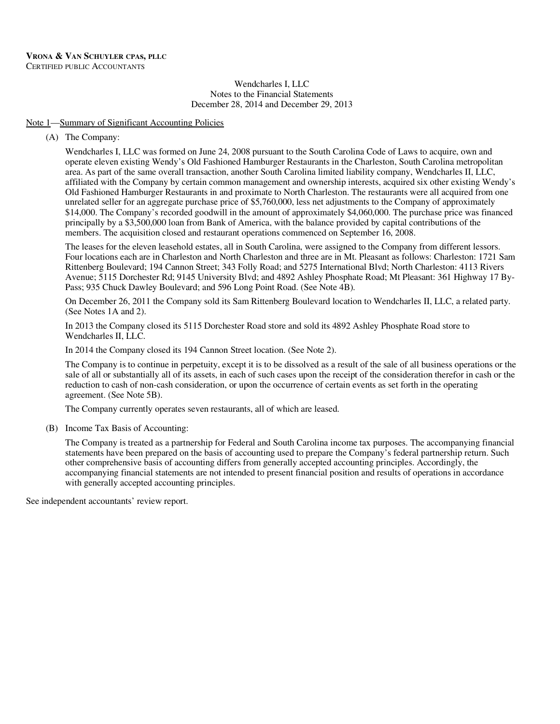# Note 1—Summary of Significant Accounting Policies

(A) The Company:

Wendcharles I, LLC was formed on June 24, 2008 pursuant to the South Carolina Code of Laws to acquire, own and operate eleven existing Wendy's Old Fashioned Hamburger Restaurants in the Charleston, South Carolina metropolitan area. As part of the same overall transaction, another South Carolina limited liability company, Wendcharles II, LLC, affiliated with the Company by certain common management and ownership interests, acquired six other existing Wendy's Old Fashioned Hamburger Restaurants in and proximate to North Charleston. The restaurants were all acquired from one unrelated seller for an aggregate purchase price of \$5,760,000, less net adjustments to the Company of approximately \$14,000. The Company's recorded goodwill in the amount of approximately \$4,060,000. The purchase price was financed principally by a \$3,500,000 loan from Bank of America, with the balance provided by capital contributions of the members. The acquisition closed and restaurant operations commenced on September 16, 2008.

The leases for the eleven leasehold estates, all in South Carolina, were assigned to the Company from different lessors. Four locations each are in Charleston and North Charleston and three are in Mt. Pleasant as follows: Charleston: 1721 Sam Rittenberg Boulevard; 194 Cannon Street; 343 Folly Road; and 5275 International Blvd; North Charleston: 4113 Rivers Avenue; 5115 Dorchester Rd; 9145 University Blvd; and 4892 Ashley Phosphate Road; Mt Pleasant: 361 Highway 17 By-Pass; 935 Chuck Dawley Boulevard; and 596 Long Point Road. (See Note 4B).

On December 26, 2011 the Company sold its Sam Rittenberg Boulevard location to Wendcharles II, LLC, a related party. (See Notes 1A and 2).

In 2013 the Company closed its 5115 Dorchester Road store and sold its 4892 Ashley Phosphate Road store to Wendcharles II, LLC.

In 2014 the Company closed its 194 Cannon Street location. (See Note 2).

The Company is to continue in perpetuity, except it is to be dissolved as a result of the sale of all business operations or the sale of all or substantially all of its assets, in each of such cases upon the receipt of the consideration therefor in cash or the reduction to cash of non-cash consideration, or upon the occurrence of certain events as set forth in the operating agreement. (See Note 5B).

The Company currently operates seven restaurants, all of which are leased.

(B) Income Tax Basis of Accounting:

The Company is treated as a partnership for Federal and South Carolina income tax purposes. The accompanying financial statements have been prepared on the basis of accounting used to prepare the Company's federal partnership return. Such other comprehensive basis of accounting differs from generally accepted accounting principles. Accordingly, the accompanying financial statements are not intended to present financial position and results of operations in accordance with generally accepted accounting principles.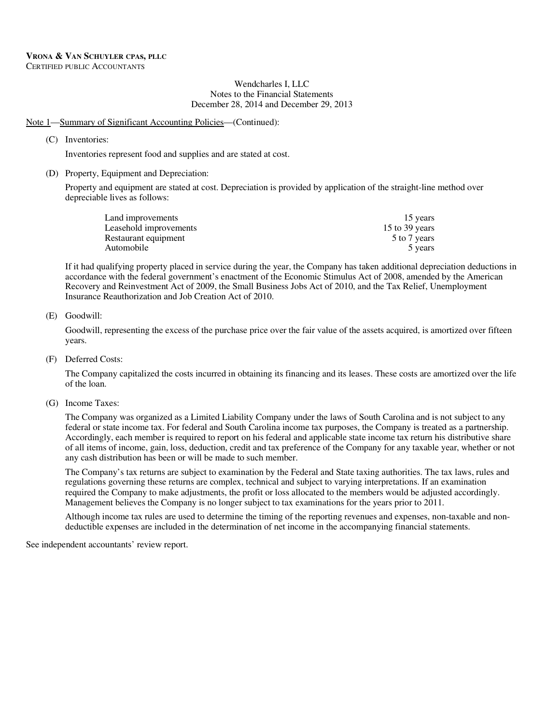### Note 1—Summary of Significant Accounting Policies—(Continued):

(C) Inventories:

Inventories represent food and supplies and are stated at cost.

(D) Property, Equipment and Depreciation:

Property and equipment are stated at cost. Depreciation is provided by application of the straight-line method over depreciable lives as follows:

| Land improvements<br>Leasehold improvements | 15 years<br>15 to 39 years |
|---------------------------------------------|----------------------------|
| Restaurant equipment                        | 5 to 7 years               |
| Automobile                                  | 5 years                    |

If it had qualifying property placed in service during the year, the Company has taken additional depreciation deductions in accordance with the federal government's enactment of the Economic Stimulus Act of 2008, amended by the American Recovery and Reinvestment Act of 2009, the Small Business Jobs Act of 2010, and the Tax Relief, Unemployment Insurance Reauthorization and Job Creation Act of 2010.

### (E) Goodwill:

Goodwill, representing the excess of the purchase price over the fair value of the assets acquired, is amortized over fifteen years.

(F) Deferred Costs:

The Company capitalized the costs incurred in obtaining its financing and its leases. These costs are amortized over the life of the loan.

(G) Income Taxes:

The Company was organized as a Limited Liability Company under the laws of South Carolina and is not subject to any federal or state income tax. For federal and South Carolina income tax purposes, the Company is treated as a partnership. Accordingly, each member is required to report on his federal and applicable state income tax return his distributive share of all items of income, gain, loss, deduction, credit and tax preference of the Company for any taxable year, whether or not any cash distribution has been or will be made to such member.

The Company's tax returns are subject to examination by the Federal and State taxing authorities. The tax laws, rules and regulations governing these returns are complex, technical and subject to varying interpretations. If an examination required the Company to make adjustments, the profit or loss allocated to the members would be adjusted accordingly. Management believes the Company is no longer subject to tax examinations for the years prior to 2011.

Although income tax rules are used to determine the timing of the reporting revenues and expenses, non-taxable and nondeductible expenses are included in the determination of net income in the accompanying financial statements.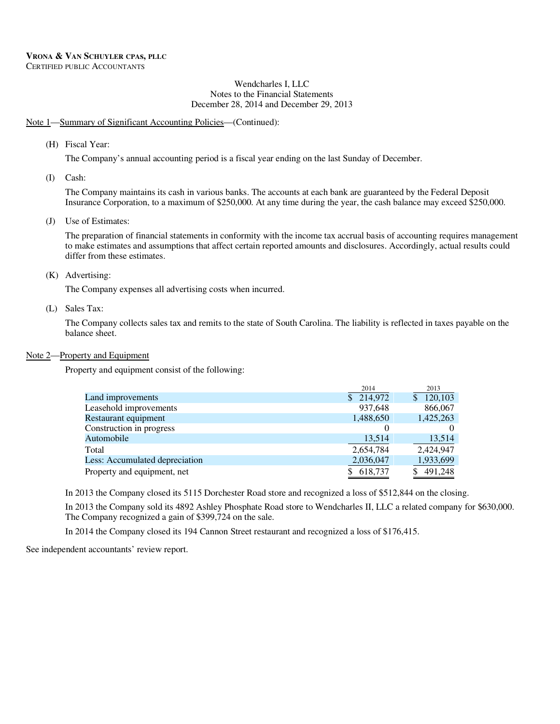# Note 1—Summary of Significant Accounting Policies—(Continued):

(H) Fiscal Year:

The Company's annual accounting period is a fiscal year ending on the last Sunday of December.

(I) Cash:

The Company maintains its cash in various banks. The accounts at each bank are guaranteed by the Federal Deposit Insurance Corporation, to a maximum of \$250,000. At any time during the year, the cash balance may exceed \$250,000.

(J) Use of Estimates:

The preparation of financial statements in conformity with the income tax accrual basis of accounting requires management to make estimates and assumptions that affect certain reported amounts and disclosures. Accordingly, actual results could differ from these estimates.

(K) Advertising:

The Company expenses all advertising costs when incurred.

(L) Sales Tax:

The Company collects sales tax and remits to the state of South Carolina. The liability is reflected in taxes payable on the balance sheet.

### Note 2—Property and Equipment

Property and equipment consist of the following:

|                                | 2014       | 2013           |
|--------------------------------|------------|----------------|
| Land improvements              | \$214,972  | 120,103<br>\$. |
| Leasehold improvements         | 937,648    | 866,067        |
| Restaurant equipment           | 1,488,650  | 1,425,263      |
| Construction in progress       |            |                |
| Automobile                     | 13,514     | 13,514         |
| Total                          | 2,654,784  | 2,424,947      |
| Less: Accumulated depreciation | 2,036,047  | 1,933,699      |
| Property and equipment, net    | \$ 618,737 | 491,248        |

In 2013 the Company closed its 5115 Dorchester Road store and recognized a loss of \$512,844 on the closing.

In 2013 the Company sold its 4892 Ashley Phosphate Road store to Wendcharles II, LLC a related company for \$630,000. The Company recognized a gain of \$399,724 on the sale.

In 2014 the Company closed its 194 Cannon Street restaurant and recognized a loss of \$176,415.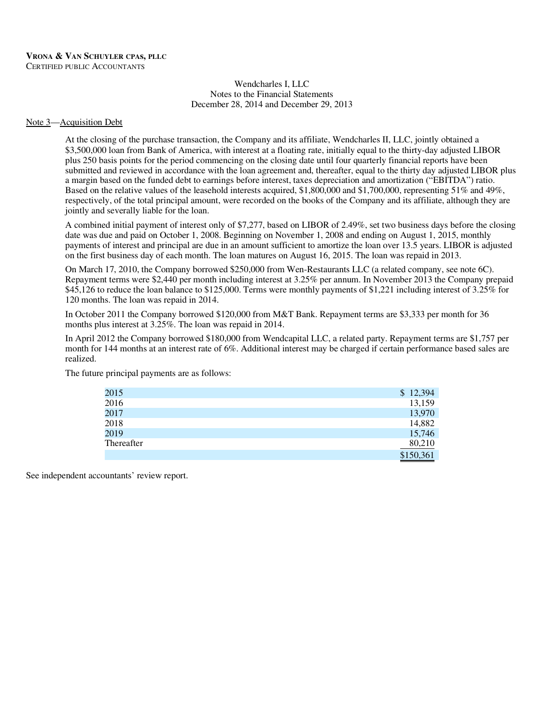### Note 3—Acquisition Debt

At the closing of the purchase transaction, the Company and its affiliate, Wendcharles II, LLC, jointly obtained a \$3,500,000 loan from Bank of America, with interest at a floating rate, initially equal to the thirty-day adjusted LIBOR plus 250 basis points for the period commencing on the closing date until four quarterly financial reports have been submitted and reviewed in accordance with the loan agreement and, thereafter, equal to the thirty day adjusted LIBOR plus a margin based on the funded debt to earnings before interest, taxes depreciation and amortization ("EBITDA") ratio. Based on the relative values of the leasehold interests acquired, \$1,800,000 and \$1,700,000, representing 51% and 49%, respectively, of the total principal amount, were recorded on the books of the Company and its affiliate, although they are jointly and severally liable for the loan.

A combined initial payment of interest only of \$7,277, based on LIBOR of 2.49%, set two business days before the closing date was due and paid on October 1, 2008. Beginning on November 1, 2008 and ending on August 1, 2015, monthly payments of interest and principal are due in an amount sufficient to amortize the loan over 13.5 years. LIBOR is adjusted on the first business day of each month. The loan matures on August 16, 2015. The loan was repaid in 2013.

On March 17, 2010, the Company borrowed \$250,000 from Wen-Restaurants LLC (a related company, see note 6C). Repayment terms were \$2,440 per month including interest at 3.25% per annum. In November 2013 the Company prepaid \$45,126 to reduce the loan balance to \$125,000. Terms were monthly payments of \$1,221 including interest of 3.25% for 120 months. The loan was repaid in 2014.

In October 2011 the Company borrowed \$120,000 from M&T Bank. Repayment terms are \$3,333 per month for 36 months plus interest at 3.25%. The loan was repaid in 2014.

In April 2012 the Company borrowed \$180,000 from Wendcapital LLC, a related party. Repayment terms are \$1,757 per month for 144 months at an interest rate of 6%. Additional interest may be charged if certain performance based sales are realized.

The future principal payments are as follows:

| 2015       | \$12,394  |
|------------|-----------|
| 2016       | 13,159    |
| 2017       | 13,970    |
| 2018       | 14,882    |
| 2019       | 15,746    |
| Thereafter | 80,210    |
|            | \$150,361 |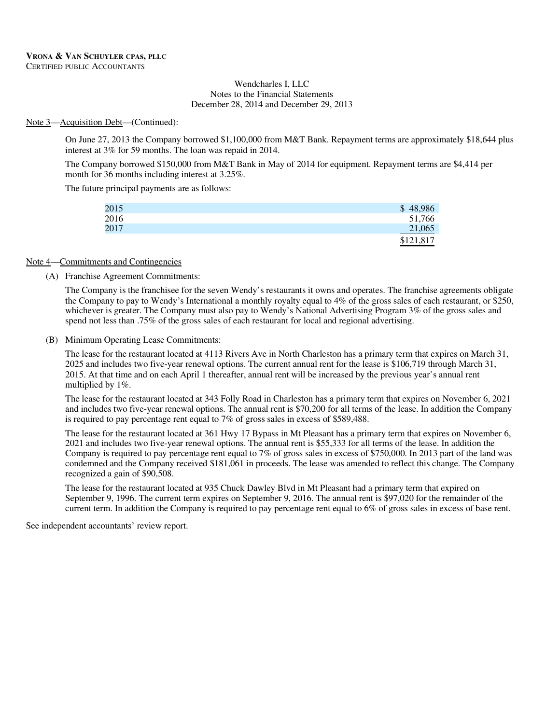### Note 3—Acquisition Debt—(Continued):

On June 27, 2013 the Company borrowed \$1,100,000 from M&T Bank. Repayment terms are approximately \$18,644 plus interest at 3% for 59 months. The loan was repaid in 2014.

The Company borrowed \$150,000 from M&T Bank in May of 2014 for equipment. Repayment terms are \$4,414 per month for 36 months including interest at 3.25%.

The future principal payments are as follows:

| 2015 | \$48,986  |
|------|-----------|
| 2016 | 51,766    |
| 2017 | 21,065    |
|      | \$121,817 |

### Note 4—Commitments and Contingencies

(A) Franchise Agreement Commitments:

The Company is the franchisee for the seven Wendy's restaurants it owns and operates. The franchise agreements obligate the Company to pay to Wendy's International a monthly royalty equal to 4% of the gross sales of each restaurant, or \$250, whichever is greater. The Company must also pay to Wendy's National Advertising Program 3% of the gross sales and spend not less than .75% of the gross sales of each restaurant for local and regional advertising.

(B) Minimum Operating Lease Commitments:

The lease for the restaurant located at 4113 Rivers Ave in North Charleston has a primary term that expires on March 31, 2025 and includes two five-year renewal options. The current annual rent for the lease is \$106,719 through March 31, 2015. At that time and on each April 1 thereafter, annual rent will be increased by the previous year's annual rent multiplied by 1%.

The lease for the restaurant located at 343 Folly Road in Charleston has a primary term that expires on November 6, 2021 and includes two five-year renewal options. The annual rent is \$70,200 for all terms of the lease. In addition the Company is required to pay percentage rent equal to 7% of gross sales in excess of \$589,488.

The lease for the restaurant located at 361 Hwy 17 Bypass in Mt Pleasant has a primary term that expires on November 6, 2021 and includes two five-year renewal options. The annual rent is \$55,333 for all terms of the lease. In addition the Company is required to pay percentage rent equal to 7% of gross sales in excess of \$750,000. In 2013 part of the land was condemned and the Company received \$181,061 in proceeds. The lease was amended to reflect this change. The Company recognized a gain of \$90,508.

The lease for the restaurant located at 935 Chuck Dawley Blvd in Mt Pleasant had a primary term that expired on September 9, 1996. The current term expires on September 9, 2016. The annual rent is \$97,020 for the remainder of the current term. In addition the Company is required to pay percentage rent equal to 6% of gross sales in excess of base rent.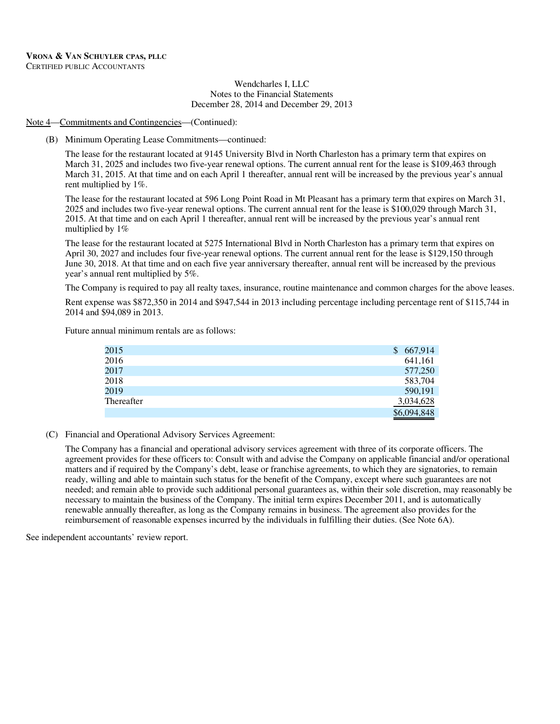### Note 4—Commitments and Contingencies—(Continued):

### (B) Minimum Operating Lease Commitments—continued:

The lease for the restaurant located at 9145 University Blvd in North Charleston has a primary term that expires on March 31, 2025 and includes two five-year renewal options. The current annual rent for the lease is \$109,463 through March 31, 2015. At that time and on each April 1 thereafter, annual rent will be increased by the previous year's annual rent multiplied by 1%.

The lease for the restaurant located at 596 Long Point Road in Mt Pleasant has a primary term that expires on March 31, 2025 and includes two five-year renewal options. The current annual rent for the lease is \$100,029 through March 31, 2015. At that time and on each April 1 thereafter, annual rent will be increased by the previous year's annual rent multiplied by 1%

The lease for the restaurant located at 5275 International Blvd in North Charleston has a primary term that expires on April 30, 2027 and includes four five-year renewal options. The current annual rent for the lease is \$129,150 through June 30, 2018. At that time and on each five year anniversary thereafter, annual rent will be increased by the previous year's annual rent multiplied by 5%.

The Company is required to pay all realty taxes, insurance, routine maintenance and common charges for the above leases.

Rent expense was \$872,350 in 2014 and \$947,544 in 2013 including percentage including percentage rent of \$115,744 in 2014 and \$94,089 in 2013.

Future annual minimum rentals are as follows:

| 2015       | \$667,914   |
|------------|-------------|
| 2016       | 641,161     |
| 2017       | 577,250     |
| 2018       | 583,704     |
| 2019       | 590,191     |
| Thereafter | 3,034,628   |
|            | \$6,094,848 |

(C) Financial and Operational Advisory Services Agreement:

The Company has a financial and operational advisory services agreement with three of its corporate officers. The agreement provides for these officers to: Consult with and advise the Company on applicable financial and/or operational matters and if required by the Company's debt, lease or franchise agreements, to which they are signatories, to remain ready, willing and able to maintain such status for the benefit of the Company, except where such guarantees are not needed; and remain able to provide such additional personal guarantees as, within their sole discretion, may reasonably be necessary to maintain the business of the Company. The initial term expires December 2011, and is automatically renewable annually thereafter, as long as the Company remains in business. The agreement also provides for the reimbursement of reasonable expenses incurred by the individuals in fulfilling their duties. (See Note 6A).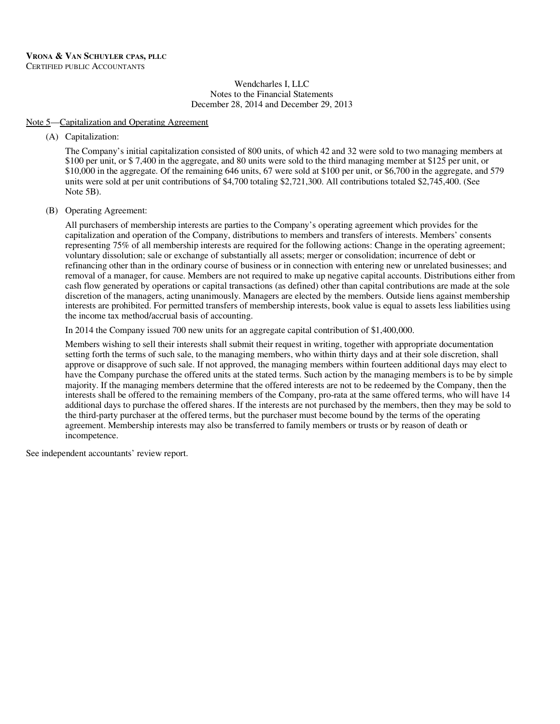# Note 5—Capitalization and Operating Agreement

(A) Capitalization:

The Company's initial capitalization consisted of 800 units, of which 42 and 32 were sold to two managing members at \$100 per unit, or \$ 7,400 in the aggregate, and 80 units were sold to the third managing member at \$125 per unit, or \$10,000 in the aggregate. Of the remaining 646 units, 67 were sold at \$100 per unit, or \$6,700 in the aggregate, and 579 units were sold at per unit contributions of \$4,700 totaling \$2,721,300. All contributions totaled \$2,745,400. (See Note 5B).

(B) Operating Agreement:

All purchasers of membership interests are parties to the Company's operating agreement which provides for the capitalization and operation of the Company, distributions to members and transfers of interests. Members' consents representing 75% of all membership interests are required for the following actions: Change in the operating agreement; voluntary dissolution; sale or exchange of substantially all assets; merger or consolidation; incurrence of debt or refinancing other than in the ordinary course of business or in connection with entering new or unrelated businesses; and removal of a manager, for cause. Members are not required to make up negative capital accounts. Distributions either from cash flow generated by operations or capital transactions (as defined) other than capital contributions are made at the sole discretion of the managers, acting unanimously. Managers are elected by the members. Outside liens against membership interests are prohibited. For permitted transfers of membership interests, book value is equal to assets less liabilities using the income tax method/accrual basis of accounting.

In 2014 the Company issued 700 new units for an aggregate capital contribution of \$1,400,000.

Members wishing to sell their interests shall submit their request in writing, together with appropriate documentation setting forth the terms of such sale, to the managing members, who within thirty days and at their sole discretion, shall approve or disapprove of such sale. If not approved, the managing members within fourteen additional days may elect to have the Company purchase the offered units at the stated terms. Such action by the managing members is to be by simple majority. If the managing members determine that the offered interests are not to be redeemed by the Company, then the interests shall be offered to the remaining members of the Company, pro-rata at the same offered terms, who will have 14 additional days to purchase the offered shares. If the interests are not purchased by the members, then they may be sold to the third-party purchaser at the offered terms, but the purchaser must become bound by the terms of the operating agreement. Membership interests may also be transferred to family members or trusts or by reason of death or incompetence.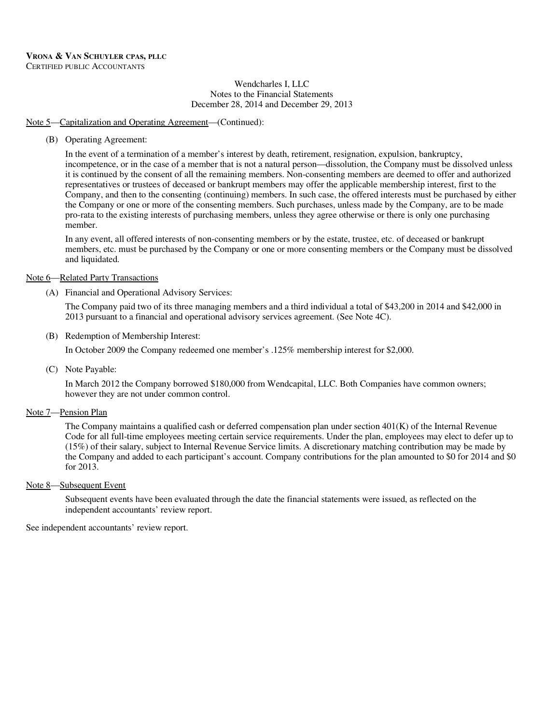# Note 5—Capitalization and Operating Agreement—(Continued):

(B) Operating Agreement:

In the event of a termination of a member's interest by death, retirement, resignation, expulsion, bankruptcy, incompetence, or in the case of a member that is not a natural person—dissolution, the Company must be dissolved unless it is continued by the consent of all the remaining members. Non-consenting members are deemed to offer and authorized representatives or trustees of deceased or bankrupt members may offer the applicable membership interest, first to the Company, and then to the consenting (continuing) members. In such case, the offered interests must be purchased by either the Company or one or more of the consenting members. Such purchases, unless made by the Company, are to be made pro-rata to the existing interests of purchasing members, unless they agree otherwise or there is only one purchasing member.

In any event, all offered interests of non-consenting members or by the estate, trustee, etc. of deceased or bankrupt members, etc. must be purchased by the Company or one or more consenting members or the Company must be dissolved and liquidated.

# Note 6—Related Party Transactions

(A) Financial and Operational Advisory Services:

The Company paid two of its three managing members and a third individual a total of \$43,200 in 2014 and \$42,000 in 2013 pursuant to a financial and operational advisory services agreement. (See Note 4C).

(B) Redemption of Membership Interest:

In October 2009 the Company redeemed one member's .125% membership interest for \$2,000.

(C) Note Payable:

In March 2012 the Company borrowed \$180,000 from Wendcapital, LLC. Both Companies have common owners; however they are not under common control.

# Note 7—Pension Plan

The Company maintains a qualified cash or deferred compensation plan under section  $401(K)$  of the Internal Revenue Code for all full-time employees meeting certain service requirements. Under the plan, employees may elect to defer up to (15%) of their salary, subject to Internal Revenue Service limits. A discretionary matching contribution may be made by the Company and added to each participant's account. Company contributions for the plan amounted to \$0 for 2014 and \$0 for 2013.

# Note 8—Subsequent Event

Subsequent events have been evaluated through the date the financial statements were issued, as reflected on the independent accountants' review report.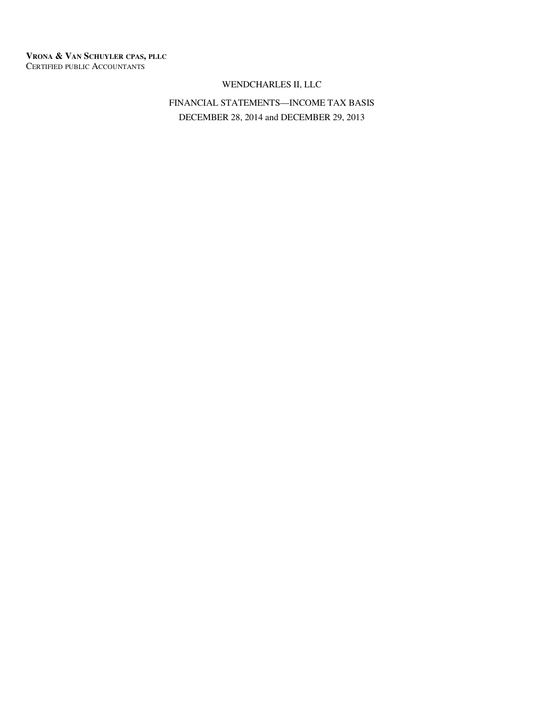# WENDCHARLES II, LLC

FINANCIAL STATEMENTS—INCOME TAX BASIS DECEMBER 28, 2014 and DECEMBER 29, 2013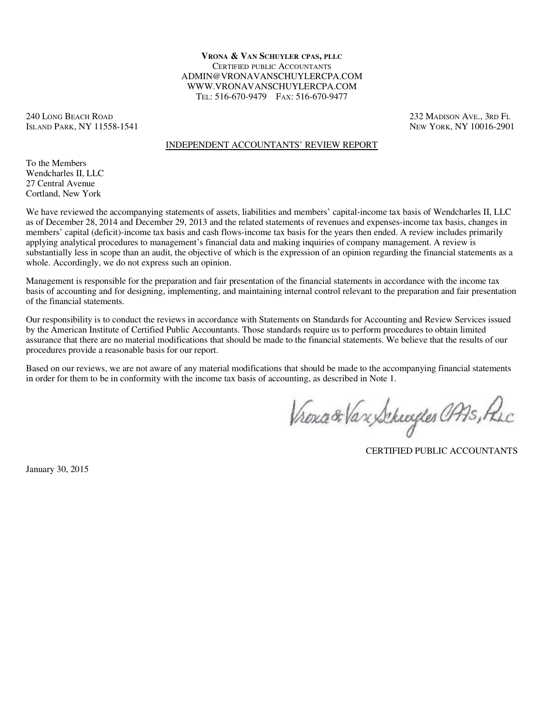#### **VRONA & VAN SCHUYLER CPAS, PLLC** CERTIFIED PUBLIC ACCOUNTANTS ADMIN@VRONAVANSCHUYLERCPA.COM WWW.VRONAVANSCHUYLERCPA.COM TEL: 516-670-9479 FAX: 516-670-9477

240 LONG BEACH ROAD ISLAND PARK, NY 11558-1541 232 MADISON AVE., 3RD FL NEW YORK, NY 10016-2901

# INDEPENDENT ACCOUNTANTS' REVIEW REPORT

To the Members Wendcharles II, LLC 27 Central Avenue Cortland, New York

We have reviewed the accompanying statements of assets, liabilities and members' capital-income tax basis of Wendcharles II, LLC as of December 28, 2014 and December 29, 2013 and the related statements of revenues and expenses-income tax basis, changes in members' capital (deficit)-income tax basis and cash flows-income tax basis for the years then ended. A review includes primarily applying analytical procedures to management's financial data and making inquiries of company management. A review is substantially less in scope than an audit, the objective of which is the expression of an opinion regarding the financial statements as a whole. Accordingly, we do not express such an opinion.

Management is responsible for the preparation and fair presentation of the financial statements in accordance with the income tax basis of accounting and for designing, implementing, and maintaining internal control relevant to the preparation and fair presentation of the financial statements.

Our responsibility is to conduct the reviews in accordance with Statements on Standards for Accounting and Review Services issued by the American Institute of Certified Public Accountants. Those standards require us to perform procedures to obtain limited assurance that there are no material modifications that should be made to the financial statements. We believe that the results of our procedures provide a reasonable basis for our report.

Based on our reviews, we are not aware of any material modifications that should be made to the accompanying financial statements in order for them to be in conformity with the income tax basis of accounting, as described in Note 1.

Vroxa&Vax Schwyles CAAS, PLLC

CERTIFIED PUBLIC ACCOUNTANTS

January 30, 2015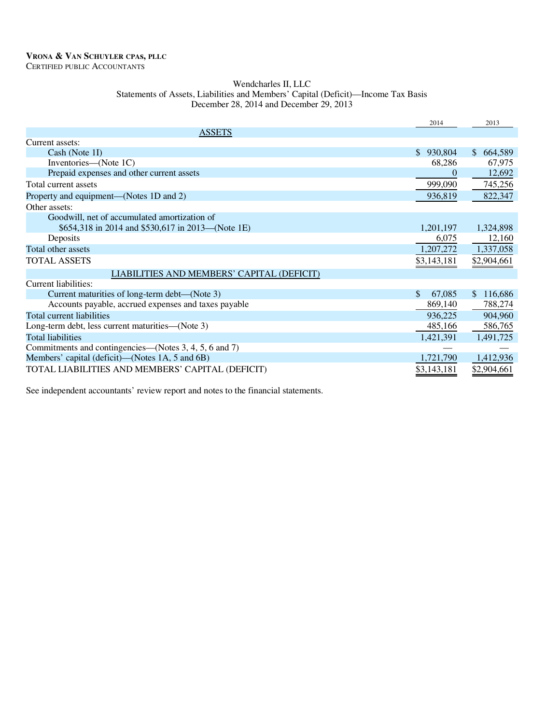# Wendcharles II, LLC Statements of Assets, Liabilities and Members' Capital (Deficit)—Income Tax Basis December 28, 2014 and December 29, 2013

|                                                        | 2014                    | 2013        |
|--------------------------------------------------------|-------------------------|-------------|
| <b>ASSETS</b>                                          |                         |             |
| Current assets:                                        |                         |             |
| Cash (Note 1I)                                         | \$930,804               | \$664,589   |
| Inventories—(Note 1C)                                  | 68,286                  | 67,975      |
| Prepaid expenses and other current assets              | $\theta$                | 12,692      |
| Total current assets                                   | 999,090                 | 745,256     |
| Property and equipment—(Notes 1D and 2)                | 936,819                 | 822,347     |
| Other assets:                                          |                         |             |
| Goodwill, net of accumulated amortization of           |                         |             |
| \$654,318 in 2014 and \$530,617 in 2013—(Note 1E)      | 1,201,197               | 1,324,898   |
| Deposits                                               | 6,075                   | 12,160      |
| Total other assets                                     | 1,207,272               | 1,337,058   |
| <b>TOTAL ASSETS</b>                                    | \$3,143,181             | \$2,904,661 |
| LIABILITIES AND MEMBERS' CAPITAL (DEFICIT)             |                         |             |
| Current liabilities:                                   |                         |             |
| Current maturities of long-term debt—(Note 3)          | $\mathcal{S}$<br>67,085 | \$116,686   |
| Accounts payable, accrued expenses and taxes payable   | 869,140                 | 788,274     |
| Total current liabilities                              | 936,225                 | 904,960     |
| Long-term debt, less current maturities—(Note 3)       | 485,166                 | 586,765     |
| <b>Total liabilities</b>                               | 1,421,391               | 1,491,725   |
| Commitments and contingencies—(Notes 3, 4, 5, 6 and 7) |                         |             |
| Members' capital (deficit)—(Notes 1A, 5 and 6B)        | 1,721,790               | 1,412,936   |
| TOTAL LIABILITIES AND MEMBERS' CAPITAL (DEFICIT)       | \$3,143,181             | \$2,904,661 |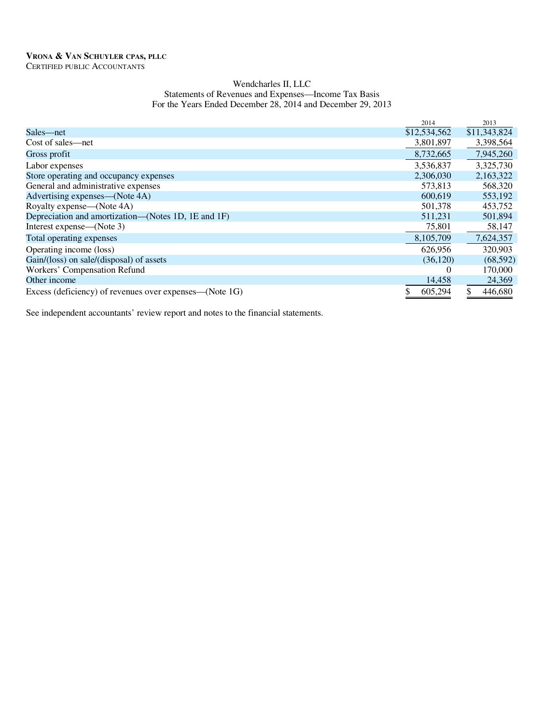# Wendcharles II, LLC

Statements of Revenues and Expenses—Income Tax Basis For the Years Ended December 28, 2014 and December 29, 2013

|                                                         | 2014         | 2013         |
|---------------------------------------------------------|--------------|--------------|
| Sales—net                                               | \$12,534,562 | \$11,343,824 |
| Cost of sales—net                                       | 3,801,897    | 3,398,564    |
| Gross profit                                            | 8,732,665    | 7,945,260    |
| Labor expenses                                          | 3,536,837    | 3,325,730    |
| Store operating and occupancy expenses                  | 2,306,030    | 2,163,322    |
| General and administrative expenses                     | 573.813      | 568,320      |
| Advertising expenses—(Note 4A)                          | 600,619      | 553,192      |
| Royalty expense—(Note 4A)                               | 501,378      | 453,752      |
| Depreciation and amortization—(Notes 1D, 1E and 1F)     | 511,231      | 501,894      |
| Interest expense—(Note 3)                               | 75,801       | 58,147       |
| Total operating expenses                                | 8,105,709    | 7,624,357    |
| Operating income (loss)                                 | 626,956      | 320,903      |
| Gain/(loss) on sale/(disposal) of assets                | (36, 120)    | (68, 592)    |
| Workers' Compensation Refund                            | $\theta$     | 170,000      |
| Other income                                            | 14,458       | 24,369       |
| Excess (deficiency) of revenues over expenses—(Note 1G) | 605,294      | 446,680      |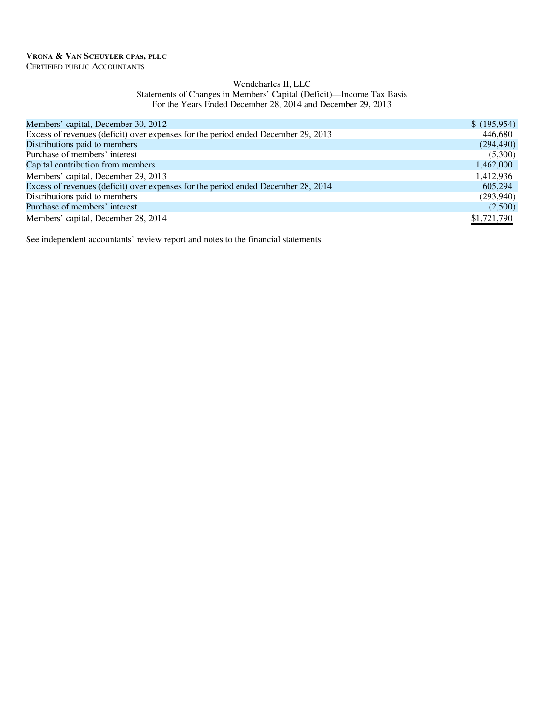# Wendcharles II, LLC Statements of Changes in Members' Capital (Deficit)—Income Tax Basis For the Years Ended December 28, 2014 and December 29, 2013

| Members' capital, December 30, 2012                                               | \$(195,954) |
|-----------------------------------------------------------------------------------|-------------|
| Excess of revenues (deficit) over expenses for the period ended December 29, 2013 | 446,680     |
| Distributions paid to members                                                     | (294, 490)  |
| Purchase of members' interest                                                     | (5,300)     |
| Capital contribution from members                                                 | 1,462,000   |
| Members' capital, December 29, 2013                                               | 1,412,936   |
| Excess of revenues (deficit) over expenses for the period ended December 28, 2014 | 605.294     |
| Distributions paid to members                                                     | (293,940)   |
| Purchase of members' interest                                                     | (2,500)     |
| Members' capital, December 28, 2014                                               | \$1,721,790 |
|                                                                                   |             |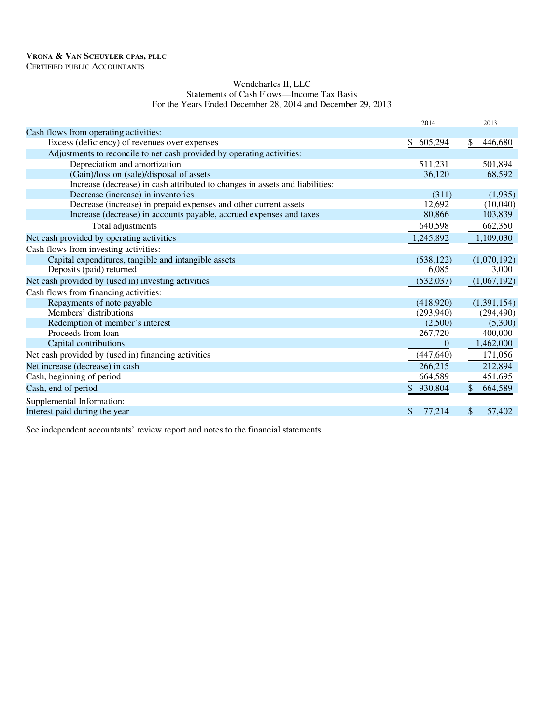# Wendcharles II, LLC Statements of Cash Flows—Income Tax Basis For the Years Ended December 28, 2014 and December 29, 2013

|                                                                              | 2014          | 2013          |
|------------------------------------------------------------------------------|---------------|---------------|
| Cash flows from operating activities:                                        |               |               |
| Excess (deficiency) of revenues over expenses                                | 605,294<br>\$ | 446,680       |
| Adjustments to reconcile to net cash provided by operating activities:       |               |               |
| Depreciation and amortization                                                | 511,231       | 501,894       |
| (Gain)/loss on (sale)/disposal of assets                                     | 36,120        | 68,592        |
| Increase (decrease) in cash attributed to changes in assets and liabilities: |               |               |
| Decrease (increase) in inventories                                           | (311)         | (1,935)       |
| Decrease (increase) in prepaid expenses and other current assets             | 12,692        | (10,040)      |
| Increase (decrease) in accounts payable, accrued expenses and taxes          | 80,866        | 103,839       |
| Total adjustments                                                            | 640,598       | 662,350       |
| Net cash provided by operating activities                                    | 1,245,892     | 1,109,030     |
| Cash flows from investing activities:                                        |               |               |
| Capital expenditures, tangible and intangible assets                         | (538, 122)    | (1,070,192)   |
| Deposits (paid) returned                                                     | 6,085         | 3,000         |
| Net cash provided by (used in) investing activities                          | (532, 037)    | (1,067,192)   |
| Cash flows from financing activities:                                        |               |               |
| Repayments of note payable                                                   | (418,920)     | (1,391,154)   |
| Members' distributions                                                       | (293,940)     | (294, 490)    |
| Redemption of member's interest                                              | (2,500)       | (5,300)       |
| Proceeds from loan                                                           | 267,720       | 400,000       |
| Capital contributions                                                        | $\Omega$      | 1,462,000     |
| Net cash provided by (used in) financing activities                          | (447, 640)    | 171,056       |
| Net increase (decrease) in cash                                              | 266,215       | 212,894       |
| Cash, beginning of period                                                    | 664,589       | 451,695       |
| Cash, end of period                                                          | \$930,804     | \$<br>664,589 |
| Supplemental Information:                                                    |               |               |
| Interest paid during the year                                                | \$<br>77,214  | \$<br>57,402  |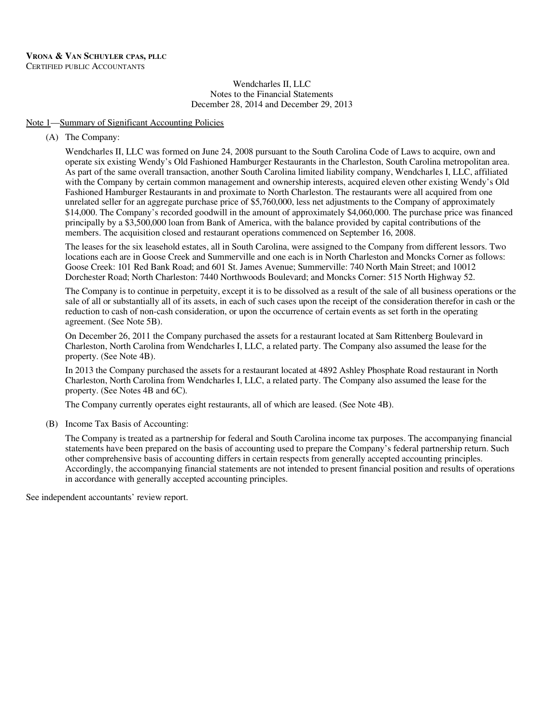# Note 1—Summary of Significant Accounting Policies

(A) The Company:

Wendcharles II, LLC was formed on June 24, 2008 pursuant to the South Carolina Code of Laws to acquire, own and operate six existing Wendy's Old Fashioned Hamburger Restaurants in the Charleston, South Carolina metropolitan area. As part of the same overall transaction, another South Carolina limited liability company, Wendcharles I, LLC, affiliated with the Company by certain common management and ownership interests, acquired eleven other existing Wendy's Old Fashioned Hamburger Restaurants in and proximate to North Charleston. The restaurants were all acquired from one unrelated seller for an aggregate purchase price of \$5,760,000, less net adjustments to the Company of approximately \$14,000. The Company's recorded goodwill in the amount of approximately \$4,060,000. The purchase price was financed principally by a \$3,500,000 loan from Bank of America, with the balance provided by capital contributions of the members. The acquisition closed and restaurant operations commenced on September 16, 2008.

The leases for the six leasehold estates, all in South Carolina, were assigned to the Company from different lessors. Two locations each are in Goose Creek and Summerville and one each is in North Charleston and Moncks Corner as follows: Goose Creek: 101 Red Bank Road; and 601 St. James Avenue; Summerville: 740 North Main Street; and 10012 Dorchester Road; North Charleston: 7440 Northwoods Boulevard; and Moncks Corner: 515 North Highway 52.

The Company is to continue in perpetuity, except it is to be dissolved as a result of the sale of all business operations or the sale of all or substantially all of its assets, in each of such cases upon the receipt of the consideration therefor in cash or the reduction to cash of non-cash consideration, or upon the occurrence of certain events as set forth in the operating agreement. (See Note 5B).

On December 26, 2011 the Company purchased the assets for a restaurant located at Sam Rittenberg Boulevard in Charleston, North Carolina from Wendcharles I, LLC, a related party. The Company also assumed the lease for the property. (See Note 4B).

In 2013 the Company purchased the assets for a restaurant located at 4892 Ashley Phosphate Road restaurant in North Charleston, North Carolina from Wendcharles I, LLC, a related party. The Company also assumed the lease for the property. (See Notes 4B and 6C).

The Company currently operates eight restaurants, all of which are leased. (See Note 4B).

(B) Income Tax Basis of Accounting:

The Company is treated as a partnership for federal and South Carolina income tax purposes. The accompanying financial statements have been prepared on the basis of accounting used to prepare the Company's federal partnership return. Such other comprehensive basis of accounting differs in certain respects from generally accepted accounting principles. Accordingly, the accompanying financial statements are not intended to present financial position and results of operations in accordance with generally accepted accounting principles.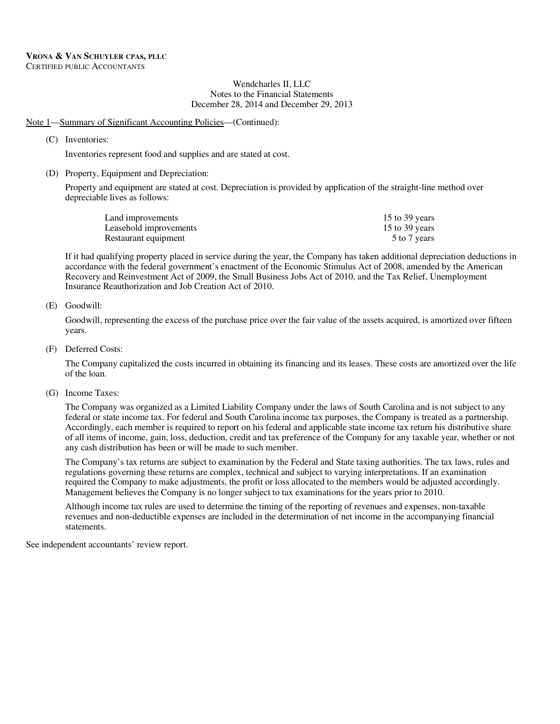### Note 1—Summary of Significant Accounting Policies—(Continued):

(C) Inventories:

Inventories represent food and supplies and are stated at cost.

(D) Property, Equipment and Depreciation:

Property and equipment are stated at cost. Depreciation is provided by application of the straight-line method over depreciable lives as follows:

| Land improvements      | 15 to 39 years |
|------------------------|----------------|
| Leasehold improvements | 15 to 39 years |
| Restaurant equipment   | 5 to 7 years   |

If it had qualifying property placed in service during the year, the Company has taken additional depreciation deductions in accordance with the federal government's enactment of the Economic Stimulus Act of 2008, amended by the American Recovery and Reinvestment Act of 2009, the Small Business Jobs Act of 2010, and the Tax Relief, Unemployment Insurance Reauthorization and Job Creation Act of 2010.

(E) Goodwill:

Goodwill, representing the excess of the purchase price over the fair value of the assets acquired, is amortized over fifteen years.

(F) Deferred Costs:

The Company capitalized the costs incurred in obtaining its financing and its leases. These costs are amortized over the life of the loan.

(G) Income Taxes:

The Company was organized as a Limited Liability Company under the laws of South Carolina and is not subject to any federal or state income tax. For federal and South Carolina income tax purposes, the Company is treated as a partnership. Accordingly, each member is required to report on his federal and applicable state income tax return his distributive share of all items of income, gain, loss, deduction, credit and tax preference of the Company for any taxable year, whether or not any cash distribution has been or will be made to such member.

The Company's tax returns are subject to examination by the Federal and State taxing authorities. The tax laws, rules and regulations governing these returns are complex, technical and subject to varying interpretations. If an examination required the Company to make adjustments, the profit or loss allocated to the members would be adjusted accordingly. Management believes the Company is no longer subject to tax examinations for the years prior to 2010.

Although income tax rules are used to determine the timing of the reporting of revenues and expenses, non-taxable revenues and non-deductible expenses are included in the determination of net income in the accompanying financial statements.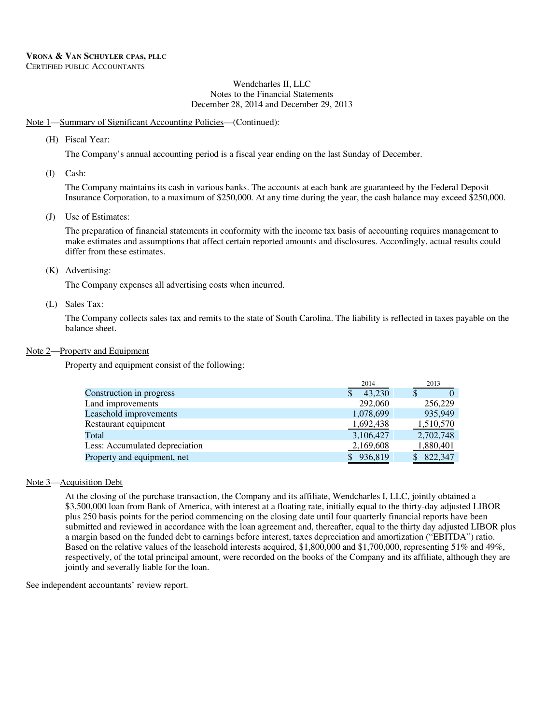# Note 1—Summary of Significant Accounting Policies—(Continued):

(H) Fiscal Year:

The Company's annual accounting period is a fiscal year ending on the last Sunday of December.

(I) Cash:

The Company maintains its cash in various banks. The accounts at each bank are guaranteed by the Federal Deposit Insurance Corporation, to a maximum of \$250,000. At any time during the year, the cash balance may exceed \$250,000.

(J) Use of Estimates:

The preparation of financial statements in conformity with the income tax basis of accounting requires management to make estimates and assumptions that affect certain reported amounts and disclosures. Accordingly, actual results could differ from these estimates.

(K) Advertising:

The Company expenses all advertising costs when incurred.

(L) Sales Tax:

The Company collects sales tax and remits to the state of South Carolina. The liability is reflected in taxes payable on the balance sheet.

# Note 2—Property and Equipment

Property and equipment consist of the following:

|                                | 2014      | 2013      |
|--------------------------------|-----------|-----------|
| Construction in progress       | 43.230    |           |
| Land improvements              | 292,060   | 256,229   |
| Leasehold improvements         | 1,078,699 | 935,949   |
| Restaurant equipment           | 1,692,438 | 1,510,570 |
| Total                          | 3,106,427 | 2,702,748 |
| Less: Accumulated depreciation | 2,169,608 | 1,880,401 |
| Property and equipment, net    | \$936,819 | 822,347   |

# Note 3—Acquisition Debt

At the closing of the purchase transaction, the Company and its affiliate, Wendcharles I, LLC, jointly obtained a \$3,500,000 loan from Bank of America, with interest at a floating rate, initially equal to the thirty-day adjusted LIBOR plus 250 basis points for the period commencing on the closing date until four quarterly financial reports have been submitted and reviewed in accordance with the loan agreement and, thereafter, equal to the thirty day adjusted LIBOR plus a margin based on the funded debt to earnings before interest, taxes depreciation and amortization ("EBITDA") ratio. Based on the relative values of the leasehold interests acquired, \$1,800,000 and \$1,700,000, representing 51% and 49%, respectively, of the total principal amount, were recorded on the books of the Company and its affiliate, although they are jointly and severally liable for the loan.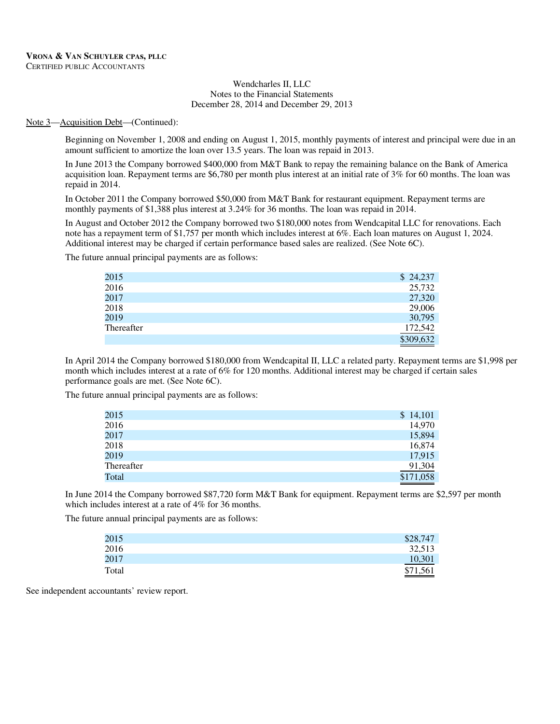### Note 3—Acquisition Debt—(Continued):

Beginning on November 1, 2008 and ending on August 1, 2015, monthly payments of interest and principal were due in an amount sufficient to amortize the loan over 13.5 years. The loan was repaid in 2013.

In June 2013 the Company borrowed \$400,000 from M&T Bank to repay the remaining balance on the Bank of America acquisition loan. Repayment terms are \$6,780 per month plus interest at an initial rate of 3% for 60 months. The loan was repaid in 2014.

In October 2011 the Company borrowed \$50,000 from M&T Bank for restaurant equipment. Repayment terms are monthly payments of \$1,388 plus interest at 3.24% for 36 months. The loan was repaid in 2014.

In August and October 2012 the Company borrowed two \$180,000 notes from Wendcapital LLC for renovations. Each note has a repayment term of \$1,757 per month which includes interest at 6%. Each loan matures on August 1, 2024. Additional interest may be charged if certain performance based sales are realized. (See Note 6C).

The future annual principal payments are as follows:

| 2015       | \$24,237  |
|------------|-----------|
| 2016       | 25,732    |
| 2017       | 27,320    |
| 2018       | 29,006    |
| 2019       | 30,795    |
| Thereafter | 172,542   |
|            | \$309,632 |

In April 2014 the Company borrowed \$180,000 from Wendcapital II, LLC a related party. Repayment terms are \$1,998 per month which includes interest at a rate of 6% for 120 months. Additional interest may be charged if certain sales performance goals are met. (See Note 6C).

The future annual principal payments are as follows:

| 2015       | \$14,101  |
|------------|-----------|
| 2016       | 14,970    |
| 2017       | 15,894    |
| 2018       | 16,874    |
| 2019       | 17,915    |
| Thereafter | 91,304    |
| Total      | \$171,058 |

In June 2014 the Company borrowed \$87,720 form M&T Bank for equipment. Repayment terms are \$2,597 per month which includes interest at a rate of 4% for 36 months.

The future annual principal payments are as follows:

| 2015  | \$28,747 |
|-------|----------|
| 2016  | 32,513   |
| 2017  | 10,301   |
| Total | \$71,561 |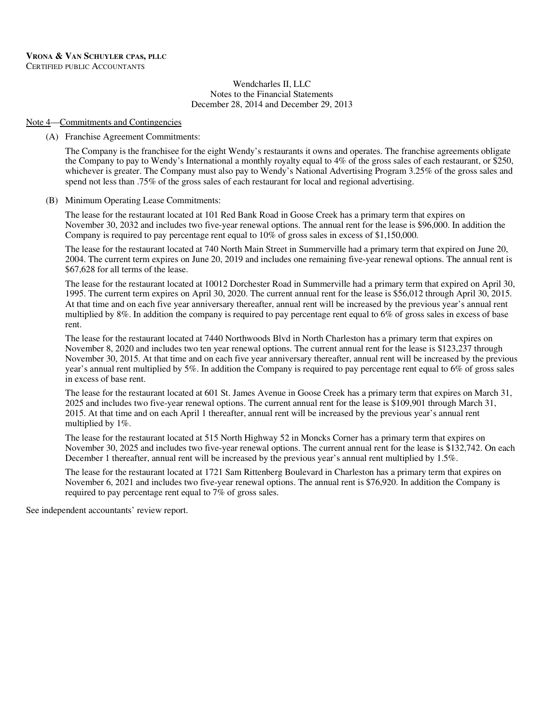# Note 4—Commitments and Contingencies

#### (A) Franchise Agreement Commitments:

The Company is the franchisee for the eight Wendy's restaurants it owns and operates. The franchise agreements obligate the Company to pay to Wendy's International a monthly royalty equal to 4% of the gross sales of each restaurant, or \$250, whichever is greater. The Company must also pay to Wendy's National Advertising Program 3.25% of the gross sales and spend not less than .75% of the gross sales of each restaurant for local and regional advertising.

### (B) Minimum Operating Lease Commitments:

The lease for the restaurant located at 101 Red Bank Road in Goose Creek has a primary term that expires on November 30, 2032 and includes two five-year renewal options. The annual rent for the lease is \$96,000. In addition the Company is required to pay percentage rent equal to 10% of gross sales in excess of \$1,150,000.

The lease for the restaurant located at 740 North Main Street in Summerville had a primary term that expired on June 20, 2004. The current term expires on June 20, 2019 and includes one remaining five-year renewal options. The annual rent is \$67,628 for all terms of the lease.

The lease for the restaurant located at 10012 Dorchester Road in Summerville had a primary term that expired on April 30, 1995. The current term expires on April 30, 2020. The current annual rent for the lease is \$56,012 through April 30, 2015. At that time and on each five year anniversary thereafter, annual rent will be increased by the previous year's annual rent multiplied by 8%. In addition the company is required to pay percentage rent equal to 6% of gross sales in excess of base rent.

The lease for the restaurant located at 7440 Northwoods Blvd in North Charleston has a primary term that expires on November 8, 2020 and includes two ten year renewal options. The current annual rent for the lease is \$123,237 through November 30, 2015. At that time and on each five year anniversary thereafter, annual rent will be increased by the previous year's annual rent multiplied by 5%. In addition the Company is required to pay percentage rent equal to 6% of gross sales in excess of base rent.

The lease for the restaurant located at 601 St. James Avenue in Goose Creek has a primary term that expires on March 31, 2025 and includes two five-year renewal options. The current annual rent for the lease is \$109,901 through March 31, 2015. At that time and on each April 1 thereafter, annual rent will be increased by the previous year's annual rent multiplied by 1%.

The lease for the restaurant located at 515 North Highway 52 in Moncks Corner has a primary term that expires on November 30, 2025 and includes two five-year renewal options. The current annual rent for the lease is \$132,742. On each December 1 thereafter, annual rent will be increased by the previous year's annual rent multiplied by 1.5%.

The lease for the restaurant located at 1721 Sam Rittenberg Boulevard in Charleston has a primary term that expires on November 6, 2021 and includes two five-year renewal options. The annual rent is \$76,920. In addition the Company is required to pay percentage rent equal to 7% of gross sales.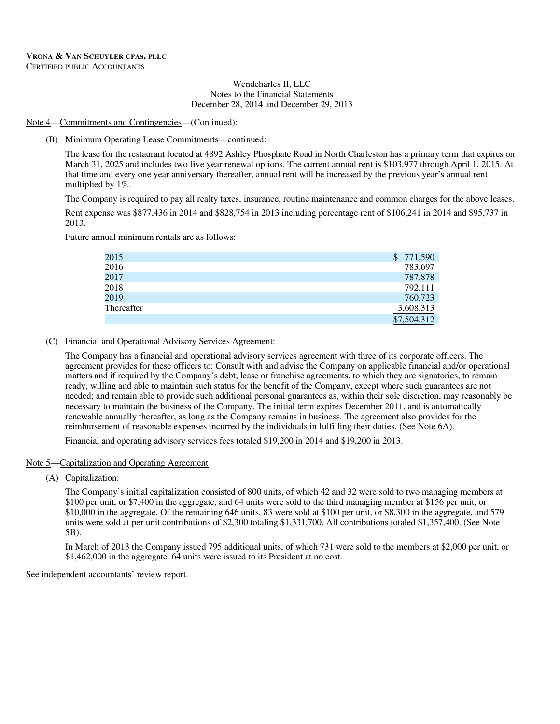# Note 4—Commitments and Contingencies—(Continued):

### (B) Minimum Operating Lease Commitments—continued:

The lease for the restaurant located at 4892 Ashley Phosphate Road in North Charleston has a primary term that expires on March 31, 2025 and includes two five year renewal options. The current annual rent is \$103,977 through April 1, 2015. At that time and every one year anniversary thereafter, annual rent will be increased by the previous year's annual rent multiplied by 1%.

The Company is required to pay all realty taxes, insurance, routine maintenance and common charges for the above leases.

Rent expense was \$877,436 in 2014 and \$828,754 in 2013 including percentage rent of \$106,241 in 2014 and \$95,737 in 2013.

Future annual minimum rentals are as follows:

| 2015       | \$ 771,590  |
|------------|-------------|
| 2016       | 783,697     |
| 2017       | 787,878     |
| 2018       | 792,111     |
| 2019       | 760,723     |
| Thereafter | 3,608,313   |
|            | \$7,504,312 |

(C) Financial and Operational Advisory Services Agreement:

The Company has a financial and operational advisory services agreement with three of its corporate officers. The agreement provides for these officers to: Consult with and advise the Company on applicable financial and/or operational matters and if required by the Company's debt, lease or franchise agreements, to which they are signatories, to remain ready, willing and able to maintain such status for the benefit of the Company, except where such guarantees are not needed; and remain able to provide such additional personal guarantees as, within their sole discretion, may reasonably be necessary to maintain the business of the Company. The initial term expires December 2011, and is automatically renewable annually thereafter, as long as the Company remains in business. The agreement also provides for the reimbursement of reasonable expenses incurred by the individuals in fulfilling their duties. (See Note 6A).

Financial and operating advisory services fees totaled \$19,200 in 2014 and \$19,200 in 2013.

# Note 5—Capitalization and Operating Agreement

(A) Capitalization:

The Company's initial capitalization consisted of 800 units, of which 42 and 32 were sold to two managing members at \$100 per unit, or \$7,400 in the aggregate, and 64 units were sold to the third managing member at \$156 per unit, or \$10,000 in the aggregate. Of the remaining 646 units, 83 were sold at \$100 per unit, or \$8,300 in the aggregate, and 579 units were sold at per unit contributions of \$2,300 totaling \$1,331,700. All contributions totaled \$1,357,400. (See Note 5B).

In March of 2013 the Company issued 795 additional units, of which 731 were sold to the members at \$2,000 per unit, or \$1,462,000 in the aggregate. 64 units were issued to its President at no cost.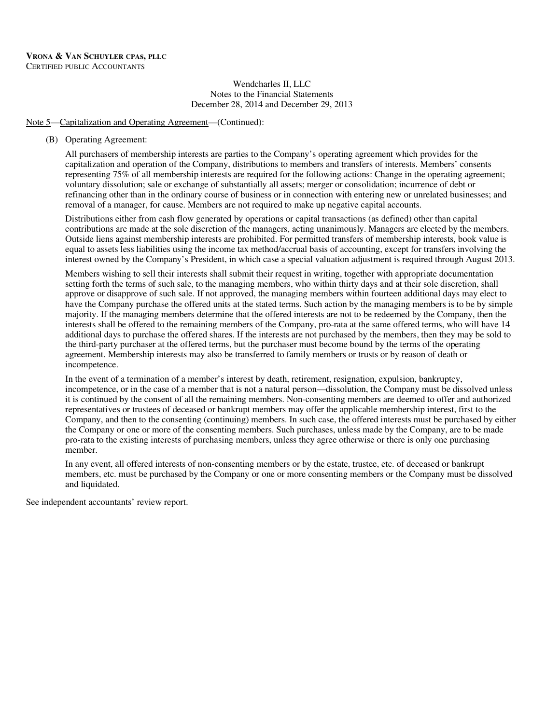### Note 5—Capitalization and Operating Agreement—(Continued):

#### (B) Operating Agreement:

All purchasers of membership interests are parties to the Company's operating agreement which provides for the capitalization and operation of the Company, distributions to members and transfers of interests. Members' consents representing 75% of all membership interests are required for the following actions: Change in the operating agreement; voluntary dissolution; sale or exchange of substantially all assets; merger or consolidation; incurrence of debt or refinancing other than in the ordinary course of business or in connection with entering new or unrelated businesses; and removal of a manager, for cause. Members are not required to make up negative capital accounts.

Distributions either from cash flow generated by operations or capital transactions (as defined) other than capital contributions are made at the sole discretion of the managers, acting unanimously. Managers are elected by the members. Outside liens against membership interests are prohibited. For permitted transfers of membership interests, book value is equal to assets less liabilities using the income tax method/accrual basis of accounting, except for transfers involving the interest owned by the Company's President, in which case a special valuation adjustment is required through August 2013.

Members wishing to sell their interests shall submit their request in writing, together with appropriate documentation setting forth the terms of such sale, to the managing members, who within thirty days and at their sole discretion, shall approve or disapprove of such sale. If not approved, the managing members within fourteen additional days may elect to have the Company purchase the offered units at the stated terms. Such action by the managing members is to be by simple majority. If the managing members determine that the offered interests are not to be redeemed by the Company, then the interests shall be offered to the remaining members of the Company, pro-rata at the same offered terms, who will have 14 additional days to purchase the offered shares. If the interests are not purchased by the members, then they may be sold to the third-party purchaser at the offered terms, but the purchaser must become bound by the terms of the operating agreement. Membership interests may also be transferred to family members or trusts or by reason of death or incompetence.

In the event of a termination of a member's interest by death, retirement, resignation, expulsion, bankruptcy, incompetence, or in the case of a member that is not a natural person—dissolution, the Company must be dissolved unless it is continued by the consent of all the remaining members. Non-consenting members are deemed to offer and authorized representatives or trustees of deceased or bankrupt members may offer the applicable membership interest, first to the Company, and then to the consenting (continuing) members. In such case, the offered interests must be purchased by either the Company or one or more of the consenting members. Such purchases, unless made by the Company, are to be made pro-rata to the existing interests of purchasing members, unless they agree otherwise or there is only one purchasing member.

In any event, all offered interests of non-consenting members or by the estate, trustee, etc. of deceased or bankrupt members, etc. must be purchased by the Company or one or more consenting members or the Company must be dissolved and liquidated.